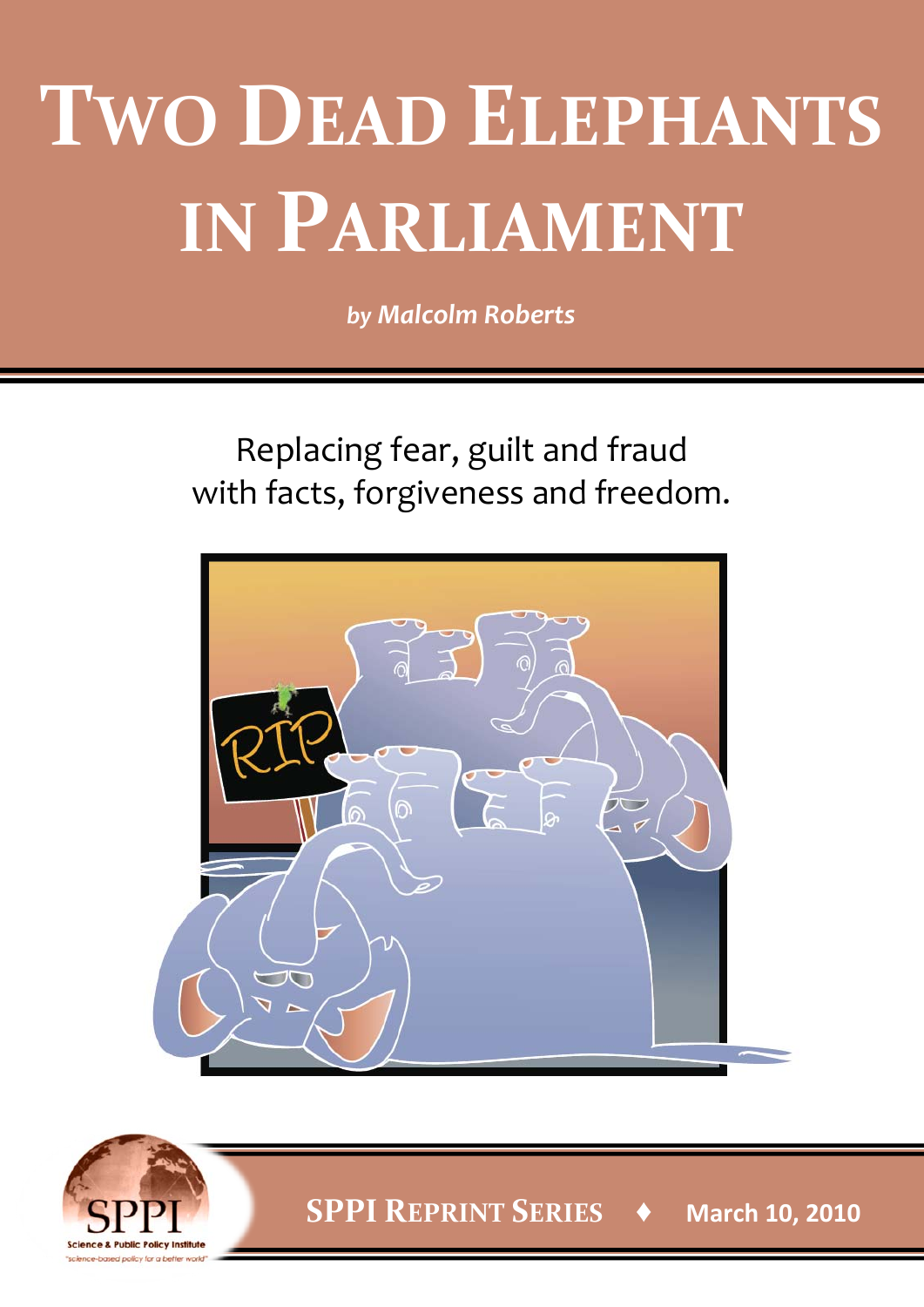# **TWO DEAD ELEPHANTS IN PARLIAMENT**

*by Malcolm Roberts*

Replacing fear, guilt and fraud with facts, forgiveness and freedom.



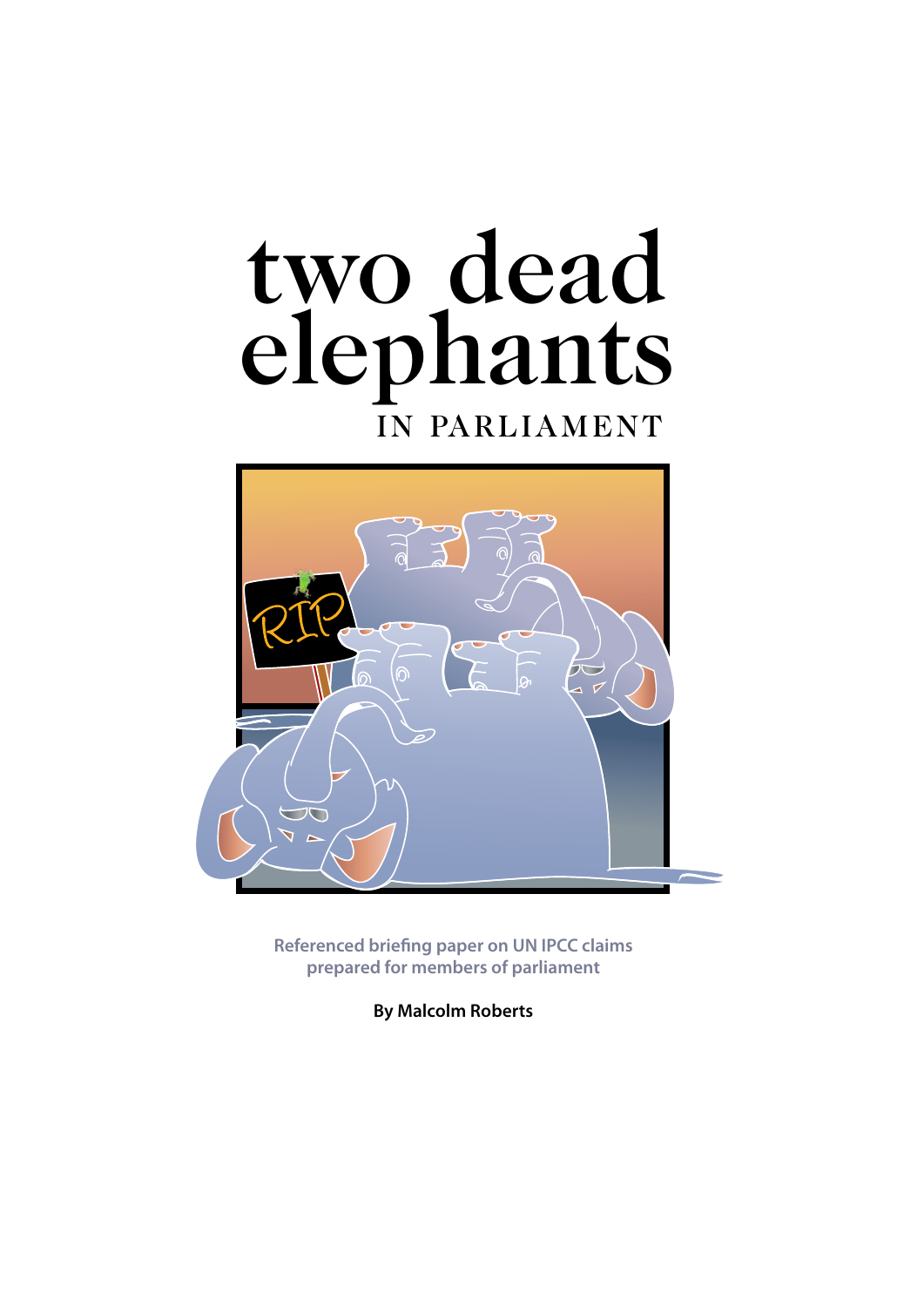## two dead elephants in parliament



**Referenced briefing paper on UN IPCC claims prepared for members of parliament**

**By Malcolm Roberts**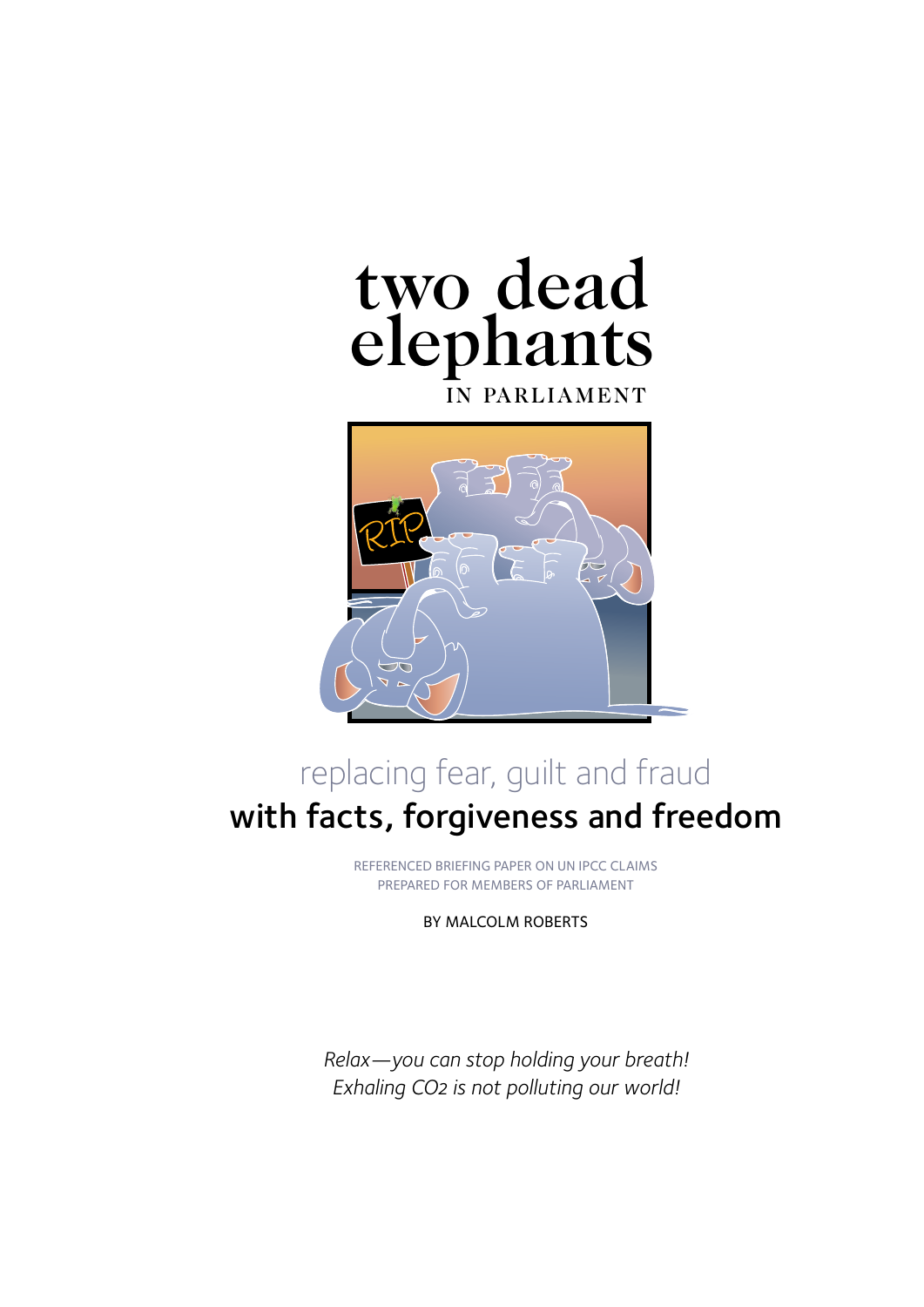

in parliament



## replacing fear, guilt and fraud with facts, forgiveness and freedom

Referenced briefing paper on UN IPCC claims prepared for members of parliament

BY MALCOLM ROBERTS

*Relax—you can stop holding your breath! Exhaling CO2 is not polluting our world!*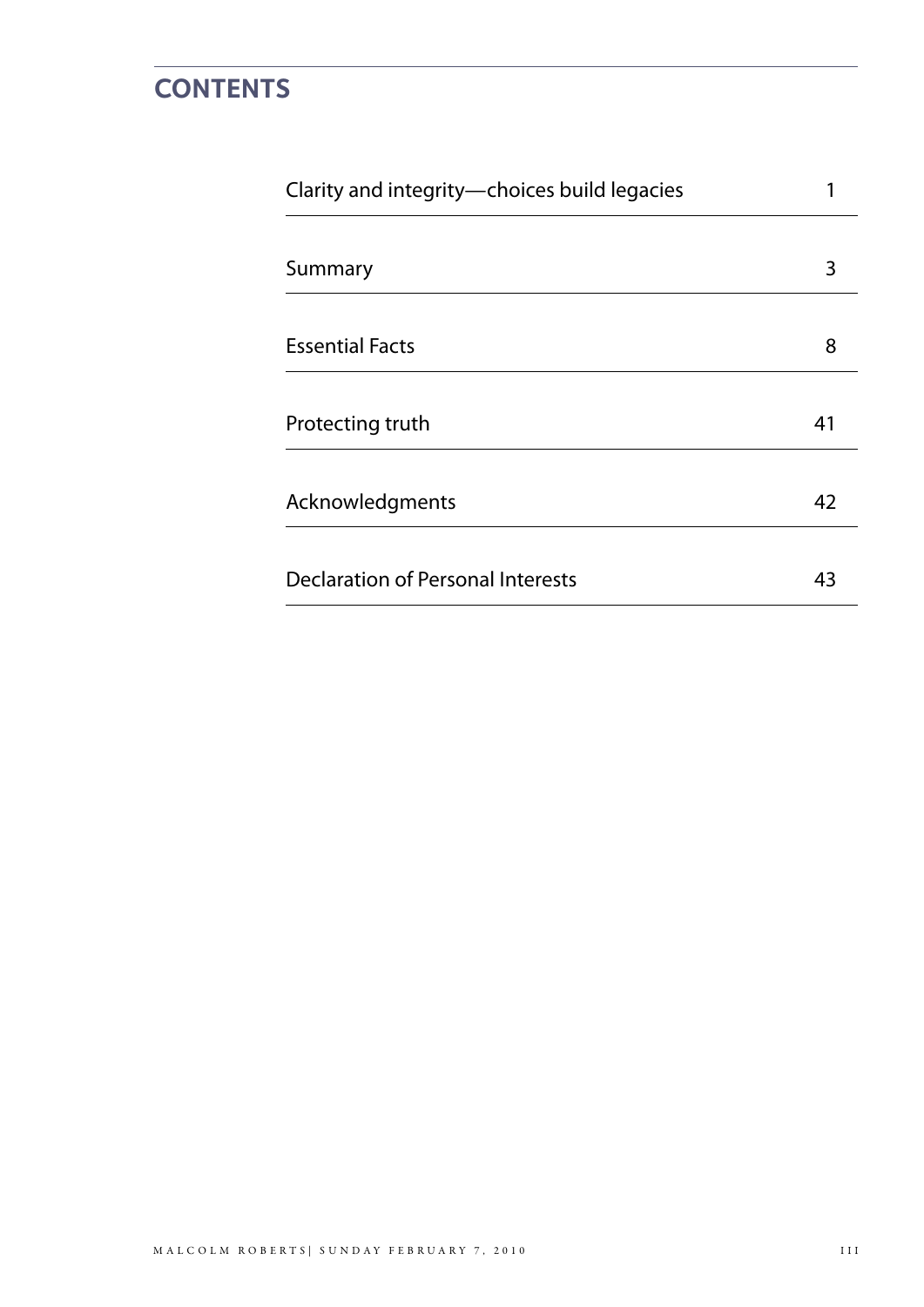### **Contents**

| Clarity and integrity-choices build legacies |    |
|----------------------------------------------|----|
| Summary                                      | 3  |
| <b>Essential Facts</b>                       | 8  |
| Protecting truth                             | 41 |
| Acknowledgments                              | 42 |
| Declaration of Personal Interests            | 43 |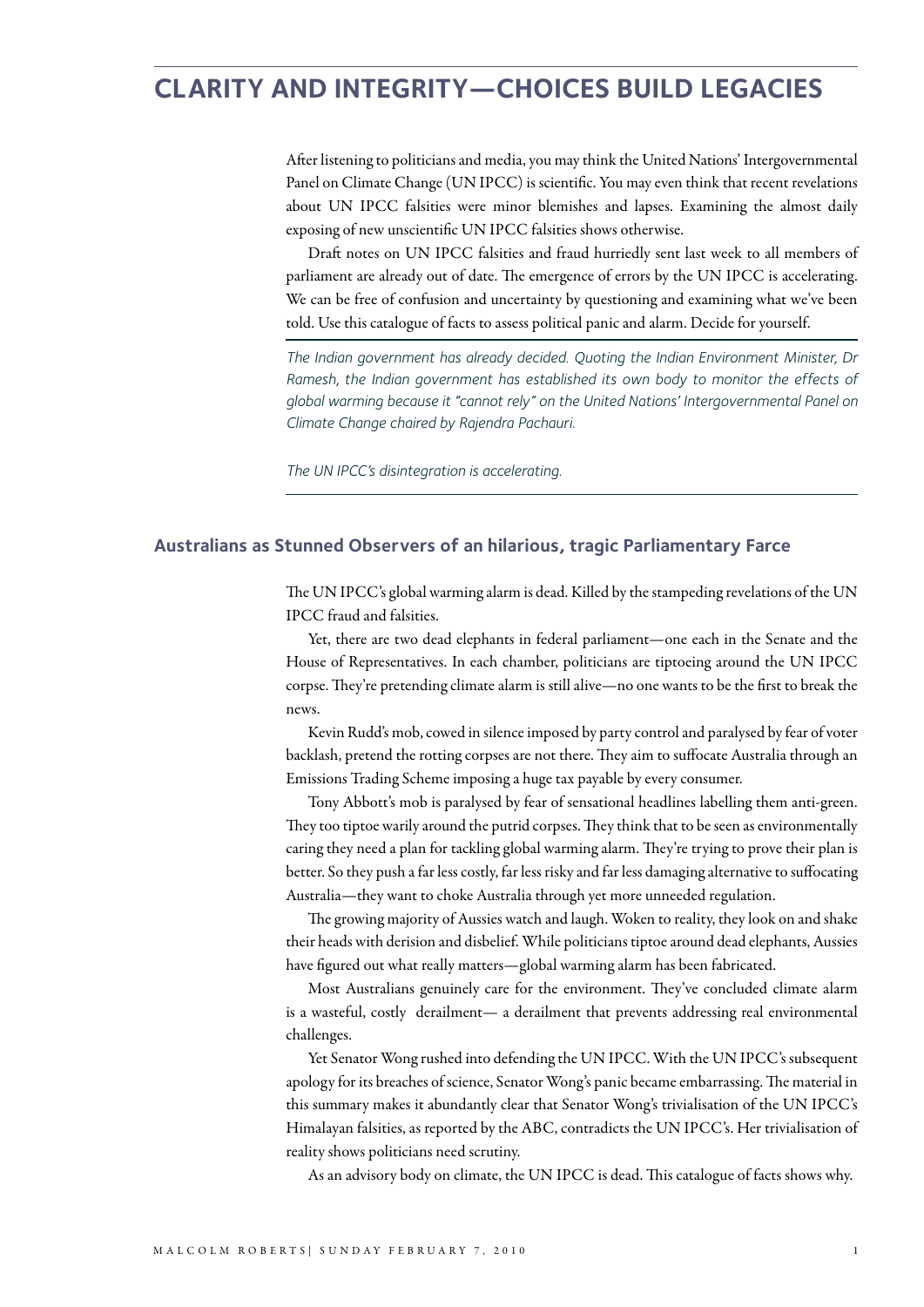### **Clarity and integrity—CHOICES BUILD LEGACIES**

After listening to politicians and media, you may think the United Nations' Intergovernmental Panel on Climate Change (UN IPCC) is scientific. You may even think that recent revelations about UN IPCC falsities were minor blemishes and lapses. Examining the almost daily exposing of new unscientific UN IPCC falsities shows otherwise.

Draft notes on UN IPCC falsities and fraud hurriedly sent last week to all members of parliament are already out of date. The emergence of errors by the UN IPCC is accelerating. We can be free of confusion and uncertainty by questioning and examining what we've been told. Use this catalogue of facts to assess political panic and alarm. Decide for yourself.

*The Indian government has already decided. Quoting the Indian Environment Minister, Dr Ramesh, the Indian government has established its own body to monitor the effects of global warming because it "cannot rely" on the United Nations' Intergovernmental Panel on Climate Change chaired by Rajendra Pachauri.* 

*The UN IPCC's disintegration is accelerating.*

#### **Australians as Stunned Observers of an hilarious, tragic Parliamentary Farce**

The UN IPCC's global warming alarm is dead. Killed by the stampeding revelations of the UN IPCC fraud and falsities.

Yet, there are two dead elephants in federal parliament—one each in the Senate and the House of Representatives. In each chamber, politicians are tiptoeing around the UN IPCC corpse. They're pretending climate alarm is still alive—no one wants to be the first to break the news.

Kevin Rudd's mob, cowed in silence imposed by party control and paralysed by fear of voter backlash, pretend the rotting corpses are not there. They aim to suffocate Australia through an Emissions Trading Scheme imposing a huge tax payable by every consumer.

Tony Abbott's mob is paralysed by fear of sensational headlines labelling them anti-green. They too tiptoe warily around the putrid corpses. They think that to be seen as environmentally caring they need a plan for tackling global warming alarm. They're trying to prove their plan is better. So they push a far less costly, far less risky and far less damaging alternative to suffocating Australia—they want to choke Australia through yet more unneeded regulation.

The growing majority of Aussies watch and laugh. Woken to reality, they look on and shake their heads with derision and disbelief. While politicians tiptoe around dead elephants, Aussies have figured out what really matters—global warming alarm has been fabricated.

Most Australians genuinely care for the environment. They've concluded climate alarm is a wasteful, costly derailment— a derailment that prevents addressing real environmental challenges.

Yet Senator Wong rushed into defending the UN IPCC. With the UN IPCC's subsequent apology for its breaches of science, Senator Wong's panic became embarrassing. The material in this summary makes it abundantly clear that Senator Wong's trivialisation of the UN IPCC's Himalayan falsities, as reported by the ABC, contradicts the UN IPCC's. Her trivialisation of reality shows politicians need scrutiny.

As an advisory body on climate, the UN IPCC is dead. This catalogue of facts shows why.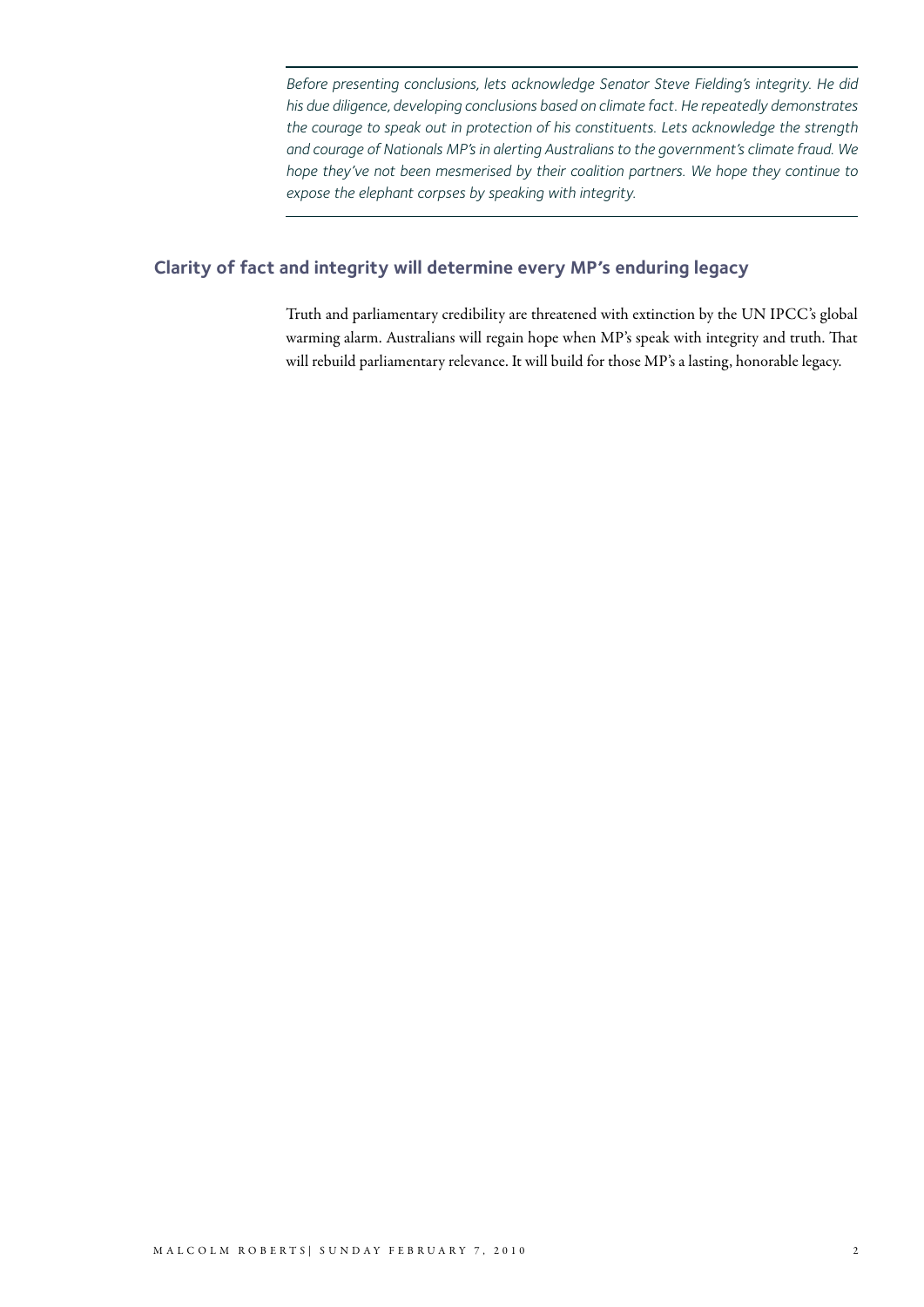*Before presenting conclusions, lets acknowledge Senator Steve Fielding's integrity. He did his due diligence, developing conclusions based on climate fact. He repeatedly demonstrates the courage to speak out in protection of his constituents. Lets acknowledge the strength and courage of Nationals MP's in alerting Australians to the government's climate fraud. We hope they've not been mesmerised by their coalition partners. We hope they continue to expose the elephant corpses by speaking with integrity.*

#### **Clarity of fact and integrity will determine every MP's enduring legacy**

Truth and parliamentary credibility are threatened with extinction by the UN IPCC's global warming alarm. Australians will regain hope when MP's speak with integrity and truth. That will rebuild parliamentary relevance. It will build for those MP's a lasting, honorable legacy.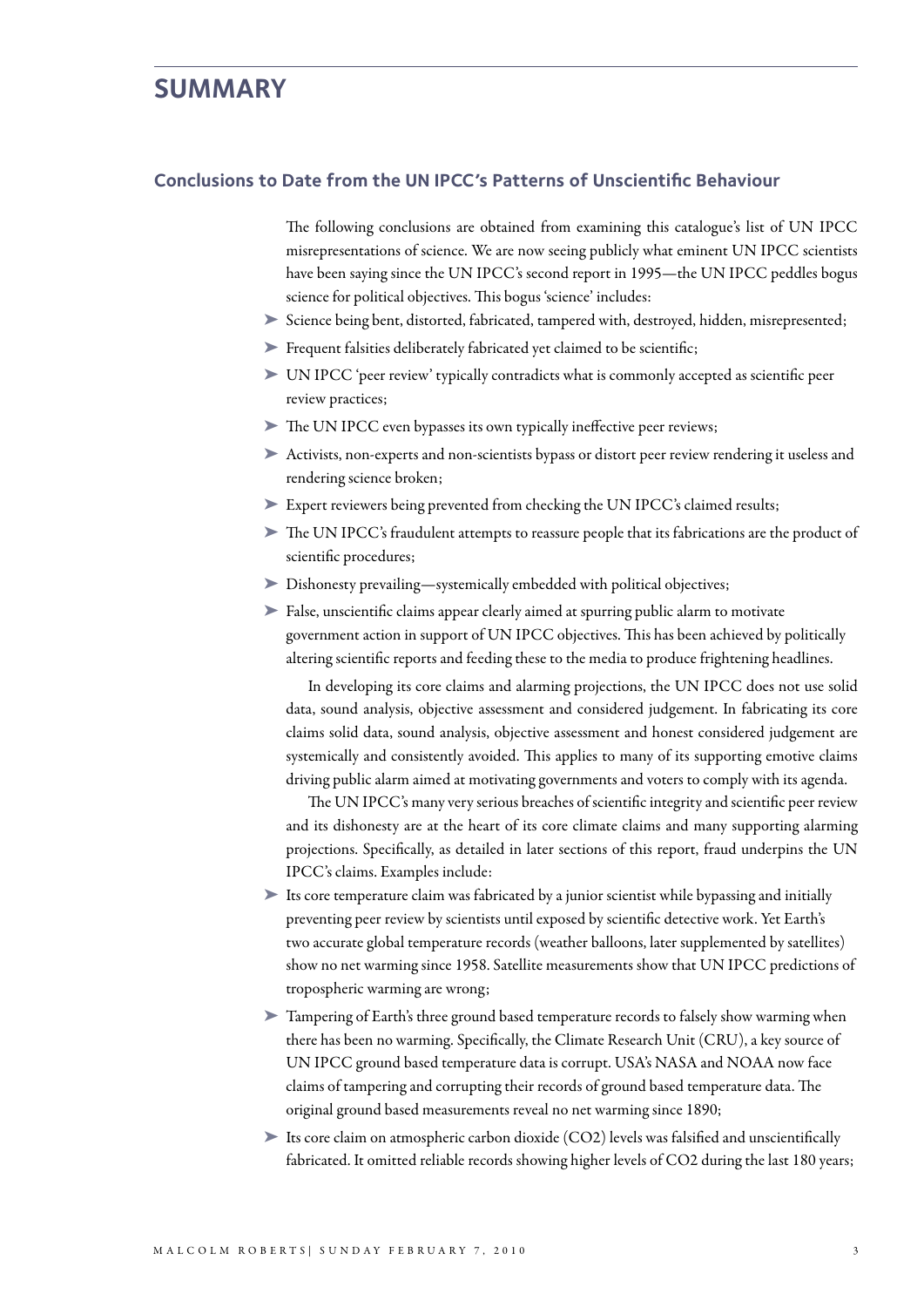#### **Summary**

#### **Conclusions to Date from the UN IPCC's Patterns of Unscientific Behaviour**

The following conclusions are obtained from examining this catalogue's list of UN IPCC misrepresentations of science. We are now seeing publicly what eminent UN IPCC scientists have been saying since the UN IPCC's second report in 1995—the UN IPCC peddles bogus science for political objectives. This bogus 'science' includes:

- ➤ Science being bent, distorted, fabricated, tampered with, destroyed, hidden, misrepresented;
- ➤ Frequent falsities deliberately fabricated yet claimed to be scientific;
- ➤ UN IPCC 'peer review' typically contradicts what is commonly accepted as scientific peer review practices;
- ➤ The UN IPCC even bypasses its own typically ineffective peer reviews;
- ➤ Activists, non-experts and non-scientists bypass or distort peer review rendering it useless and rendering science broken;
- ➤ Expert reviewers being prevented from checking the UN IPCC's claimed results;
- ➤ The UN IPCC's fraudulent attempts to reassure people that its fabrications are the product of scientific procedures;
- ➤ Dishonesty prevailing—systemically embedded with political objectives;
- ➤ False, unscientific claims appear clearly aimed at spurring public alarm to motivate government action in support of UN IPCC objectives. This has been achieved by politically altering scientific reports and feeding these to the media to produce frightening headlines.

In developing its core claims and alarming projections, the UN IPCC does not use solid data, sound analysis, objective assessment and considered judgement. In fabricating its core claims solid data, sound analysis, objective assessment and honest considered judgement are systemically and consistently avoided. This applies to many of its supporting emotive claims driving public alarm aimed at motivating governments and voters to comply with its agenda.

The UN IPCC's many very serious breaches of scientific integrity and scientific peer review and its dishonesty are at the heart of its core climate claims and many supporting alarming projections. Specifically, as detailed in later sections of this report, fraud underpins the UN IPCC's claims. Examples include:

- ➤ Its core temperature claim was fabricated by a junior scientist while bypassing and initially preventing peer review by scientists until exposed by scientific detective work. Yet Earth's two accurate global temperature records (weather balloons, later supplemented by satellites) show no net warming since 1958. Satellite measurements show that UN IPCC predictions of tropospheric warming are wrong;
- ➤ Tampering of Earth's three ground based temperature records to falsely show warming when there has been no warming. Specifically, the Climate Research Unit (CRU), a key source of UN IPCC ground based temperature data is corrupt. USA's NASA and NOAA now face claims of tampering and corrupting their records of ground based temperature data. The original ground based measurements reveal no net warming since 1890;
- ➤ Its core claim on atmospheric carbon dioxide (CO2) levels was falsified and unscientifically fabricated. It omitted reliable records showing higher levels of CO2 during the last 180 years;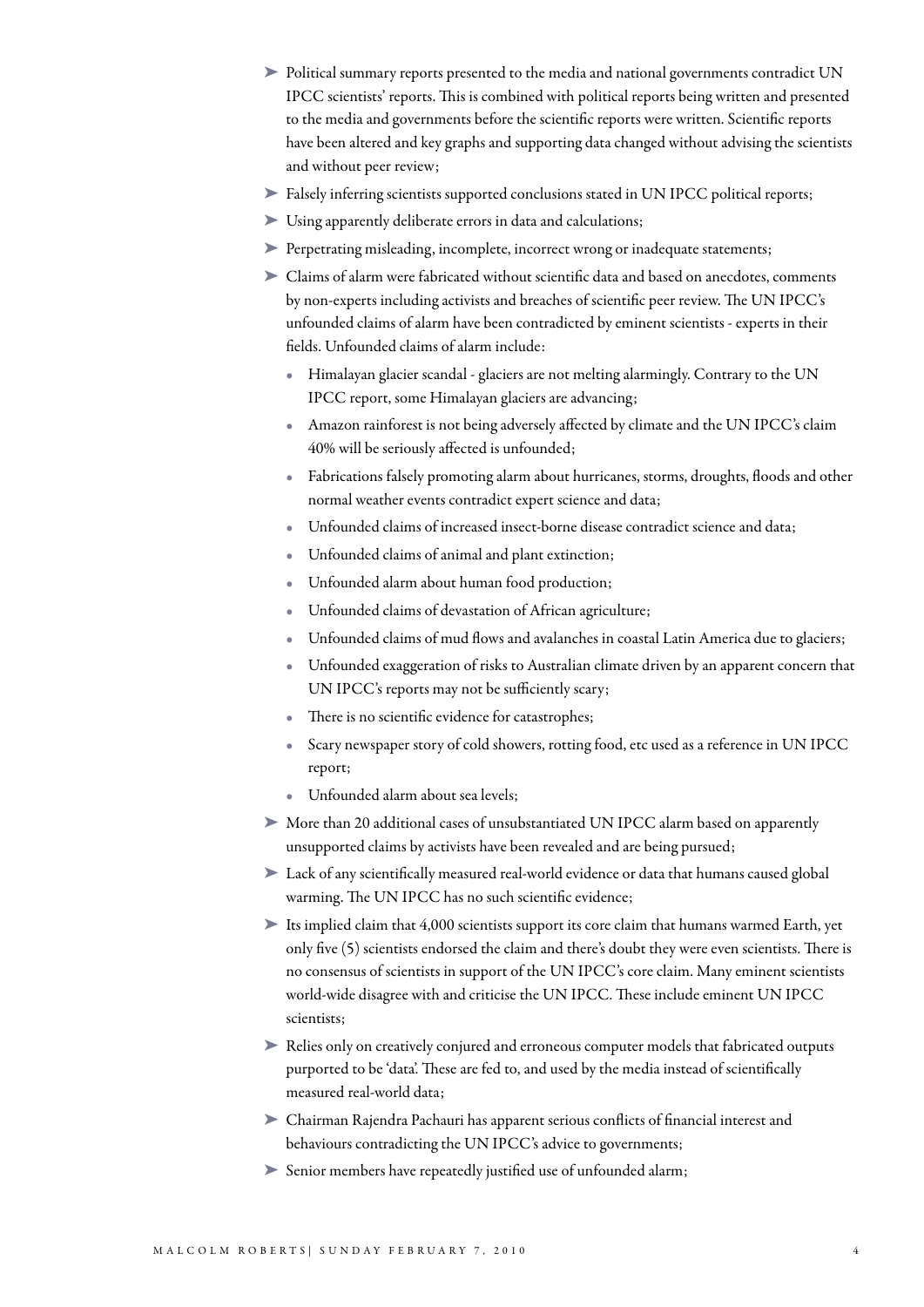- ➤ Political summary reports presented to the media and national governments contradict UN IPCC scientists' reports. This is combined with political reports being written and presented to the media and governments before the scientific reports were written. Scientific reports have been altered and key graphs and supporting data changed without advising the scientists and without peer review;
- ➤ Falsely inferring scientists supported conclusions stated in UN IPCC political reports;
- ➤ Using apparently deliberate errors in data and calculations;
- ➤ Perpetrating misleading, incomplete, incorrect wrong or inadequate statements;
- ➤ Claims of alarm were fabricated without scientific data and based on anecdotes, comments by non-experts including activists and breaches of scientific peer review. The UN IPCC's unfounded claims of alarm have been contradicted by eminent scientists - experts in their fields. Unfounded claims of alarm include:
	- Himalayan glacier scandal glaciers are not melting alarmingly. Contrary to the UN IPCC report, some Himalayan glaciers are advancing;
	- Amazon rainforest is not being adversely affected by climate and the UN IPCC's claim 40% will be seriously affected is unfounded;
	- Fabrications falsely promoting alarm about hurricanes, storms, droughts, floods and other normal weather events contradict expert science and data;
	- Unfounded claims of increased insect-borne disease contradict science and data;
	- Unfounded claims of animal and plant extinction;
	- Unfounded alarm about human food production;
	- Unfounded claims of devastation of African agriculture;
	- Unfounded claims of mud flows and avalanches in coastal Latin America due to glaciers;
	- Unfounded exaggeration of risks to Australian climate driven by an apparent concern that UN IPCC's reports may not be sufficiently scary;
	- There is no scientific evidence for catastrophes;
	- Scary newspaper story of cold showers, rotting food, etc used as a reference in UN IPCC report;
	- Unfounded alarm about sea levels;
- ➤ More than 20 additional cases of unsubstantiated UN IPCC alarm based on apparently unsupported claims by activists have been revealed and are being pursued;
- ➤ Lack of any scientifically measured real-world evidence or data that humans caused global warming. The UN IPCC has no such scientific evidence;
- ➤ Its implied claim that 4,000 scientists support its core claim that humans warmed Earth, yet only five (5) scientists endorsed the claim and there's doubt they were even scientists. There is no consensus of scientists in support of the UN IPCC's core claim. Many eminent scientists world-wide disagree with and criticise the UN IPCC. These include eminent UN IPCC scientists;
- ➤ Relies only on creatively conjured and erroneous computer models that fabricated outputs purported to be 'data'. These are fed to, and used by the media instead of scientifically measured real-world data;
- ➤ Chairman Rajendra Pachauri has apparent serious conflicts of financial interest and behaviours contradicting the UN IPCC's advice to governments;
- ➤ Senior members have repeatedly justified use of unfounded alarm;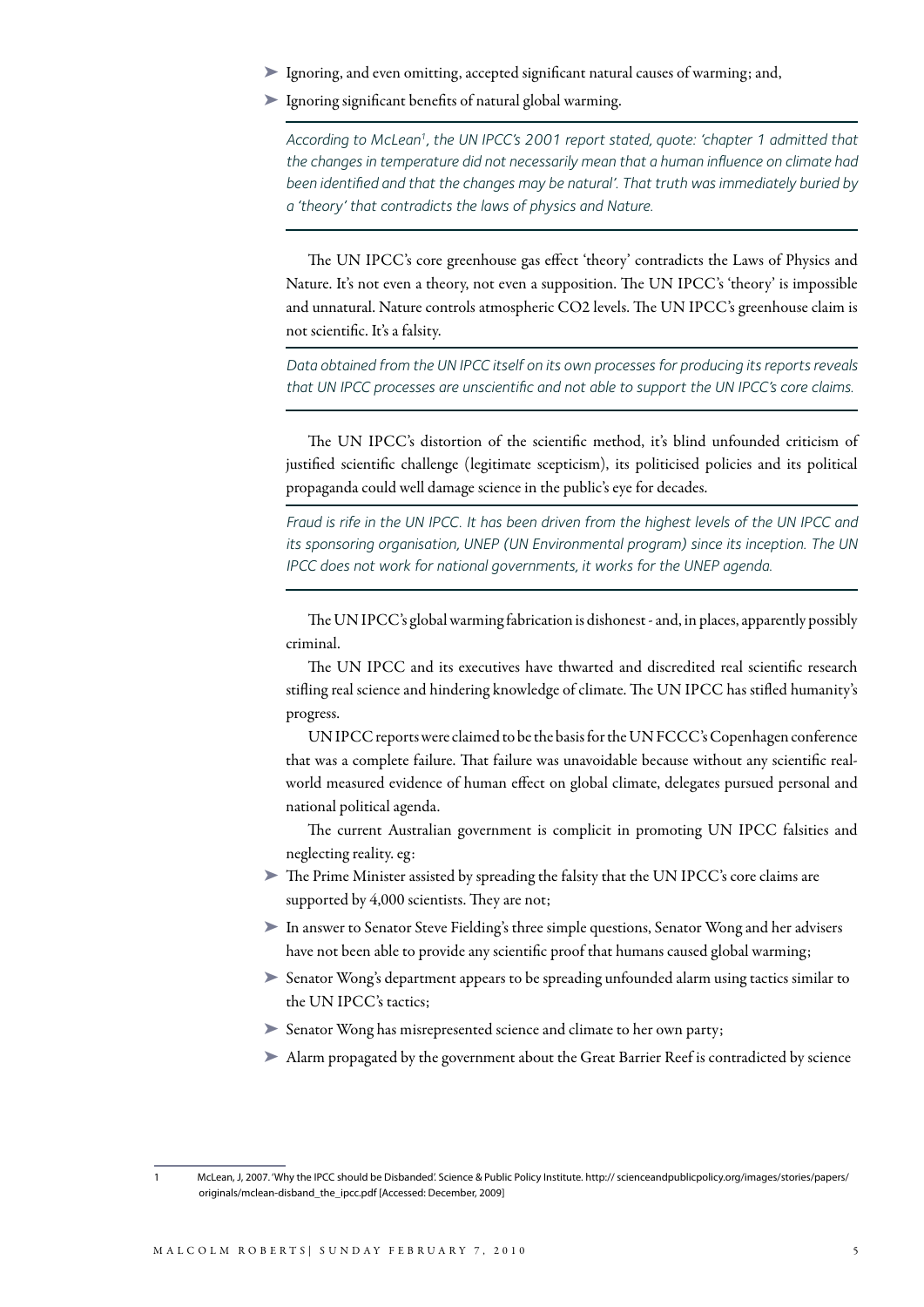- ➤ Ignoring, and even omitting, accepted significant natural causes of warming; and,
- ➤ Ignoring significant benefits of natural global warming.

*According to McLean1, the UN IPCC's 2001 report stated, quote: 'chapter 1 admitted that the changes in temperature did not necessarily mean that a human influence on climate had*  been identified and that the changes may be natural'. That truth was immediately buried by *a 'theory' that contradicts the laws of physics and Nature.*

The UN IPCC's core greenhouse gas effect 'theory' contradicts the Laws of Physics and Nature. It's not even a theory, not even a supposition. The UN IPCC's 'theory' is impossible and unnatural. Nature controls atmospheric CO2 levels. The UN IPCC's greenhouse claim is not scientific. It's a falsity.

*Data obtained from the UN IPCC itself on its own processes for producing its reports reveals that UN IPCC processes are unscientific and not able to support the UN IPCC's core claims.*

The UN IPCC's distortion of the scientific method, it's blind unfounded criticism of justified scientific challenge (legitimate scepticism), its politicised policies and its political propaganda could well damage science in the public's eye for decades.

Fraud is rife in the UN IPCC. It has been driven from the highest levels of the UN IPCC and *its sponsoring organisation, UNEP (UN Environmental program) since its inception. The UN IPCC does not work for national governments, it works for the UNEP agenda.*

The UNIPCC's global warming fabrication is dishonest - and, in places, apparently possibly criminal.

The UN IPCC and its executives have thwarted and discredited real scientific research stifling real science and hindering knowledge of climate. The UN IPCC has stifled humanity's progress.

UNIPCC reports were claimed to be the basis for the UNFCCC's Copenhagen conference that was a complete failure. That failure was unavoidable because without any scientific realworld measured evidence of human effect on global climate, delegates pursued personal and national political agenda.

The current Australian government is complicit in promoting UN IPCC falsities and neglecting reality. eg:

- ➤ The Prime Minister assisted by spreading the falsity that the UN IPCC's core claims are supported by 4,000 scientists. They are not;
- ➤ In answer to Senator Steve Fielding's three simple questions, Senator Wong and her advisers have not been able to provide any scientific proof that humans caused global warming;
- ➤ Senator Wong's department appears to be spreading unfounded alarm using tactics similar to the UN IPCC's tactics;
- ➤ Senator Wong has misrepresented science and climate to her own party;
- ➤ Alarm propagated by the government about the Great Barrier Reef is contradicted by science

<sup>1</sup> McLean, J, 2007. 'Why the IPCC should be Disbanded'. Science & Public Policy Institute. http:// scienceandpublicpolicy.org/images/stories/papers/ originals/mclean-disband\_the\_ipcc.pdf [Accessed: December, 2009]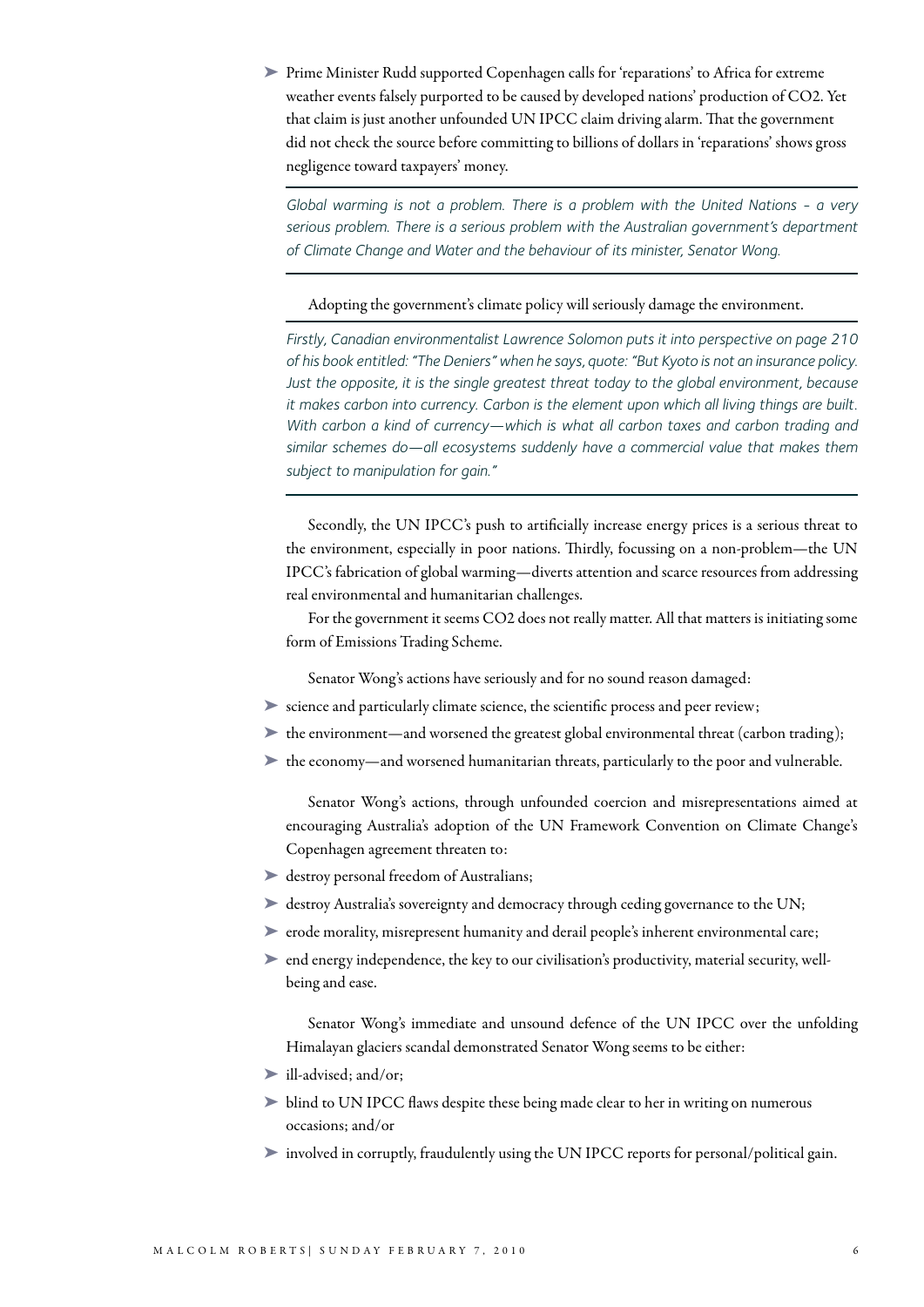➤ Prime Minister Rudd supported Copenhagen calls for 'reparations' to Africa for extreme weather events falsely purported to be caused by developed nations' production of CO2. Yet that claim is just another unfounded UN IPCC claim driving alarm. That the government did not check the source before committing to billions of dollars in 'reparations' shows gross negligence toward taxpayers' money.

*Global warming is not a problem. There is a problem with the United Nations - a very serious problem. There is a serious problem with the Australian government's department of Climate Change and Water and the behaviour of its minister, Senator Wong.*

#### Adopting the government's climate policy will seriously damage the environment.

*Firstly, Canadian environmentalist Lawrence Solomon puts it into perspective on page 210 of his book entitled: "The Deniers" when he says, quote: "But Kyoto is not an insurance policy. Just the opposite, it is the single greatest threat today to the global environment, because it makes carbon into currency. Carbon is the element upon which all living things are built. With carbon a kind of currency—which is what all carbon taxes and carbon trading and similar schemes do—all ecosystems suddenly have a commercial value that makes them subject to manipulation for gain."*

Secondly, the UN IPCC's push to artificially increase energy prices is a serious threat to the environment, especially in poor nations. Thirdly, focussing on a non-problem—the UN IPCC's fabrication of global warming—diverts attention and scarce resources from addressing real environmental and humanitarian challenges.

For the government it seems CO2 does not really matter. All that matters is initiating some form of Emissions Trading Scheme.

Senator Wong's actions have seriously and for no sound reason damaged:

- ➤ science and particularly climate science, the scientific process and peer review;
- ➤ the environment—and worsened the greatest global environmental threat (carbon trading);
- ➤ the economy—and worsened humanitarian threats, particularly to the poor and vulnerable.

Senator Wong's actions, through unfounded coercion and misrepresentations aimed at encouraging Australia's adoption of the UN Framework Convention on Climate Change's Copenhagen agreement threaten to:

- ► destroy personal freedom of Australians;
- ➤ destroy Australia's sovereignty and democracy through ceding governance to the UN;
- ➤ erode morality, misrepresent humanity and derail people's inherent environmental care;
- ➤ end energy independence, the key to our civilisation's productivity, material security, wellbeing and ease.

Senator Wong's immediate and unsound defence of the UN IPCC over the unfolding Himalayan glaciers scandal demonstrated Senator Wong seems to be either:

- ➤ ill-advised; and/or;
- ➤ blind to UN IPCC flaws despite these being made clear to her in writing on numerous occasions; and/or
- ➤ involved in corruptly, fraudulently using the UN IPCC reports for personal/political gain.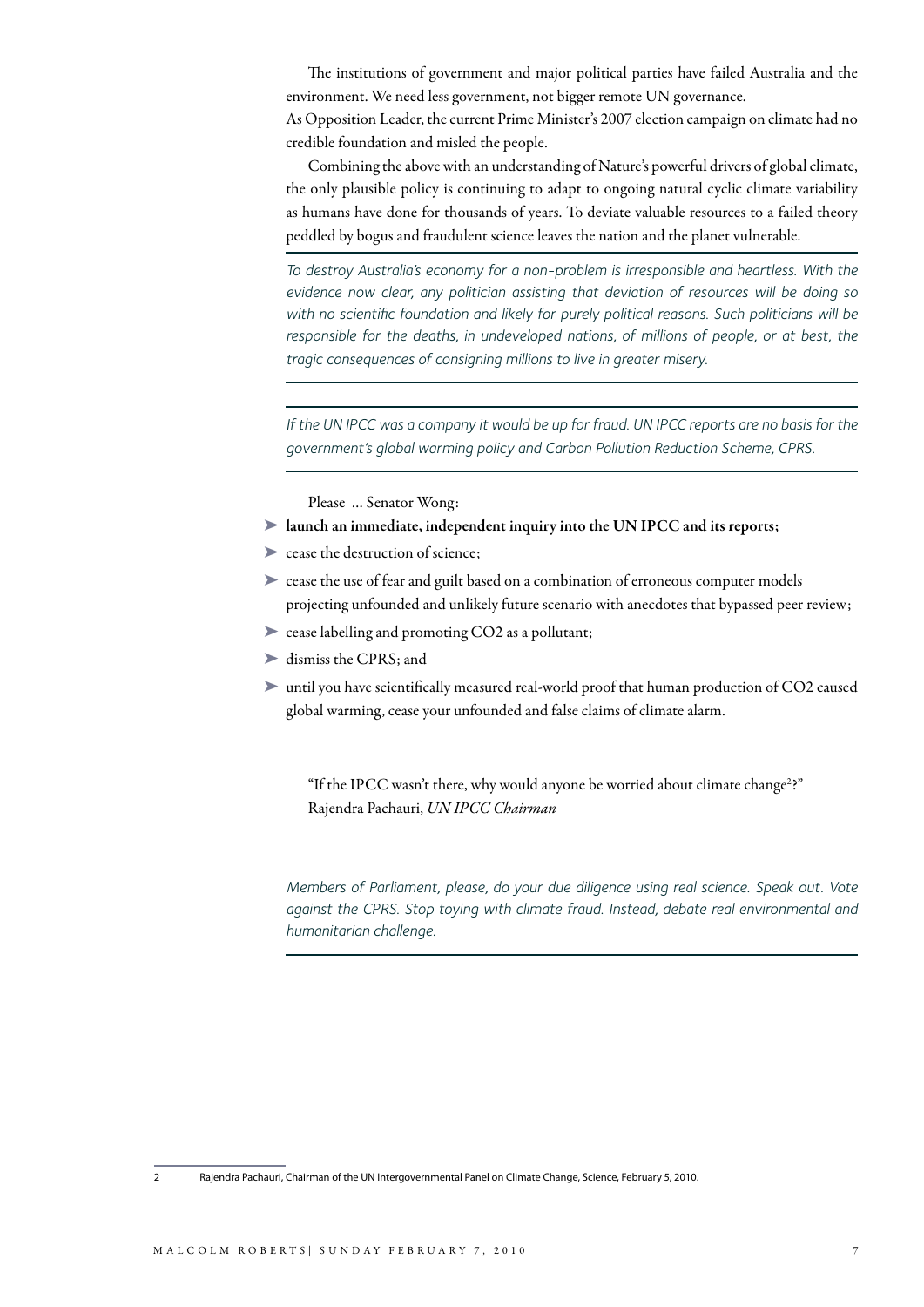The institutions of government and major political parties have failed Australia and the environment. We need less government, not bigger remote UN governance.

As Opposition Leader, the current Prime Minister's 2007 election campaign on climate had no credible foundation and misled the people.

Combining the above with an understanding of Nature's powerful drivers of global climate, the only plausible policy is continuing to adapt to ongoing natural cyclic climate variability as humans have done for thousands of years. To deviate valuable resources to a failed theory peddled by bogus and fraudulent science leaves the nation and the planet vulnerable.

*To destroy Australia's economy for a non-problem is irresponsible and heartless. With the evidence now clear, any politician assisting that deviation of resources will be doing so with no scientific foundation and likely for purely political reasons. Such politicians will be*  responsible for the deaths, in undeveloped nations, of millions of people, or at best, the *tragic consequences of consigning millions to live in greater misery.*

If the UN IPCC was a company it would be up for fraud. UN IPCC reports are no basis for the *government's global warming policy and Carbon Pollution Reduction Scheme, CPRS.*

Please … Senator Wong:

- ➤ launch an immediate, independent inquiry into the UN IPCC and its reports;
- ➤ cease the destruction of science;
- ➤ cease the use of fear and guilt based on a combination of erroneous computer models projecting unfounded and unlikely future scenario with anecdotes that bypassed peer review;
- ➤ cease labelling and promoting CO2 as a pollutant;
- ➤ dismiss the CPRS; and
- ➤ until you have scientifically measured real-world proof that human production of CO2 caused global warming, cease your unfounded and false claims of climate alarm.

"If the IPCC wasn't there, why would anyone be worried about climate change $2$ ?" Rajendra Pachauri, *UN IPCC Chairman*

*Members of Parliament, please, do your due diligence using real science. Speak out. Vote against the CPRS. Stop toying with climate fraud. Instead, debate real environmental and humanitarian challenge.*

<sup>2</sup> Rajendra Pachauri, Chairman of the UN Intergovernmental Panel on Climate Change, Science, February 5, 2010.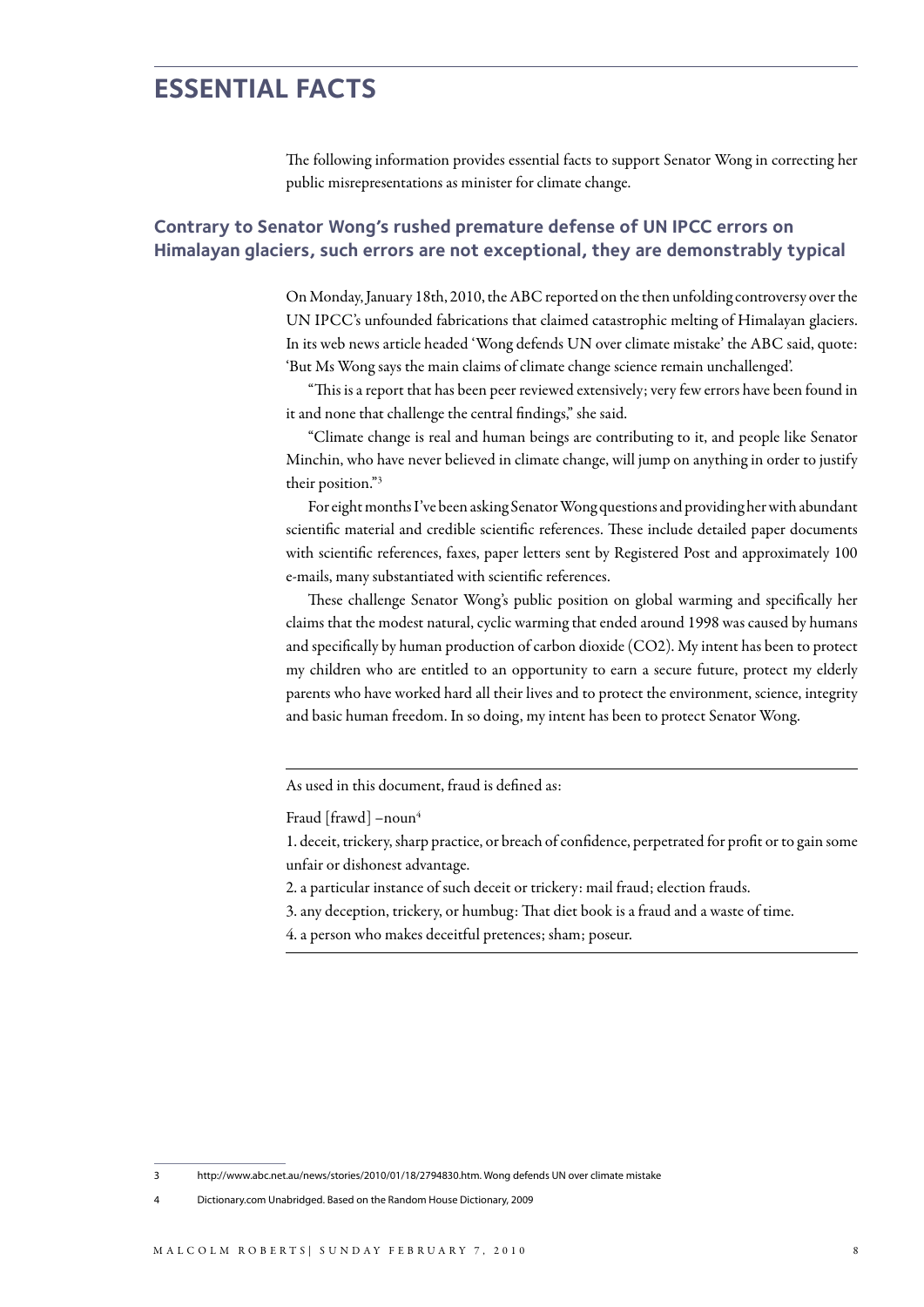#### **Essential Facts**

The following information provides essential facts to support Senator Wong in correcting her public misrepresentations as minister for climate change.

#### **Contrary to Senator Wong's rushed premature defense of un ipcc errors on Himalayan glaciers, such errors are not exceptional, they are demonstrably typical**

On Monday, January 18th, 2010, the ABC reported on the then unfolding controversy over the UN IPCC's unfounded fabrications that claimed catastrophic melting of Himalayan glaciers. In its web news article headed 'Wong defends UN over climate mistake' the ABC said, quote: 'But Ms Wong says the main claims of climate change science remain unchallenged'.

"This is a report that has been peer reviewed extensively; very few errors have been found in it and none that challenge the central findings," she said.

"Climate change is real and human beings are contributing to it, and people like Senator Minchin, who have never believed in climate change, will jump on anything in order to justify their position."3

For eight months I've been asking Senator Wong questions and providing her with abundant scientific material and credible scientific references. These include detailed paper documents with scientific references, faxes, paper letters sent by Registered Post and approximately 100 e-mails, many substantiated with scientific references.

These challenge Senator Wong's public position on global warming and specifically her claims that the modest natural, cyclic warming that ended around 1998 was caused by humans and specifically by human production of carbon dioxide (CO2). My intent has been to protect my children who are entitled to an opportunity to earn a secure future, protect my elderly parents who have worked hard all their lives and to protect the environment, science, integrity and basic human freedom. In so doing, my intent has been to protect Senator Wong.

As used in this document, fraud is defined as:

Fraud [frawd]  $-noun<sup>4</sup>$ 

1. deceit, trickery, sharp practice, or breach of confidence, perpetrated for profit or to gain some unfair or dishonest advantage.

2. a particular instance of such deceit or trickery: mail fraud; election frauds.

3. any deception, trickery, or humbug: That diet book is a fraud and a waste of time.

4. a person who makes deceitful pretences; sham; poseur.

4 Dictionary.com Unabridged. Based on the Random House Dictionary, 2009

<sup>3</sup> http://www.abc.net.au/news/stories/2010/01/18/2794830.htm. Wong defends UN over climate mistake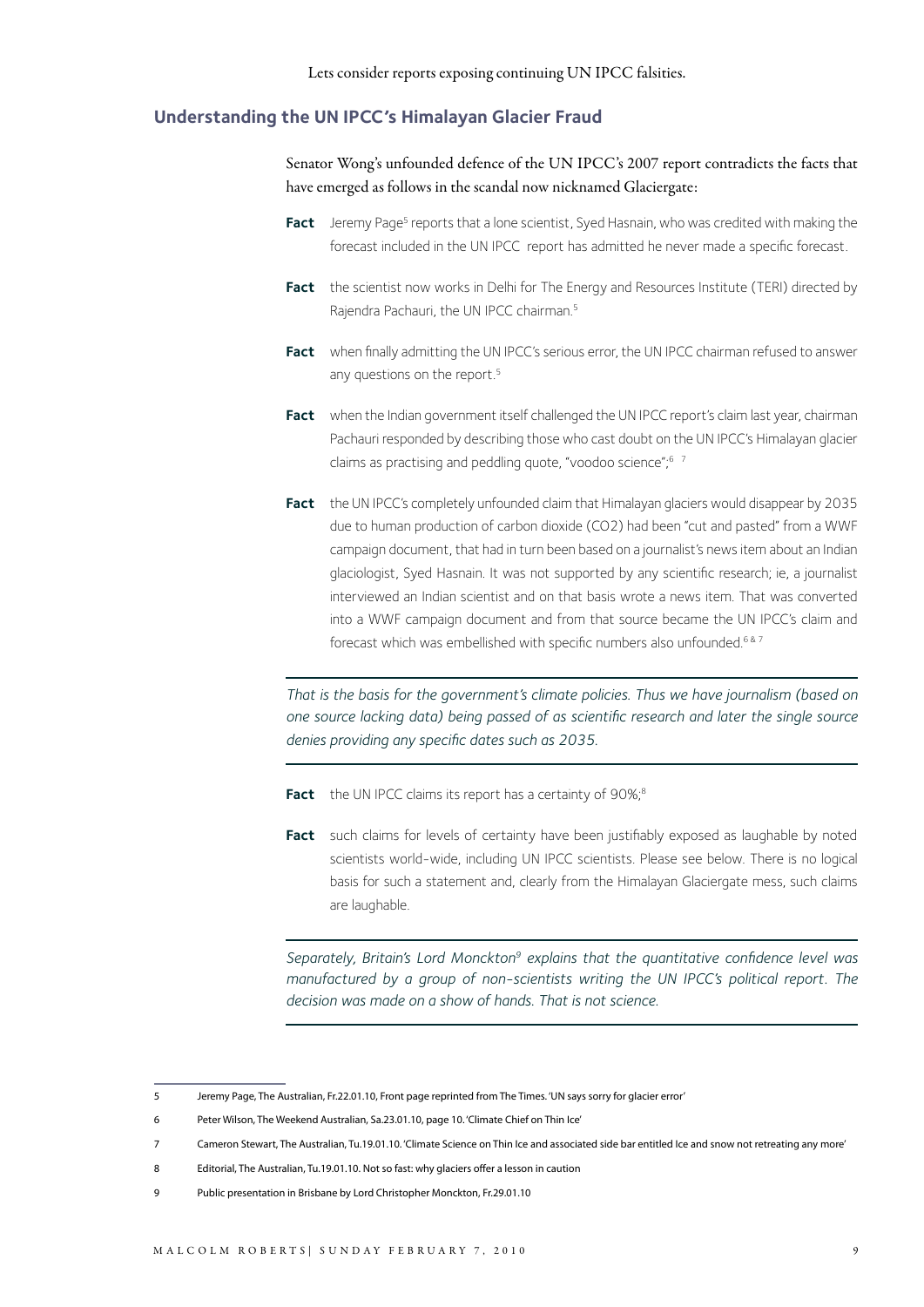#### **Understanding the UN IPCC's Himalayan Glacier Fraud**

Senator Wong's unfounded defence of the UN IPCC's 2007 report contradicts the facts that have emerged as follows in the scandal now nicknamed Glaciergate:

- Fact Jeremy Page<sup>5</sup> reports that a lone scientist, Syed Hasnain, who was credited with making the forecast included in the UN IPCC report has admitted he never made a specific forecast.
- **Fact** the scientist now works in Delhi for The Energy and Resources Institute (TERI) directed by Rajendra Pachauri, the UN IPCC chairman.5
- **Fact** when finally admitting the UN IPCC's serious error, the UN IPCC chairman refused to answer any questions on the report.<sup>5</sup>
- Fact when the Indian government itself challenged the UN IPCC report's claim last year, chairman Pachauri responded by describing those who cast doubt on the UN IPCC's Himalayan glacier claims as practising and peddling quote, "voodoo science";<sup>6</sup>
- Fact the UN IPCC's completely unfounded claim that Himalayan glaciers would disappear by 2035 due to human production of carbon dioxide (CO2) had been "cut and pasted" from a WWF campaign document, that had in turn been based on a journalist's news item about an Indian glaciologist, Syed Hasnain. It was not supported by any scientific research; ie, a journalist interviewed an Indian scientist and on that basis wrote a news item. That was converted into a WWF campaign document and from that source became the UN IPCC's claim and forecast which was embellished with specific numbers also unfounded.<sup>6 & 7</sup>

*That is the basis for the government's climate policies. Thus we have journalism (based on one source lacking data) being passed of as scientific research and later the single source denies providing any specific dates such as 2035.*

Fact the UN IPCC claims its report has a certainty of 90%;<sup>8</sup>

**Fact** such claims for levels of certainty have been justifiably exposed as laughable by noted scientists world-wide, including UN IPCC scientists. Please see below. There is no logical basis for such a statement and, clearly from the Himalayan Glaciergate mess, such claims are laughable.

*Separately, Britain's Lord Monckton9 explains that the quantitative confidence level was manufactured by a group of non-scientists writing the UN IPCC's political report. The decision was made on a show of hands. That is not science.*

<sup>5</sup> Jeremy Page, The Australian, Fr.22.01.10, Front page reprinted from The Times. 'UN says sorry for glacier error'

<sup>6</sup> Peter Wilson, The Weekend Australian, Sa.23.01.10, page 10. 'Climate Chief on Thin Ice'

<sup>7</sup> Cameron Stewart, The Australian, Tu.19.01.10. 'Climate Science on Thin Ice and associated side bar entitled Ice and snow not retreating any more'

<sup>8</sup> Editorial, The Australian, Tu.19.01.10. Not so fast: why glaciers offer a lesson in caution

<sup>9</sup> Public presentation in Brisbane by Lord Christopher Monckton, Fr.29.01.10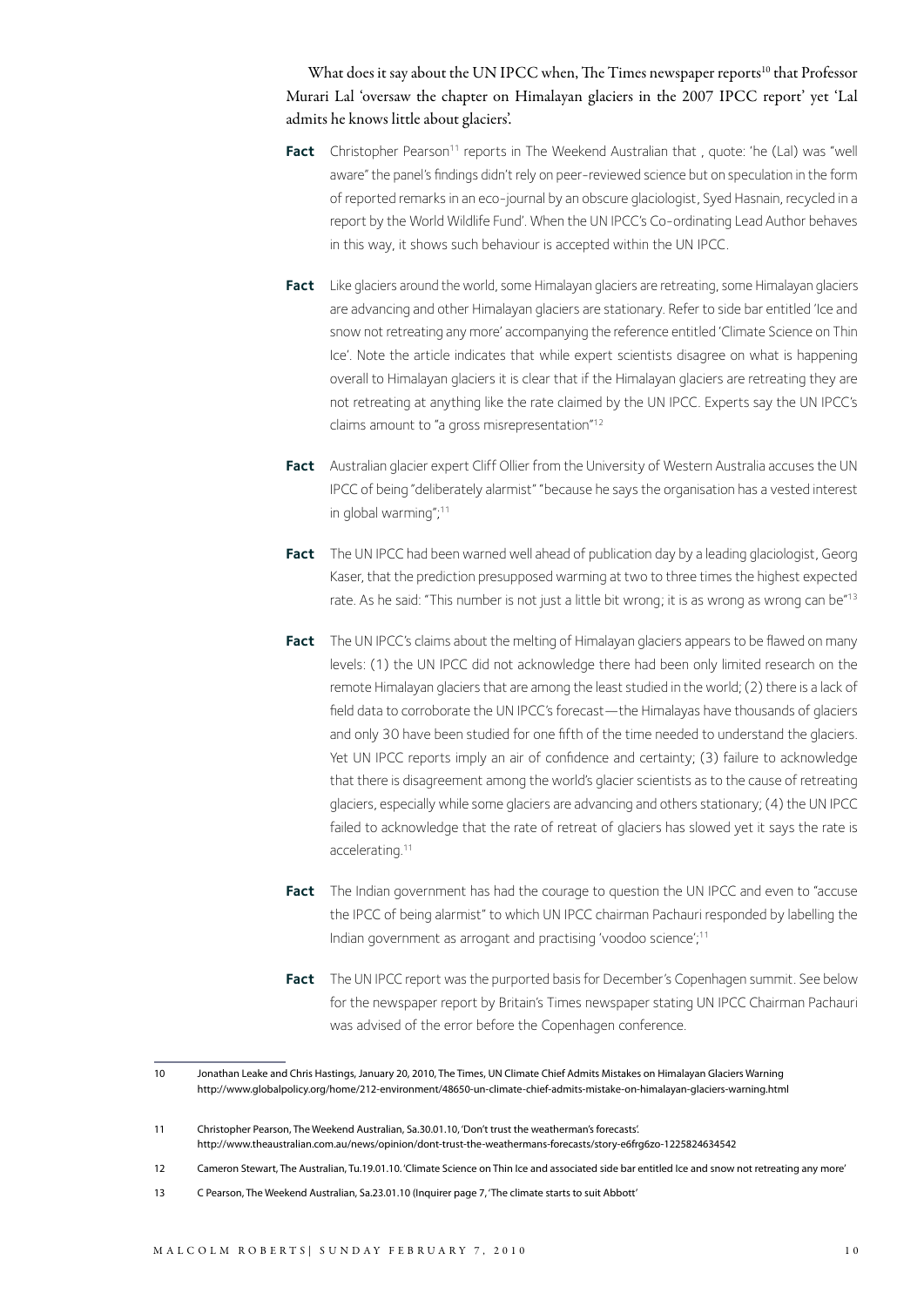What does it say about the UN IPCC when, The Times newspaper reports<sup>10</sup> that Professor Murari Lal 'oversaw the chapter on Himalayan glaciers in the 2007 IPCC report' yet 'Lal admits he knows little about glaciers'.

- **Fact** Christopher Pearson<sup>11</sup> reports in The Weekend Australian that, quote: 'he (Lal) was "well aware" the panel's findings didn't rely on peer-reviewed science but on speculation in the form of reported remarks in an eco-journal by an obscure glaciologist, Syed Hasnain, recycled in a report by the World Wildlife Fund'. When the UN IPCC's Co-ordinating Lead Author behaves in this way, it shows such behaviour is accepted within the UN IPCC.
- **Fact** Like glaciers around the world, some Himalayan glaciers are retreating, some Himalayan glaciers are advancing and other Himalayan glaciers are stationary. Refer to side bar entitled 'Ice and snow not retreating any more' accompanying the reference entitled 'Climate Science on Thin Ice'. Note the article indicates that while expert scientists disagree on what is happening overall to Himalayan glaciers it is clear that if the Himalayan glaciers are retreating they are not retreating at anything like the rate claimed by the UN IPCC. Experts say the UN IPCC's claims amount to "a gross misrepresentation"12
- Fact Australian glacier expert Cliff Ollier from the University of Western Australia accuses the UN IPCC of being "deliberately alarmist" "because he says the organisation has a vested interest in global warming";11
- **Fact** The UN IPCC had been warned well ahead of publication day by a leading glaciologist, Georg Kaser, that the prediction presupposed warming at two to three times the highest expected rate. As he said: "This number is not just a little bit wrong; it is as wrong as wrong can be"<sup>13</sup>
- **Fact** The UN IPCC's claims about the melting of Himalayan glaciers appears to be flawed on many levels: (1) the UN IPCC did not acknowledge there had been only limited research on the remote Himalayan glaciers that are among the least studied in the world; (2) there is a lack of field data to corroborate the UN IPCC's forecast—the Himalayas have thousands of glaciers and only 30 have been studied for one fifth of the time needed to understand the glaciers. Yet UN IPCC reports imply an air of confidence and certainty; (3) failure to acknowledge that there is disagreement among the world's glacier scientists as to the cause of retreating glaciers, especially while some glaciers are advancing and others stationary; (4) the UN IPCC failed to acknowledge that the rate of retreat of glaciers has slowed yet it says the rate is accelerating.11
- **Fact** The Indian government has had the courage to question the UN IPCC and even to "accuse the IPCC of being alarmist" to which UN IPCC chairman Pachauri responded by labelling the Indian government as arrogant and practising 'voodoo science';11
- **Fact** The UN IPCC report was the purported basis for December's Copenhagen summit. See below for the newspaper report by Britain's Times newspaper stating UN IPCC Chairman Pachauri was advised of the error before the Copenhagen conference.
- 10 Jonathan Leake and Chris Hastings, January 20, 2010, The Times, UN Climate Chief Admits Mistakes on Himalayan Glaciers Warning http://www.globalpolicy.org/home/212-environment/48650-un-climate-chief-admits-mistake-on-himalayan-glaciers-warning.html

<sup>11</sup> Christopher Pearson, The Weekend Australian, Sa.30.01.10, 'Don't trust the weatherman's forecasts'. http://www.theaustralian.com.au/news/opinion/dont-trust-the-weathermans-forecasts/story-e6frg6zo-1225824634542

<sup>12</sup> Cameron Stewart, The Australian, Tu.19.01.10. 'Climate Science on Thin Ice and associated side bar entitled Ice and snow not retreating any more'

<sup>13</sup> C Pearson, The Weekend Australian, Sa.23.01.10 (Inquirer page 7, 'The climate starts to suit Abbott'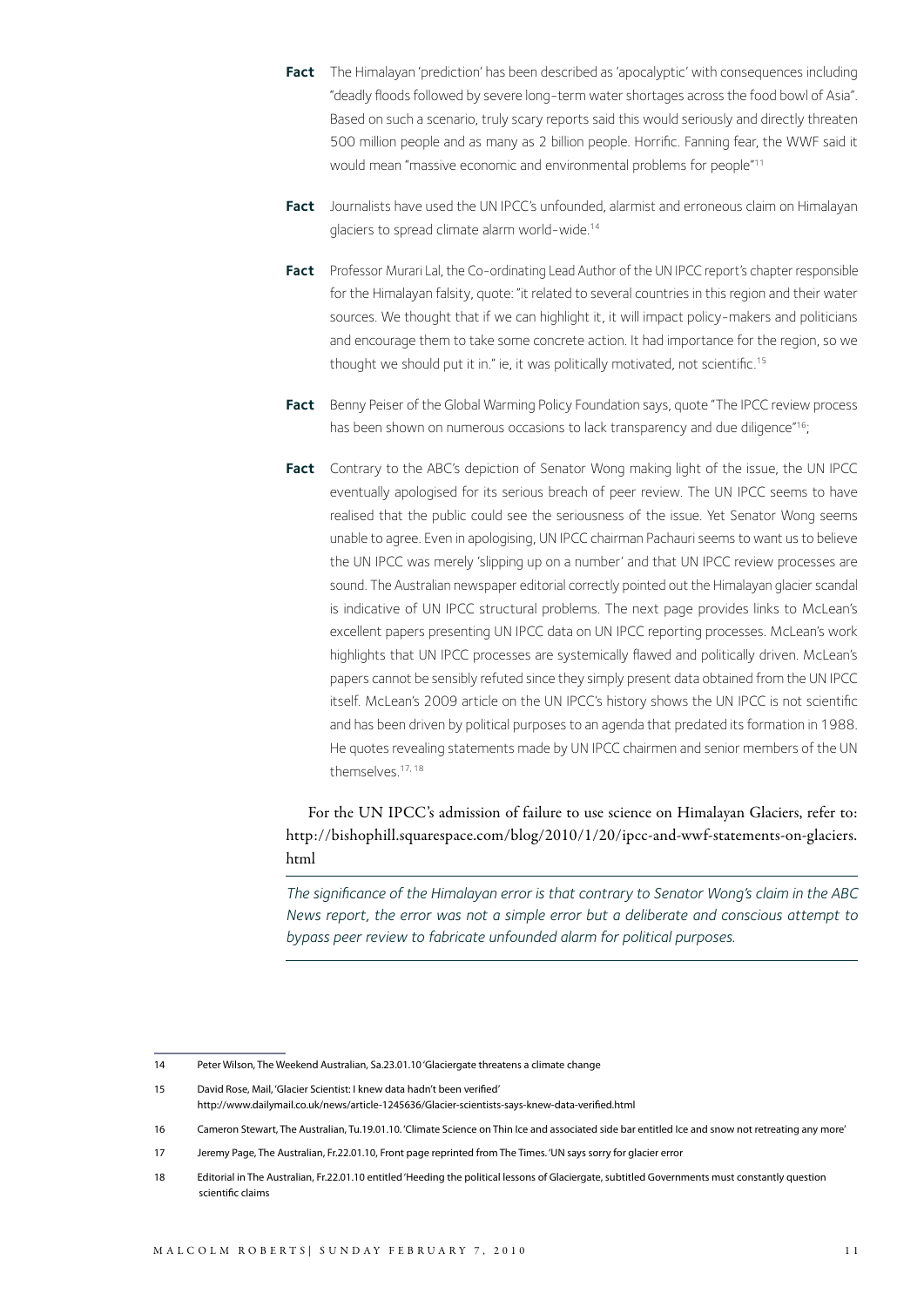- **Fact** The Himalayan 'prediction' has been described as 'apocalyptic' with consequences including "deadly floods followed by severe long-term water shortages across the food bowl of Asia". Based on such a scenario, truly scary reports said this would seriously and directly threaten 500 million people and as many as 2 billion people. Horrific. Fanning fear, the WWF said it would mean "massive economic and environmental problems for people"11
- Fact Journalists have used the UN IPCC's unfounded, alarmist and erroneous claim on Himalayan glaciers to spread climate alarm world-wide.14
- **Fact** Professor Murari Lal, the Co-ordinating Lead Author of the UN IPCC report's chapter responsible for the Himalayan falsity, quote: "it related to several countries in this region and their water sources. We thought that if we can highlight it, it will impact policy-makers and politicians and encourage them to take some concrete action. It had importance for the region, so we thought we should put it in." ie, it was politically motivated, not scientific.<sup>15</sup>
- **Fact** Benny Peiser of the Global Warming Policy Foundation says, quote "The IPCC review process has been shown on numerous occasions to lack transparency and due diligence"<sup>16</sup>;
- **Fact** Contrary to the ABC's depiction of Senator Wong making light of the issue, the UN IPCC eventually apologised for its serious breach of peer review. The UN IPCC seems to have realised that the public could see the seriousness of the issue. Yet Senator Wong seems unable to agree. Even in apologising, UN IPCC chairman Pachauri seems to want us to believe the UN IPCC was merely 'slipping up on a number' and that UN IPCC review processes are sound. The Australian newspaper editorial correctly pointed out the Himalayan glacier scandal is indicative of UN IPCC structural problems. The next page provides links to McLean's excellent papers presenting UN IPCC data on UN IPCC reporting processes. McLean's work highlights that UN IPCC processes are systemically flawed and politically driven. McLean's papers cannot be sensibly refuted since they simply present data obtained from the UN IPCC itself. McLean's 2009 article on the UN IPCC's history shows the UN IPCC is not scientific and has been driven by political purposes to an agenda that predated its formation in 1988. He quotes revealing statements made by UN IPCC chairmen and senior members of the UN themselves.17, 18

#### For the UN IPCC's admission of failure to use science on Himalayan Glaciers, refer to: http://bishophill.squarespace.com/blog/2010/1/20/ipcc-and-wwf-statements-on-glaciers. html

*The significance of the Himalayan error is that contrary to Senator Wong's claim in the ABC News report, the error was not a simple error but a deliberate and conscious attempt to bypass peer review to fabricate unfounded alarm for political purposes.*

<sup>14</sup> Peter Wilson, The Weekend Australian, Sa.23.01.10 'Glaciergate threatens a climate change

<sup>15</sup> David Rose, Mail, 'Glacier Scientist: I knew data hadn't been verified' http://www.dailymail.co.uk/news/article-1245636/Glacier-scientists-says-knew-data-verified.html

<sup>16</sup> Cameron Stewart, The Australian, Tu.19.01.10. 'Climate Science on Thin Ice and associated side bar entitled Ice and snow not retreating any more'

<sup>17</sup> Jeremy Page, The Australian, Fr.22.01.10, Front page reprinted from The Times. 'UN says sorry for glacier error

<sup>18</sup> Editorial in The Australian, Fr.22.01.10 entitled 'Heeding the political lessons of Glaciergate, subtitled Governments must constantly question scientific claims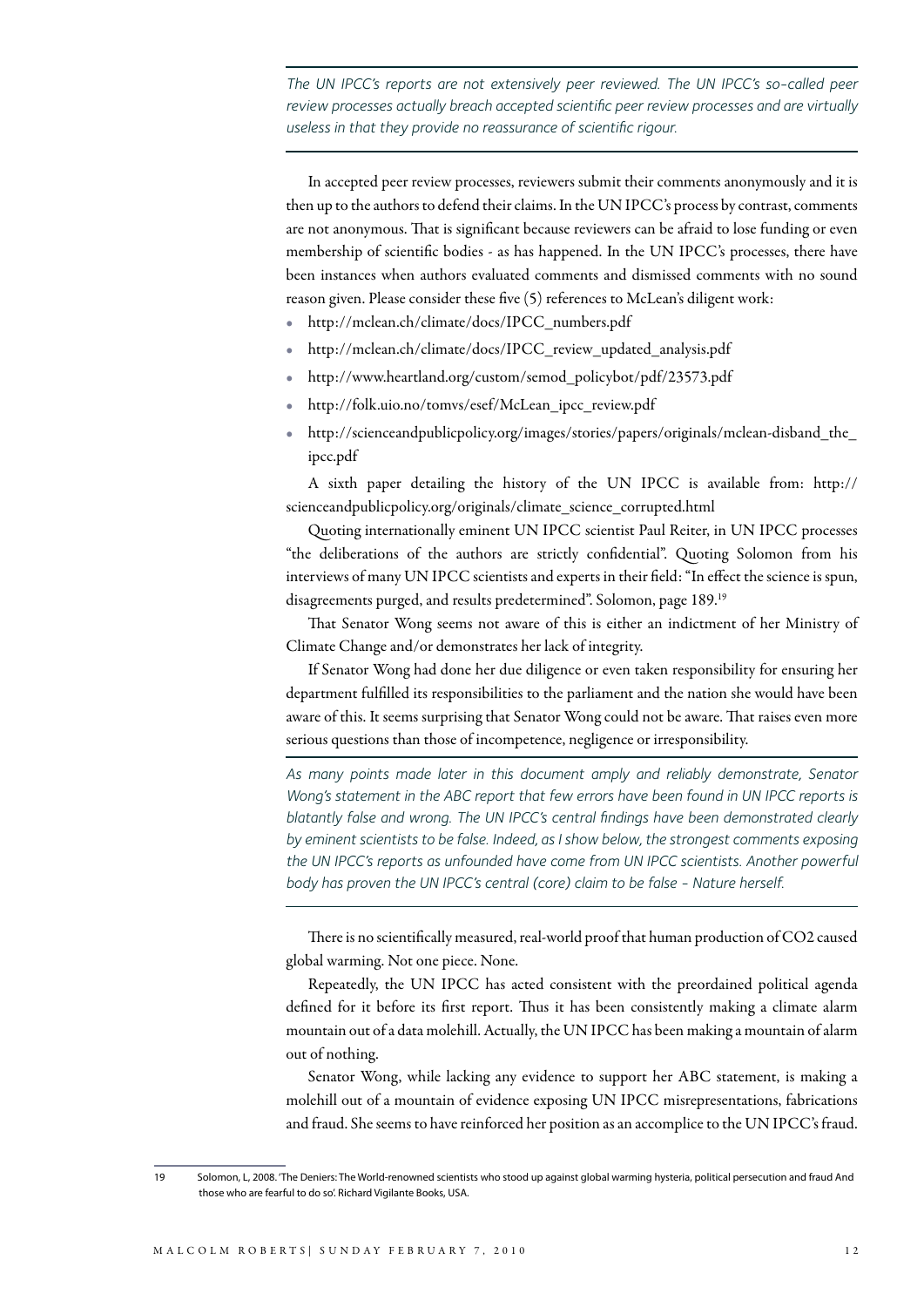*The UN IPCC's reports are not extensively peer reviewed. The UN IPCC's so-called peer review processes actually breach accepted scientific peer review processes and are virtually useless in that they provide no reassurance of scientific rigour.*

In accepted peer review processes, reviewers submit their comments anonymously and it is then up to the authors to defend their claims. In the UN IPCC's process by contrast, comments are not anonymous. That is significant because reviewers can be afraid to lose funding or even membership of scientific bodies - as has happened. In the UN IPCC's processes, there have been instances when authors evaluated comments and dismissed comments with no sound reason given. Please consider these five (5) references to McLean's diligent work:

- http://mclean.ch/climate/docs/IPCC\_numbers.pdf
- http://mclean.ch/climate/docs/IPCC\_review\_updated\_analysis.pdf
- http://www.heartland.org/custom/semod\_policybot/pdf/23573.pdf
- http://folk.uio.no/tomvs/esef/McLean\_ipcc\_review.pdf
- http://scienceandpublicpolicy.org/images/stories/papers/originals/mclean-disband\_the\_ ipcc.pdf

A sixth paper detailing the history of the UN IPCC is available from: http:// scienceandpublicpolicy.org/originals/climate\_science\_corrupted.html

Quoting internationally eminent UN IPCC scientist Paul Reiter, in UN IPCC processes "the deliberations of the authors are strictly confidential". Quoting Solomon from his interviews of many UN IPCC scientists and experts in their field: "In effect the science is spun, disagreements purged, and results predetermined". Solomon, page 189.<sup>19</sup>

That Senator Wong seems not aware of this is either an indictment of her Ministry of Climate Change and/or demonstrates her lack of integrity.

If Senator Wong had done her due diligence or even taken responsibility for ensuring her department fulfilled its responsibilities to the parliament and the nation she would have been aware of this. It seems surprising that Senator Wong could not be aware. That raises even more serious questions than those of incompetence, negligence or irresponsibility.

*As many points made later in this document amply and reliably demonstrate, Senator Wong's statement in the ABC report that few errors have been found in UN IPCC reports is blatantly false and wrong. The UN IPCC's central findings have been demonstrated clearly by eminent scientists to be false. Indeed, as I show below, the strongest comments exposing*  the UN IPCC's reports as unfounded have come from UN IPCC scientists. Another powerful *body has proven the UN IPCC's central (core) claim to be false - Nature herself.*

There is no scientifically measured, real-world proof that human production of CO2 caused global warming. Not one piece. None.

Repeatedly, the UN IPCC has acted consistent with the preordained political agenda defined for it before its first report. Thus it has been consistently making a climate alarm mountain out of a data molehill. Actually, the UN IPCC has been making a mountain of alarm out of nothing.

Senator Wong, while lacking any evidence to support her ABC statement, is making a molehill out of a mountain of evidence exposing UN IPCC misrepresentations, fabrications and fraud. She seems to have reinforced her position as an accomplice to the UN IPCC's fraud.

<sup>19</sup> Solomon, L, 2008. 'The Deniers: The World-renowned scientists who stood up against global warming hysteria, political persecution and fraud And those who are fearful to do so'. Richard Vigilante Books, USA.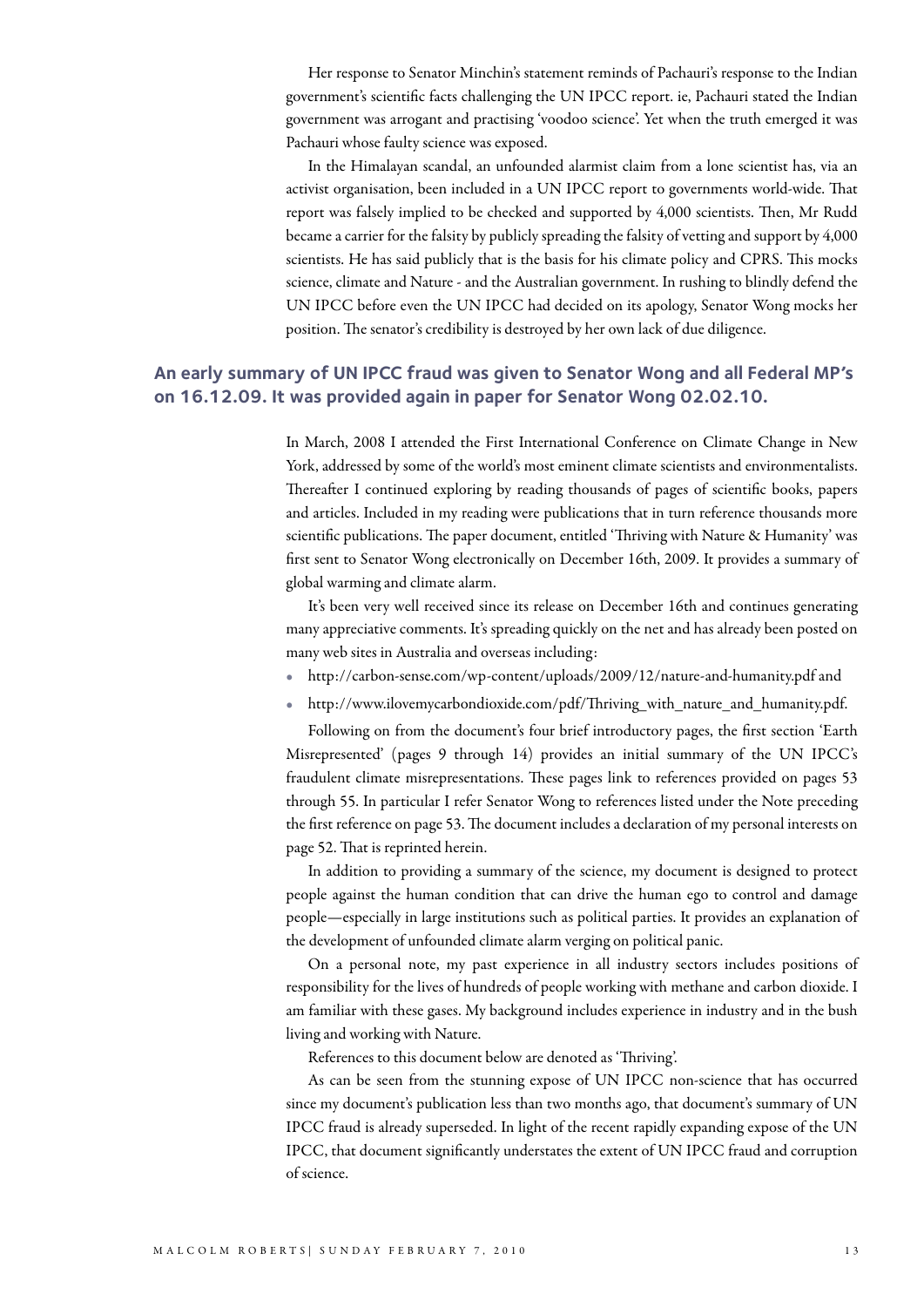Her response to Senator Minchin's statement reminds of Pachauri's response to the Indian government's scientific facts challenging the UN IPCC report. ie, Pachauri stated the Indian government was arrogant and practising 'voodoo science'. Yet when the truth emerged it was Pachauri whose faulty science was exposed.

In the Himalayan scandal, an unfounded alarmist claim from a lone scientist has, via an activist organisation, been included in a UN IPCC report to governments world-wide. That report was falsely implied to be checked and supported by 4,000 scientists. Then, Mr Rudd became a carrier for the falsity by publicly spreading the falsity of vetting and support by 4,000 scientists. He has said publicly that is the basis for his climate policy and CPRS. This mocks science, climate and Nature - and the Australian government. In rushing to blindly defend the UN IPCC before even the UN IPCC had decided on its apology, Senator Wong mocks her position. The senator's credibility is destroyed by her own lack of due diligence.

#### **An early summary of un ipcc fraud was given to Senator Wong and all Federal mp's on 16.12.09. It was provided again in paper for Senator Wong 02.02.10.**

In March, 2008 I attended the First International Conference on Climate Change in New York, addressed by some of the world's most eminent climate scientists and environmentalists. Thereafter I continued exploring by reading thousands of pages of scientific books, papers and articles. Included in my reading were publications that in turn reference thousands more scientific publications. The paper document, entitled 'Thriving with Nature & Humanity' was first sent to Senator Wong electronically on December 16th, 2009. It provides a summary of global warming and climate alarm.

It's been very well received since its release on December 16th and continues generating many appreciative comments. It's spreading quickly on the net and has already been posted on many web sites in Australia and overseas including:

- http://carbon-sense.com/wp-content/uploads/2009/12/nature-and-humanity.pdf and
- http://www.ilovemycarbondioxide.com/pdf/Thriving\_with\_nature\_and\_humanity.pdf.

Following on from the document's four brief introductory pages, the first section 'Earth Misrepresented' (pages 9 through 14) provides an initial summary of the UN IPCC's fraudulent climate misrepresentations. These pages link to references provided on pages 53 through 55. In particular I refer Senator Wong to references listed under the Note preceding the first reference on page 53. The document includes a declaration of my personal interests on page 52. That is reprinted herein.

In addition to providing a summary of the science, my document is designed to protect people against the human condition that can drive the human ego to control and damage people—especially in large institutions such as political parties. It provides an explanation of the development of unfounded climate alarm verging on political panic.

On a personal note, my past experience in all industry sectors includes positions of responsibility for the lives of hundreds of people working with methane and carbon dioxide. I am familiar with these gases. My background includes experience in industry and in the bush living and working with Nature.

References to this document below are denoted as 'Thriving'.

As can be seen from the stunning expose of UN IPCC non-science that has occurred since my document's publication less than two months ago, that document's summary of UN IPCC fraud is already superseded. In light of the recent rapidly expanding expose of the UN IPCC, that document significantly understates the extent of UN IPCC fraud and corruption of science.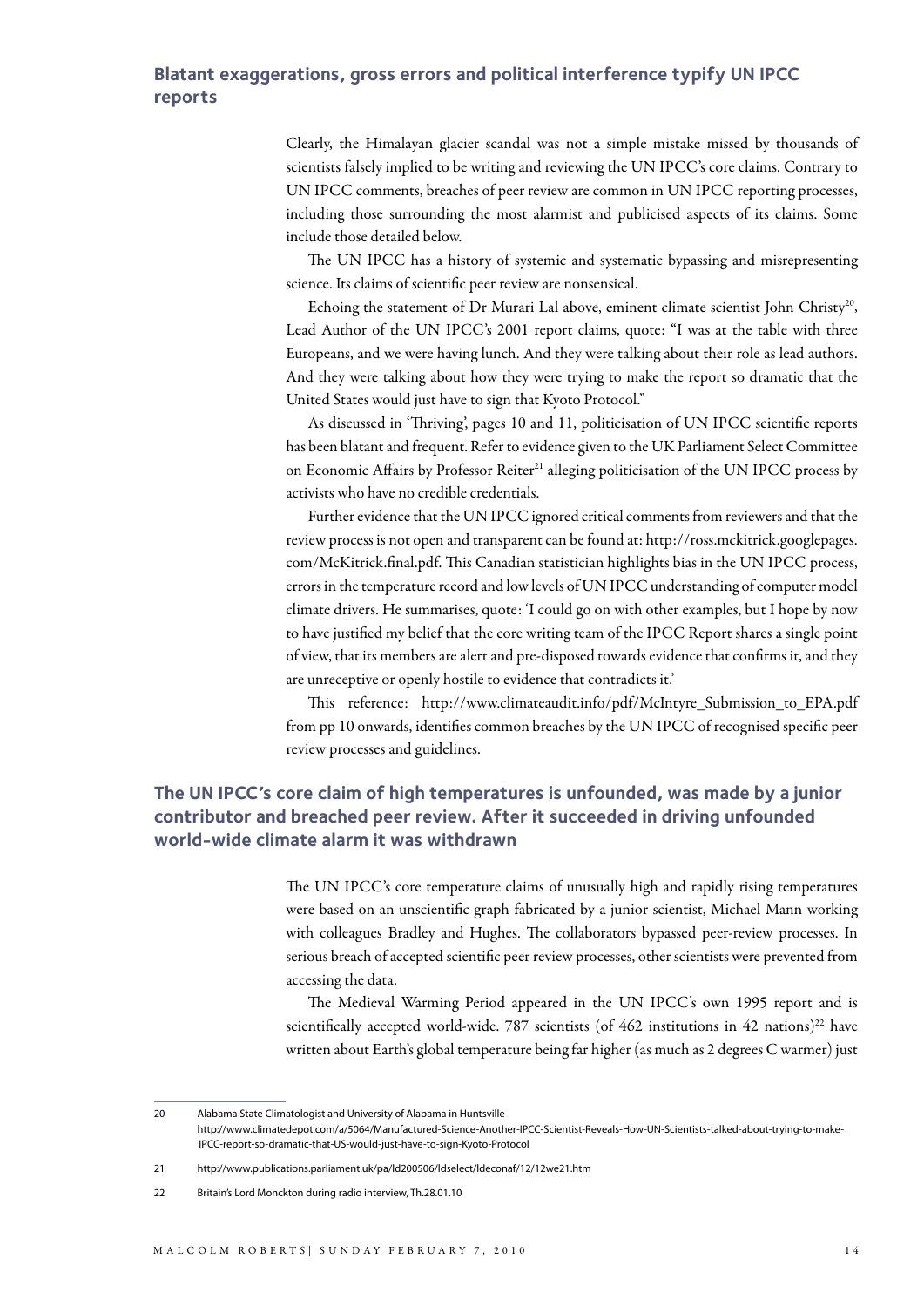#### **Blatant exaggerations, gross errors and political interference typify un ipcc reports**

Clearly, the Himalayan glacier scandal was not a simple mistake missed by thousands of scientists falsely implied to be writing and reviewing the UN IPCC's core claims. Contrary to UN IPCC comments, breaches of peer review are common in UN IPCC reporting processes, including those surrounding the most alarmist and publicised aspects of its claims. Some include those detailed below.

The UN IPCC has a history of systemic and systematic bypassing and misrepresenting science. Its claims of scientific peer review are nonsensical.

Echoing the statement of Dr Murari Lal above, eminent climate scientist John Christy<sup>20</sup>, Lead Author of the UN IPCC's 2001 report claims, quote: "I was at the table with three Europeans, and we were having lunch. And they were talking about their role as lead authors. And they were talking about how they were trying to make the report so dramatic that the United States would just have to sign that Kyoto Protocol."

As discussed in 'Thriving', pages 10 and 11, politicisation of UN IPCC scientific reports has been blatant and frequent. Refer to evidence given to the UK Parliament Select Committee on Economic Affairs by Professor Reiter<sup>21</sup> alleging politicisation of the UN IPCC process by activists who have no credible credentials.

Further evidence that the UN IPCC ignored critical comments from reviewers and that the review process is not open and transparent can be found at: http://ross.mckitrick.googlepages. com/McKitrick.final.pdf. This Canadian statistician highlights bias in the UN IPCC process, errors in the temperature record and low levels of UN IPCC understanding of computer model climate drivers. He summarises, quote: 'I could go on with other examples, but I hope by now to have justified my belief that the core writing team of the IPCC Report shares a single point of view, that its members are alert and pre-disposed towards evidence that confirms it, and they are unreceptive or openly hostile to evidence that contradicts it.'

This reference: http://www.climateaudit.info/pdf/McIntyre\_Submission\_to\_EPA.pdf from pp 10 onwards, identifies common breaches by the UN IPCC of recognised specific peer review processes and guidelines.

#### **The UN IPCC's core claim of high temperatures is unfounded, was made by a junior contributor and breached peer review. After it succeeded in driving unfounded world-wide climate alarm it was withdrawn**

The UN IPCC's core temperature claims of unusually high and rapidly rising temperatures were based on an unscientific graph fabricated by a junior scientist, Michael Mann working with colleagues Bradley and Hughes. The collaborators bypassed peer-review processes. In serious breach of accepted scientific peer review processes, other scientists were prevented from accessing the data.

The Medieval Warming Period appeared in the UN IPCC's own 1995 report and is scientifically accepted world-wide. 787 scientists (of  $462$  institutions in  $42$  nations)<sup>22</sup> have written about Earth's global temperature being far higher (as much as 2 degrees C warmer) just

<sup>20</sup> Alabama State Climatologist and University of Alabama in Huntsville http://www.climatedepot.com/a/5064/Manufactured-Science-Another-IPCC-Scientist-Reveals-How-UN-Scientists-talked-about-trying-to-make-IPCC-report-so-dramatic-that-US-would-just-have-to-sign-Kyoto-Protocol

<sup>21</sup> http://www.publications.parliament.uk/pa/ld200506/ldselect/ldeconaf/12/12we21.htm

<sup>22</sup> Britain's Lord Monckton during radio interview, Th.28.01.10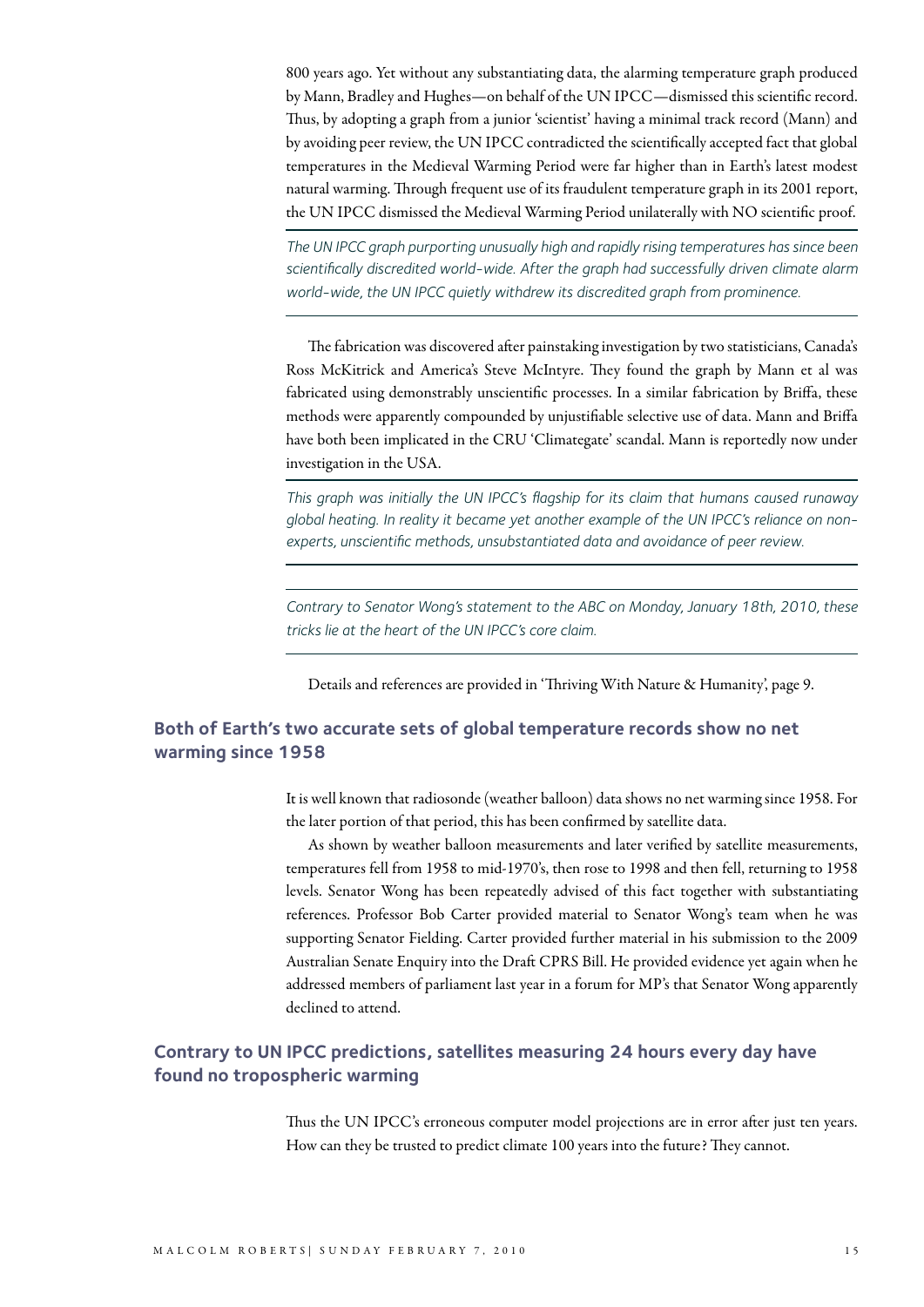800 years ago. Yet without any substantiating data, the alarming temperature graph produced by Mann, Bradley and Hughes—on behalf of the UN IPCC—dismissed this scientific record. Thus, by adopting a graph from a junior 'scientist' having a minimal track record (Mann) and by avoiding peer review, the UN IPCC contradicted the scientifically accepted fact that global temperatures in the Medieval Warming Period were far higher than in Earth's latest modest natural warming. Through frequent use of its fraudulent temperature graph in its 2001 report, the UN IPCC dismissed the Medieval Warming Period unilaterally with NO scientific proof.

*The UN IPCC graph purporting unusually high and rapidly rising temperatures has since been scientifically discredited world-wide. After the graph had successfully driven climate alarm world-wide, the UN IPCC quietly withdrew its discredited graph from prominence.*

The fabrication was discovered after painstaking investigation by two statisticians, Canada's Ross McKitrick and America's Steve McIntyre. They found the graph by Mann et al was fabricated using demonstrably unscientific processes. In a similar fabrication by Briffa, these methods were apparently compounded by unjustifiable selective use of data. Mann and Briffa have both been implicated in the CRU 'Climategate' scandal. Mann is reportedly now under investigation in the USA.

*This graph was initially the UN IPCC's flagship for its claim that humans caused runaway global heating. In reality it became yet another example of the UN IPCC's reliance on nonexperts, unscientific methods, unsubstantiated data and avoidance of peer review.*

*Contrary to Senator Wong's statement to the ABC on Monday, January 18th, 2010, these tricks lie at the heart of the UN IPCC's core claim.*

Details and references are provided in 'Thriving With Nature & Humanity', page 9.

#### **Both of Earth's two accurate sets of global temperature records show no net warming since 1958**

It is well known that radiosonde (weather balloon) data shows no net warming since 1958. For the later portion of that period, this has been confirmed by satellite data.

As shown by weather balloon measurements and later verified by satellite measurements, temperatures fell from 1958 to mid-1970's, then rose to 1998 and then fell, returning to 1958 levels. Senator Wong has been repeatedly advised of this fact together with substantiating references. Professor Bob Carter provided material to Senator Wong's team when he was supporting Senator Fielding. Carter provided further material in his submission to the 2009 Australian Senate Enquiry into the Draft CPRS Bill. He provided evidence yet again when he addressed members of parliament last year in a forum for MP's that Senator Wong apparently declined to attend.

#### **Contrary to UN IPCC predictions, satellites measuring 24 hours every day have found no tropospheric warming**

Thus the UN IPCC's erroneous computer model projections are in error after just ten years. How can they be trusted to predict climate 100 years into the future? They cannot.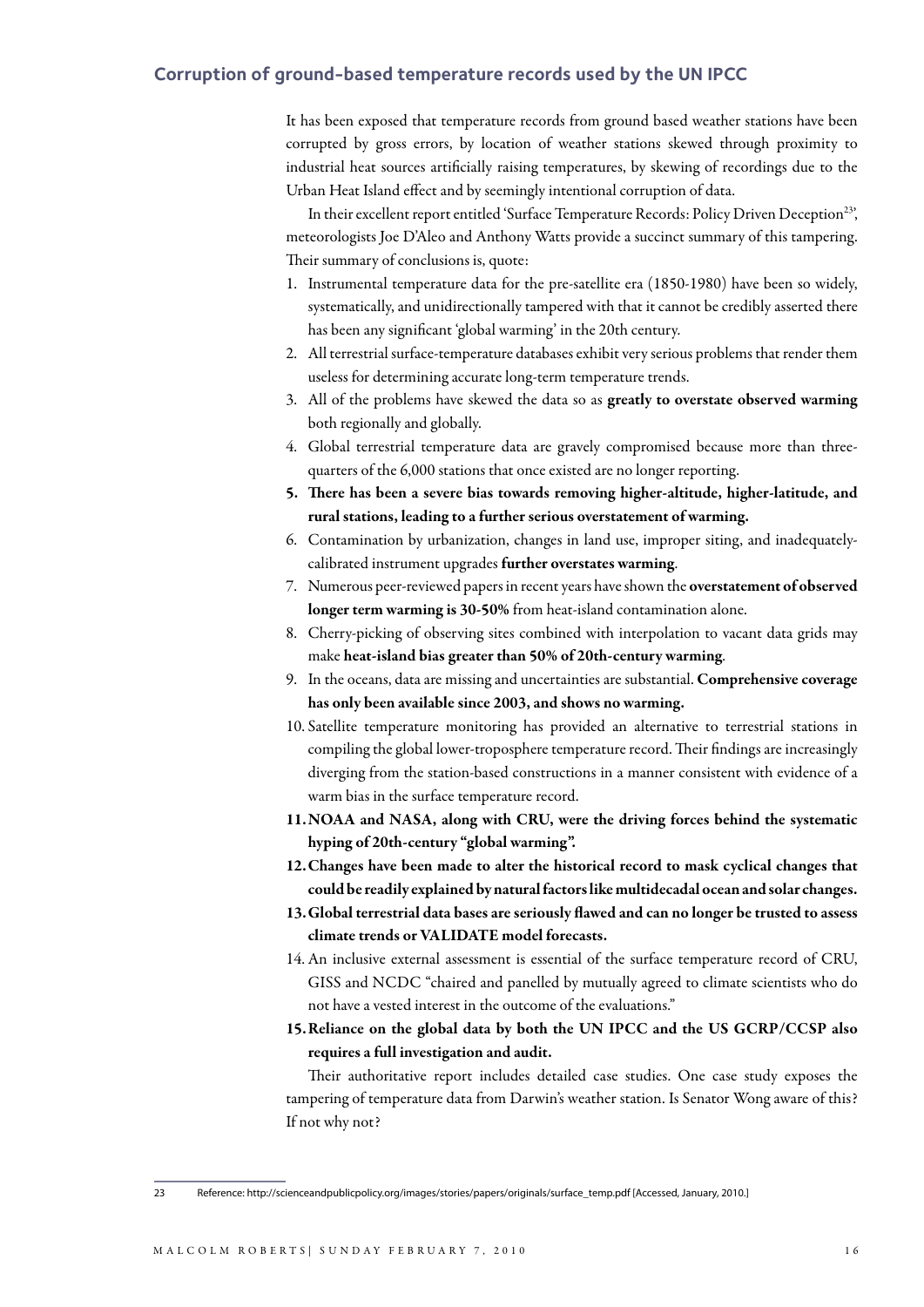#### **Corruption of ground-based temperature records used by the UN IPCC**

It has been exposed that temperature records from ground based weather stations have been corrupted by gross errors, by location of weather stations skewed through proximity to industrial heat sources artificially raising temperatures, by skewing of recordings due to the Urban Heat Island effect and by seemingly intentional corruption of data.

In their excellent report entitled 'Surface Temperature Records: Policy Driven Deception23', meteorologists Joe D'Aleo and Anthony Watts provide a succinct summary of this tampering. Their summary of conclusions is, quote:

- 1. Instrumental temperature data for the pre-satellite era (1850-1980) have been so widely, systematically, and unidirectionally tampered with that it cannot be credibly asserted there has been any significant 'global warming' in the 20th century.
- 2. All terrestrial surface-temperature databases exhibit very serious problems that render them useless for determining accurate long-term temperature trends.
- 3. All of the problems have skewed the data so as greatly to overstate observed warming both regionally and globally.
- 4. Global terrestrial temperature data are gravely compromised because more than threequarters of the 6,000 stations that once existed are no longer reporting.
- 5. There has been a severe bias towards removing higher-altitude, higher-latitude, and rural stations, leading to a further serious overstatement of warming.
- 6. Contamination by urbanization, changes in land use, improper siting, and inadequatelycalibrated instrument upgrades further overstates warming.
- 7. Numerous peer-reviewed papers in recent years have shown the overstatement of observed longer term warming is 30-50% from heat-island contamination alone.
- 8. Cherry-picking of observing sites combined with interpolation to vacant data grids may make heat-island bias greater than 50% of 20th-century warming.
- 9. In the oceans, data are missing and uncertainties are substantial. Comprehensive coverage has only been available since 2003, and shows no warming.
- 10. Satellite temperature monitoring has provided an alternative to terrestrial stations in compiling the global lower-troposphere temperature record. Their findings are increasingly diverging from the station-based constructions in a manner consistent with evidence of a warm bias in the surface temperature record.
- 11.NOAA and NASA, along with CRU, were the driving forces behind the systematic hyping of 20th-century "global warming".
- 12.Changes have been made to alter the historical record to mask cyclical changes that could be readily explained by natural factors like multidecadal ocean and solar changes.
- 13.Global terrestrial data bases are seriously flawed and can no longer be trusted to assess climate trends or VALIDATE model forecasts.
- 14. An inclusive external assessment is essential of the surface temperature record of CRU, GISS and NCDC "chaired and panelled by mutually agreed to climate scientists who do not have a vested interest in the outcome of the evaluations."
- 15.Reliance on the global data by both the UN IPCC and the US GCRP/CCSP also requires a full investigation and audit.

Their authoritative report includes detailed case studies. One case study exposes the tampering of temperature data from Darwin's weather station. Is Senator Wong aware of this? If not why not?

<sup>23</sup> Reference: http://scienceandpublicpolicy.org/images/stories/papers/originals/surface\_temp.pdf [Accessed, January, 2010.]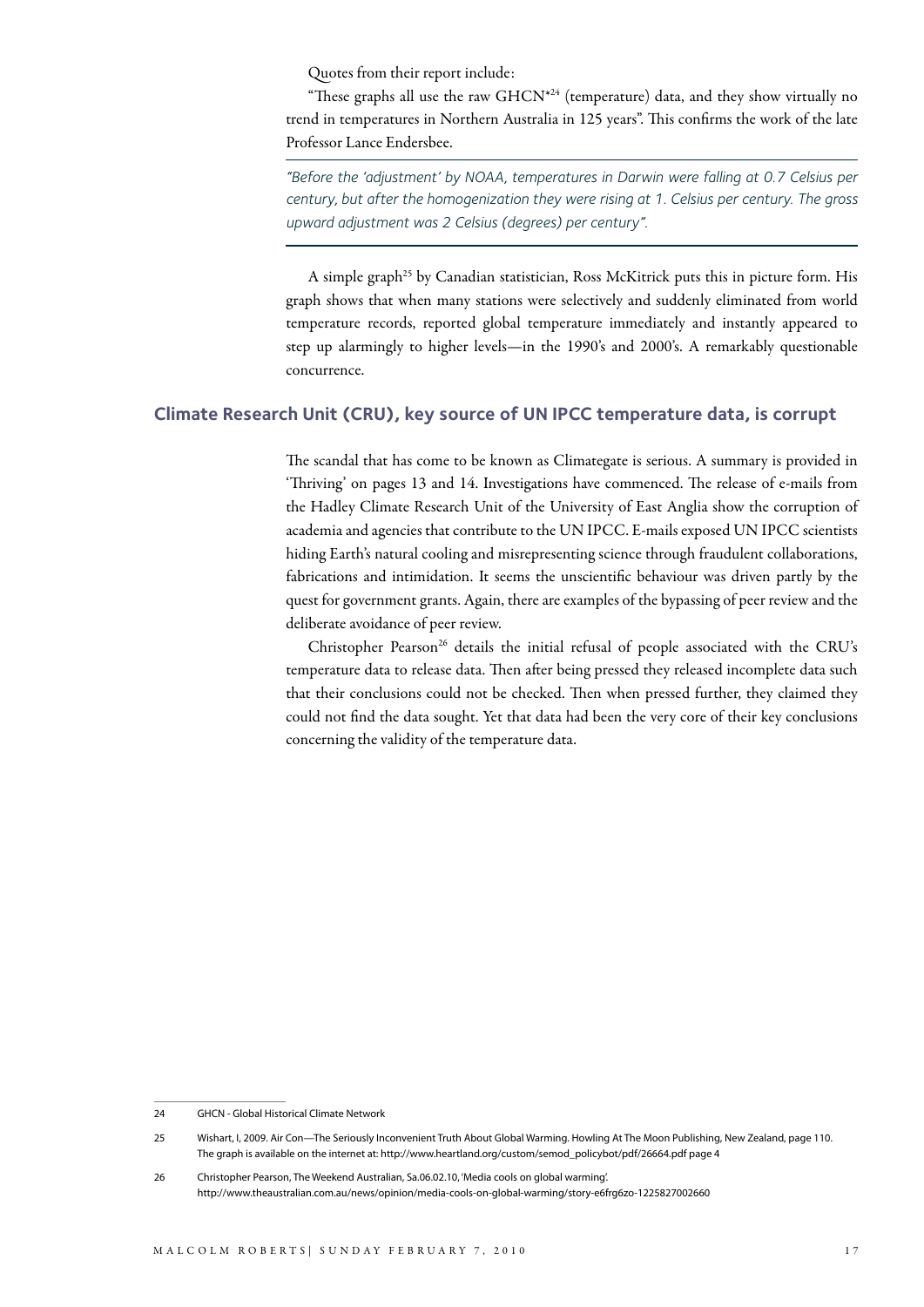Quotes from their report include:

"These graphs all use the raw  $\text{GHCN}^{24}$  (temperature) data, and they show virtually no trend in temperatures in Northern Australia in 125 years". This confirms the work of the late Professor Lance Endersbee.

*"Before the 'adjustment' by NOAA, temperatures in Darwin were falling at 0.7 Celsius per century, but after the homogenization they were rising at 1. Celsius per century. The gross upward adjustment was 2 Celsius (degrees) per century".*

A simple graph<sup>25</sup> by Canadian statistician, Ross McKitrick puts this in picture form. His graph shows that when many stations were selectively and suddenly eliminated from world temperature records, reported global temperature immediately and instantly appeared to step up alarmingly to higher levels—in the 1990's and 2000's. A remarkably questionable concurrence.

#### **Climate Research Unit (CRU), key source of un ipcc temperature data, is corrupt**

The scandal that has come to be known as Climategate is serious. A summary is provided in 'Thriving' on pages 13 and 14. Investigations have commenced. The release of e-mails from the Hadley Climate Research Unit of the University of East Anglia show the corruption of academia and agencies that contribute to the UN IPCC. E-mails exposed UN IPCC scientists hiding Earth's natural cooling and misrepresenting science through fraudulent collaborations, fabrications and intimidation. It seems the unscientific behaviour was driven partly by the quest for government grants. Again, there are examples of the bypassing of peer review and the deliberate avoidance of peer review.

Christopher Pearson<sup>26</sup> details the initial refusal of people associated with the CRU's temperature data to release data. Then after being pressed they released incomplete data such that their conclusions could not be checked. Then when pressed further, they claimed they could not find the data sought. Yet that data had been the very core of their key conclusions concerning the validity of the temperature data.

<sup>24</sup> GHCN - Global Historical Climate Network

<sup>25</sup> Wishart, I, 2009. Air Con—The Seriously Inconvenient Truth About Global Warming. Howling At The Moon Publishing, New Zealand, page 110. The graph is available on the internet at: http://www.heartland.org/custom/semod\_policybot/pdf/26664.pdf page 4

<sup>26</sup> Christopher Pearson, The Weekend Australian, Sa.06.02.10, 'Media cools on global warming'. http://www.theaustralian.com.au/news/opinion/media-cools-on-global-warming/story-e6frg6zo-1225827002660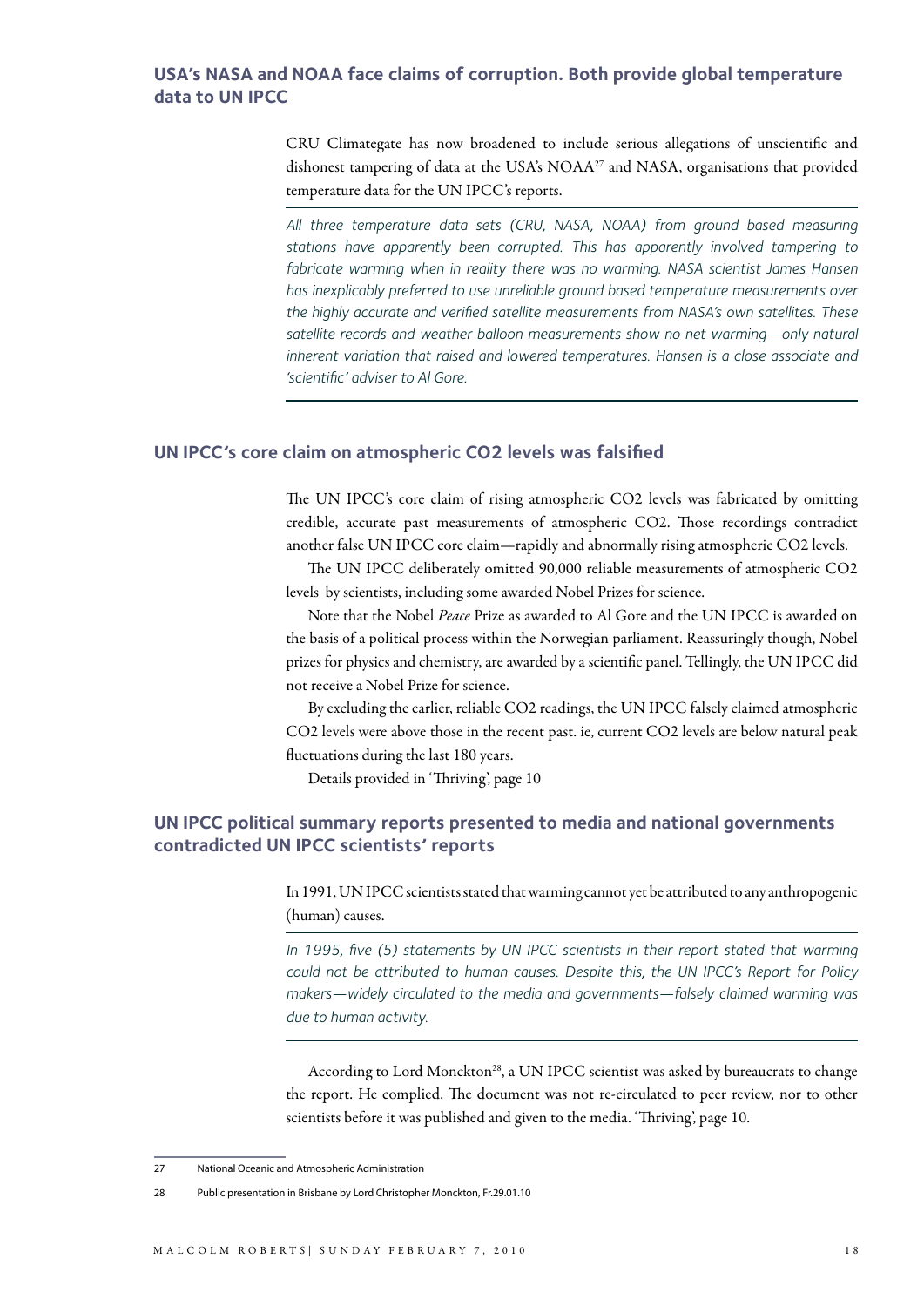#### **USA's NASA and NOAA face claims of corruption. Both provide global temperature data to UN IPCC**

CRU Climategate has now broadened to include serious allegations of unscientific and dishonest tampering of data at the USA's NOAA<sup>27</sup> and NASA, organisations that provided temperature data for the UN IPCC's reports.

*All three temperature data sets (CRU, NASA, NOAA) from ground based measuring stations have apparently been corrupted. This has apparently involved tampering to*  fabricate warming when in reality there was no warming. NASA scientist James Hansen *has inexplicably preferred to use unreliable ground based temperature measurements over the highly accurate and verified satellite measurements from NASA's own satellites. These satellite records and weather balloon measurements show no net warming—only natural inherent variation that raised and lowered temperatures. Hansen is a close associate and 'scientific' adviser to Al Gore.*

#### **UN IPCC's core claim on atmospheric co2 levels was falsified**

The UN IPCC's core claim of rising atmospheric CO2 levels was fabricated by omitting credible, accurate past measurements of atmospheric CO2. Those recordings contradict another false UN IPCC core claim—rapidly and abnormally rising atmospheric CO2 levels.

The UN IPCC deliberately omitted 90,000 reliable measurements of atmospheric CO2 levels by scientists, including some awarded Nobel Prizes for science.

Note that the Nobel *Peace* Prize as awarded to Al Gore and the UN IPCC is awarded on the basis of a political process within the Norwegian parliament. Reassuringly though, Nobel prizes for physics and chemistry, are awarded by a scientific panel. Tellingly, the UN IPCC did not receive a Nobel Prize for science.

By excluding the earlier, reliable CO2 readings, the UN IPCC falsely claimed atmospheric CO2 levels were above those in the recent past. ie, current CO2 levels are below natural peak fluctuations during the last 180 years.

Details provided in 'Thriving', page 10

#### **UN IPCC political summary reports presented to media and national governments contradicted un ipcc scientists' reports**

In 1991, UNIPCC scientists stated that warming cannot yet be attributed to any anthropogenic (human) causes.

*In 1995, five (5) statements by UN IPCC scientists in their report stated that warming could not be attributed to human causes. Despite this, the UN IPCC's Report for Policy makers—widely circulated to the media and governments—falsely claimed warming was due to human activity.*

According to Lord Monckton<sup>28</sup>, a UN IPCC scientist was asked by bureaucrats to change the report. He complied. The document was not re-circulated to peer review, nor to other scientists before it was published and given to the media. 'Thriving', page 10.

<sup>27</sup> National Oceanic and Atmospheric Administration

<sup>28</sup> Public presentation in Brisbane by Lord Christopher Monckton, Fr.29.01.10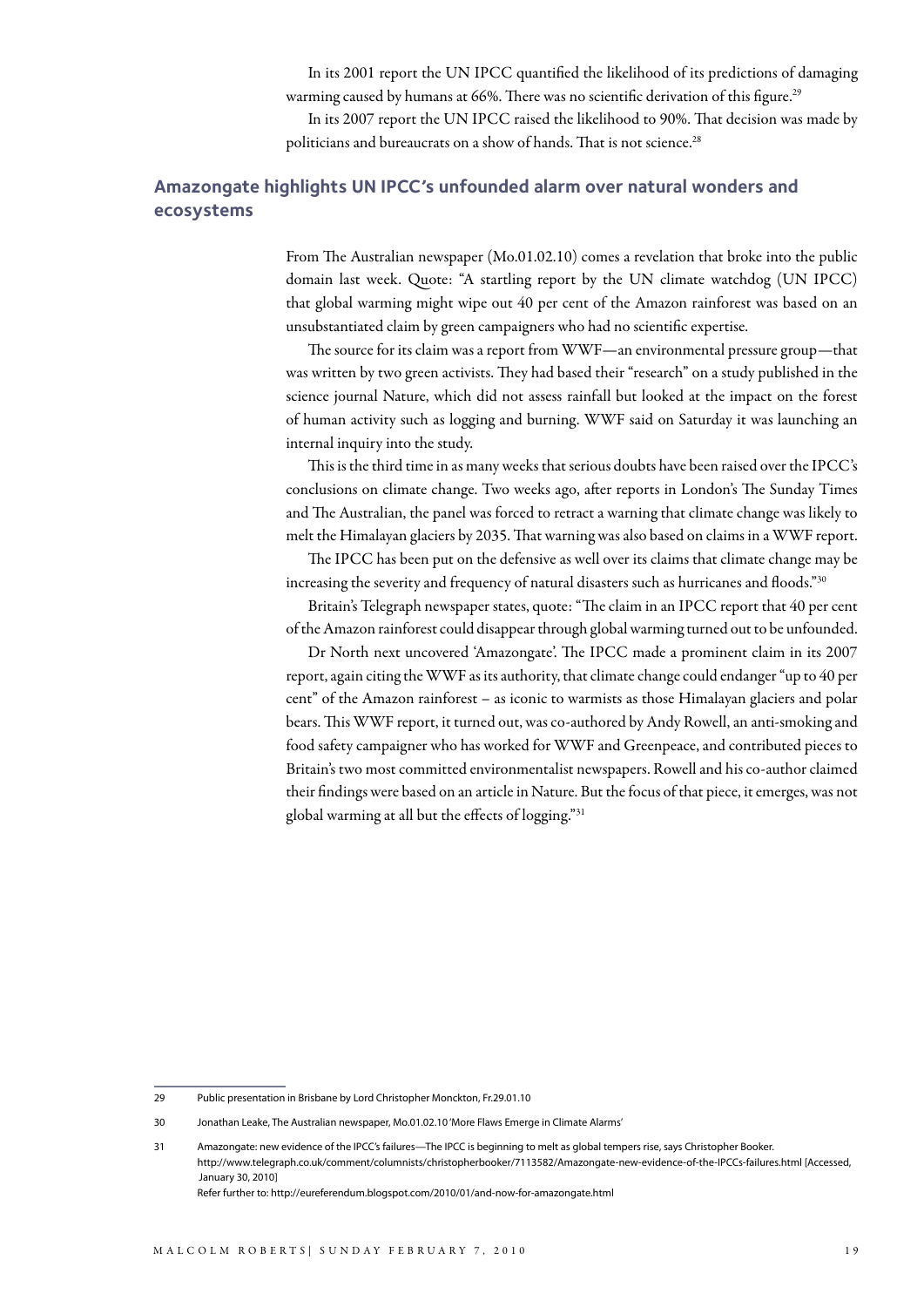In its 2001 report the UN IPCC quantified the likelihood of its predictions of damaging warming caused by humans at 66%. There was no scientific derivation of this figure.<sup>29</sup>

In its 2007 report the UN IPCC raised the likelihood to 90%. That decision was made by politicians and bureaucrats on a show of hands. That is not science.<sup>28</sup>

#### **Amazongate highlights un ipcc's unfounded alarm over natural wonders and ecosystems**

From The Australian newspaper (Mo.01.02.10) comes a revelation that broke into the public domain last week. Quote: "A startling report by the UN climate watchdog (UN IPCC) that global warming might wipe out 40 per cent of the Amazon rainforest was based on an unsubstantiated claim by green campaigners who had no scientific expertise.

The source for its claim was a report from WWF—an environmental pressure group—that was written by two green activists. They had based their "research" on a study published in the science journal Nature, which did not assess rainfall but looked at the impact on the forest of human activity such as logging and burning. WWF said on Saturday it was launching an internal inquiry into the study.

This is the third time in as many weeks that serious doubts have been raised over the IPCC's conclusions on climate change. Two weeks ago, after reports in London's The Sunday Times and The Australian, the panel was forced to retract a warning that climate change was likely to melt the Himalayan glaciers by 2035. That warning was also based on claims in a WWF report.

The IPCC has been put on the defensive as well over its claims that climate change may be increasing the severity and frequency of natural disasters such as hurricanes and floods."30

Britain's Telegraph newspaper states, quote: "The claim in an IPCC report that 40 per cent of the Amazon rainforest could disappear through global warming turned out to be unfounded.

Dr North next uncovered 'Amazongate'. The IPCC made a prominent claim in its 2007 report, again citing the WWF as its authority, that climate change could endanger "up to 40 per cent" of the Amazon rainforest – as iconic to warmists as those Himalayan glaciers and polar bears. This WWF report, it turned out, was co-authored by Andy Rowell, an anti-smoking and food safety campaigner who has worked for WWF and Greenpeace, and contributed pieces to Britain's two most committed environmentalist newspapers. Rowell and his co-author claimed their findings were based on an article in Nature. But the focus of that piece, it emerges, was not global warming at all but the effects of logging."31

<sup>29</sup> Public presentation in Brisbane by Lord Christopher Monckton, Fr.29.01.10

<sup>30</sup> Jonathan Leake, The Australian newspaper, Mo.01.02.10 'More Flaws Emerge in Climate Alarms'

<sup>31</sup> Amazongate: new evidence of the IPCC's failures—The IPCC is beginning to melt as global tempers rise, says Christopher Booker. http://www.telegraph.co.uk/comment/columnists/christopherbooker/7113582/Amazongate-new-evidence-of-the-IPCCs-failures.html [Accessed, January 30, 2010] Refer further to: http://eureferendum.blogspot.com/2010/01/and-now-for-amazongate.html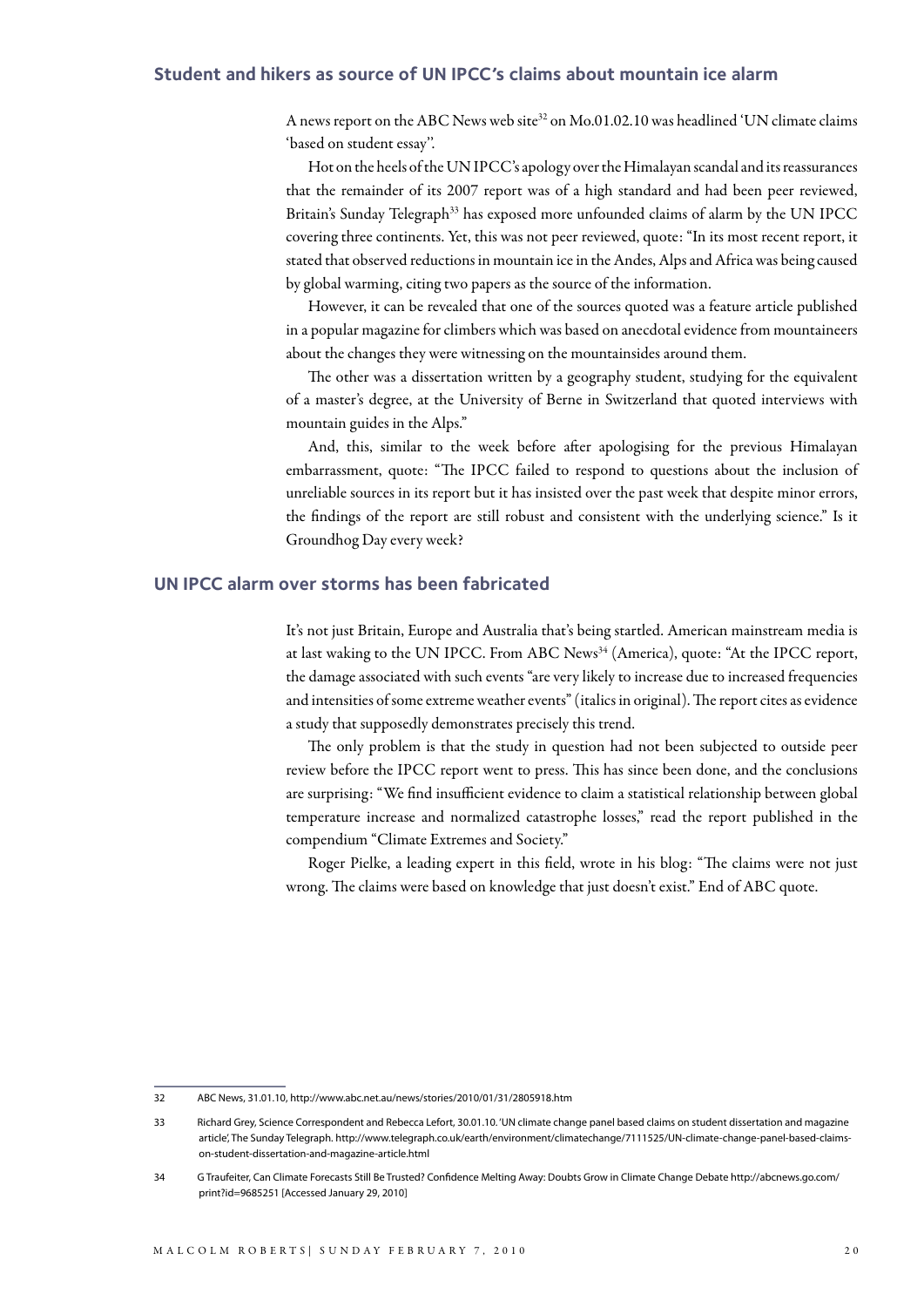#### **Student and hikers as source of un ipcc's claims about mountain ice alarm**

A news report on the ABC News web site<sup>32</sup> on Mo.01.02.10 was headlined 'UN climate claims 'based on student essay''.

Hot on the heels of the UNIPCC's apology over the Himalayan scandal and its reassurances that the remainder of its 2007 report was of a high standard and had been peer reviewed, Britain's Sunday Telegraph $33$  has exposed more unfounded claims of alarm by the UN IPCC covering three continents. Yet, this was not peer reviewed, quote: "In its most recent report, it stated that observed reductions in mountain ice in the Andes, Alps and Africa was being caused by global warming, citing two papers as the source of the information.

However, it can be revealed that one of the sources quoted was a feature article published in a popular magazine for climbers which was based on anecdotal evidence from mountaineers about the changes they were witnessing on the mountainsides around them.

The other was a dissertation written by a geography student, studying for the equivalent of a master's degree, at the University of Berne in Switzerland that quoted interviews with mountain guides in the Alps."

And, this, similar to the week before after apologising for the previous Himalayan embarrassment, quote: "The IPCC failed to respond to questions about the inclusion of unreliable sources in its report but it has insisted over the past week that despite minor errors, the findings of the report are still robust and consistent with the underlying science." Is it Groundhog Day every week?

#### **UN IPCC alarm over storms has been fabricated**

It's not just Britain, Europe and Australia that's being startled. American mainstream media is at last waking to the UN IPCC. From ABC News<sup>34</sup> (America), quote: "At the IPCC report, the damage associated with such events "are very likely to increase due to increased frequencies and intensities of some extreme weather events" (italics in original). The report cites as evidence a study that supposedly demonstrates precisely this trend.

The only problem is that the study in question had not been subjected to outside peer review before the IPCC report went to press. This has since been done, and the conclusions are surprising: "We find insufficient evidence to claim a statistical relationship between global temperature increase and normalized catastrophe losses," read the report published in the compendium "Climate Extremes and Society."

Roger Pielke, a leading expert in this field, wrote in his blog: "The claims were not just wrong. The claims were based on knowledge that just doesn't exist." End of ABC quote.

<sup>32</sup> ABC News, 31.01.10, http://www.abc.net.au/news/stories/2010/01/31/2805918.htm

<sup>33</sup> Richard Grey, Science Correspondent and Rebecca Lefort, 30.01.10. 'UN climate change panel based claims on student dissertation and magazine article', The Sunday Telegraph. http://www.telegraph.co.uk/earth/environment/climatechange/7111525/UN-climate-change-panel-based-claimson-student-dissertation-and-magazine-article.html

<sup>34</sup> G Traufeiter, Can Climate Forecasts Still Be Trusted? Confidence Melting Away: Doubts Grow in Climate Change Debate http://abcnews.go.com/ print?id=9685251 [Accessed January 29, 2010]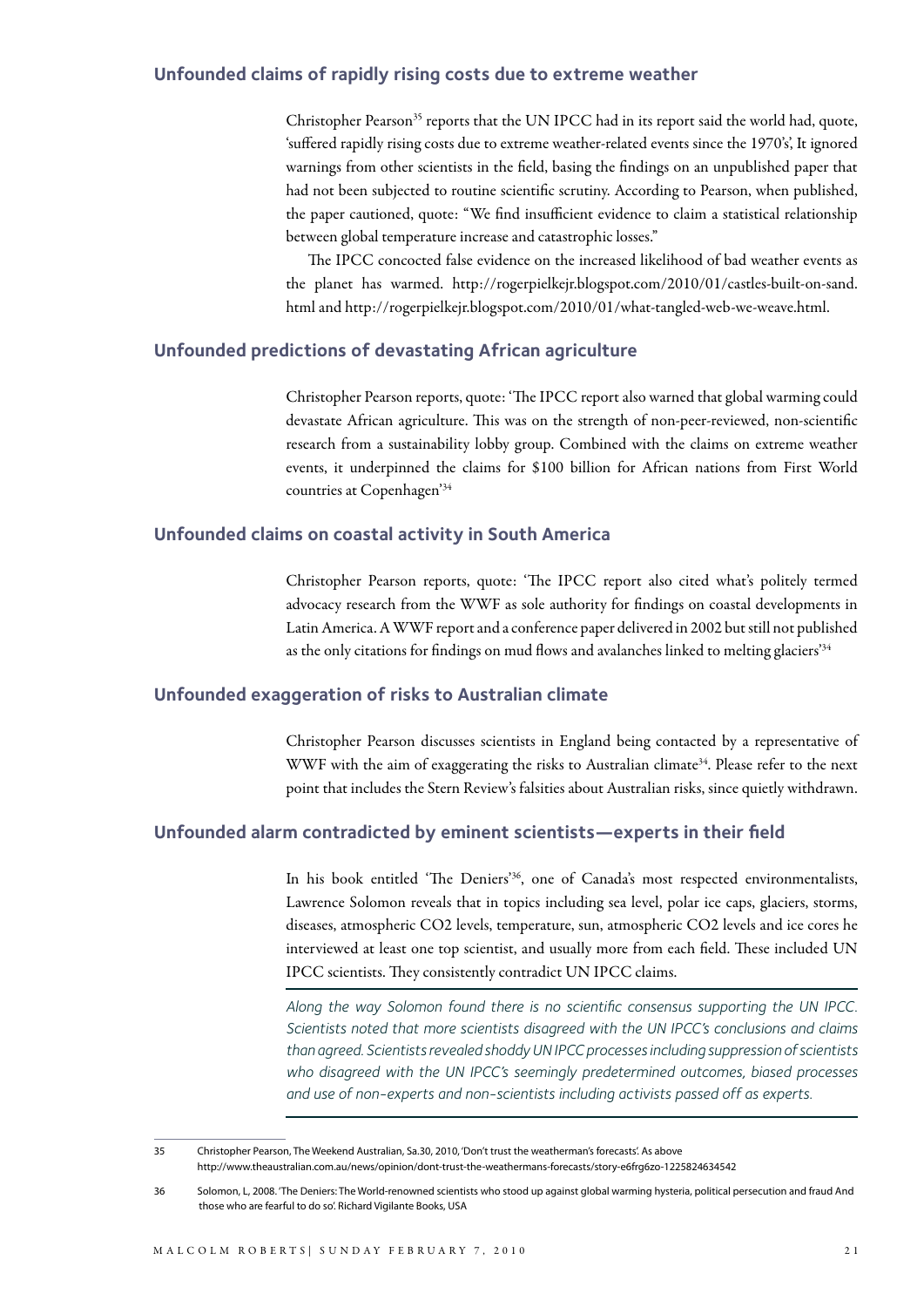#### **Unfounded claims of rapidly rising costs due to extreme weather**

Christopher Pearson<sup>35</sup> reports that the UN IPCC had in its report said the world had, quote, 'suffered rapidly rising costs due to extreme weather-related events since the 1970's', It ignored warnings from other scientists in the field, basing the findings on an unpublished paper that had not been subjected to routine scientific scrutiny. According to Pearson, when published, the paper cautioned, quote: "We find insufficient evidence to claim a statistical relationship between global temperature increase and catastrophic losses."

The IPCC concocted false evidence on the increased likelihood of bad weather events as the planet has warmed. http://rogerpielkejr.blogspot.com/2010/01/castles-built-on-sand. html and http://rogerpielkejr.blogspot.com/2010/01/what-tangled-web-we-weave.html.

#### **Unfounded predictions of devastating African agriculture**

Christopher Pearson reports, quote: 'The IPCC report also warned that global warming could devastate African agriculture. This was on the strength of non-peer-reviewed, non-scientific research from a sustainability lobby group. Combined with the claims on extreme weather events, it underpinned the claims for \$100 billion for African nations from First World countries at Copenhagen'34

#### **Unfounded claims on coastal activity in South America**

Christopher Pearson reports, quote: 'The IPCC report also cited what's politely termed advocacy research from the WWF as sole authority for findings on coastal developments in Latin America. A WWF report and a conference paper delivered in 2002 but still not published as the only citations for findings on mud flows and avalanches linked to melting glaciers<sup>34</sup>

#### **Unfounded exaggeration of risks to Australian climate**

Christopher Pearson discusses scientists in England being contacted by a representative of WWF with the aim of exaggerating the risks to Australian climate<sup>34</sup>. Please refer to the next point that includes the Stern Review's falsities about Australian risks, since quietly withdrawn.

#### **Unfounded alarm contradicted by eminent scientists—experts in their field**

In his book entitled 'The Deniers'36, one of Canada's most respected environmentalists, Lawrence Solomon reveals that in topics including sea level, polar ice caps, glaciers, storms, diseases, atmospheric CO2 levels, temperature, sun, atmospheric CO2 levels and ice cores he interviewed at least one top scientist, and usually more from each field. These included UN IPCC scientists. They consistently contradict UN IPCC claims.

*Along the way Solomon found there is no scientific consensus supporting the UN IPCC. Scientists noted that more scientists disagreed with the UN IPCC's conclusions and claims than agreed. Scientists revealed shoddy UN IPCC processes including suppression of scientists who disagreed with the UN IPCC's seemingly predetermined outcomes, biased processes and use of non-experts and non-scientists including activists passed off as experts.*

35 Christopher Pearson, The Weekend Australian, Sa.30, 2010, 'Don't trust the weatherman's forecasts'. As above http://www.theaustralian.com.au/news/opinion/dont-trust-the-weathermans-forecasts/story-e6frg6zo-1225824634542

<sup>36</sup> Solomon, L, 2008. 'The Deniers: The World-renowned scientists who stood up against global warming hysteria, political persecution and fraud And those who are fearful to do so'. Richard Vigilante Books, USA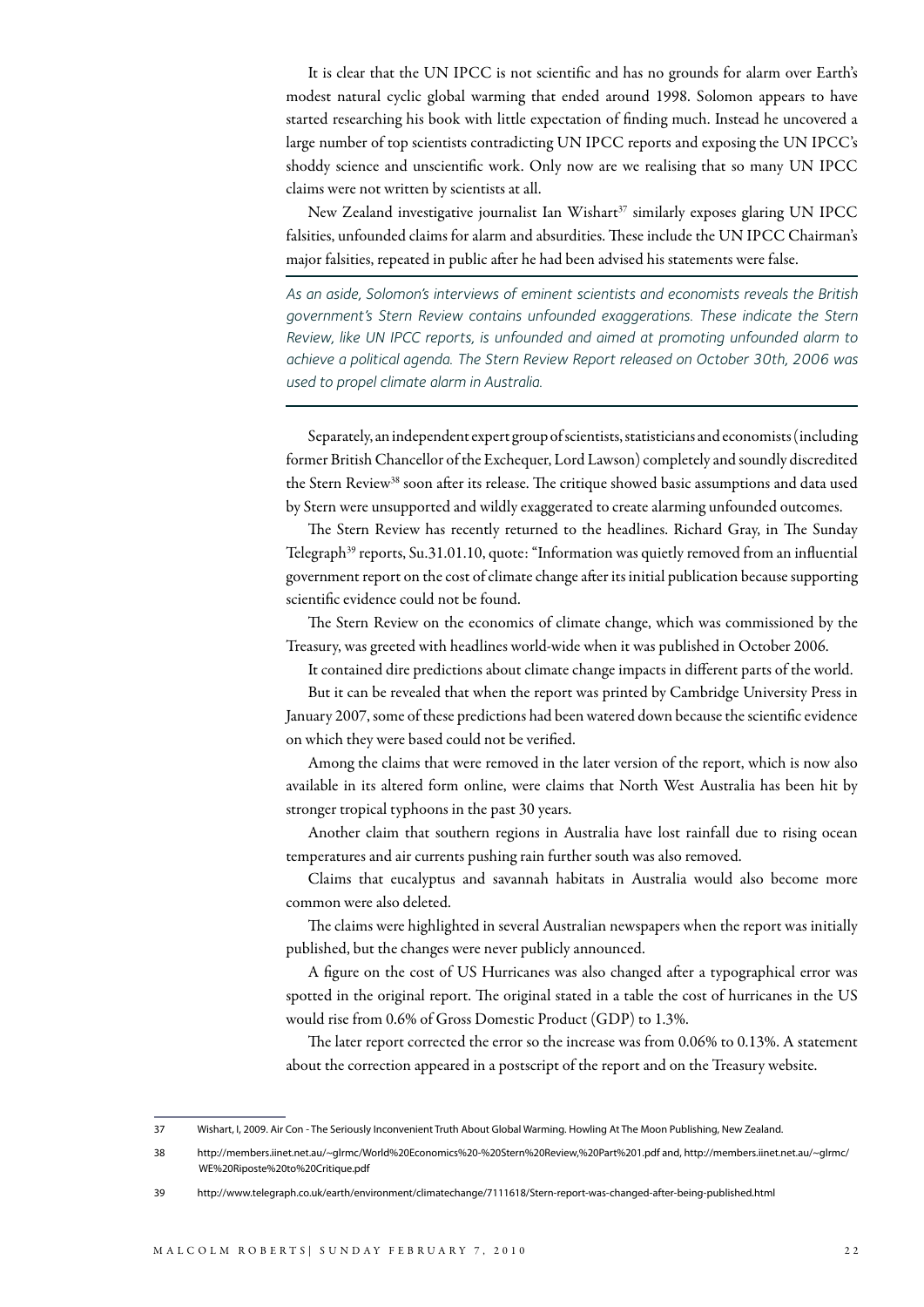It is clear that the UN IPCC is not scientific and has no grounds for alarm over Earth's modest natural cyclic global warming that ended around 1998. Solomon appears to have started researching his book with little expectation of finding much. Instead he uncovered a large number of top scientists contradicting UN IPCC reports and exposing the UN IPCC's shoddy science and unscientific work. Only now are we realising that so many UN IPCC claims were not written by scientists at all.

New Zealand investigative journalist Ian Wishart<sup>37</sup> similarly exposes glaring UN IPCC falsities, unfounded claims for alarm and absurdities. These include the UN IPCC Chairman's major falsities, repeated in public after he had been advised his statements were false.

*As an aside, Solomon's interviews of eminent scientists and economists reveals the British government's Stern Review contains unfounded exaggerations. These indicate the Stern Review, like UN IPCC reports, is unfounded and aimed at promoting unfounded alarm to achieve a political agenda. The Stern Review Report released on October 30th, 2006 was used to propel climate alarm in Australia.*

Separately, an independent expert group of scientists, statisticians and economists (including former British Chancellor of the Exchequer, Lord Lawson) completely and soundly discredited the Stern Review<sup>38</sup> soon after its release. The critique showed basic assumptions and data used by Stern were unsupported and wildly exaggerated to create alarming unfounded outcomes.

The Stern Review has recently returned to the headlines. Richard Gray, in The Sunday Telegraph<sup>39</sup> reports, Su.31.01.10, quote: "Information was quietly removed from an influential government report on the cost of climate change after its initial publication because supporting scientific evidence could not be found.

The Stern Review on the economics of climate change, which was commissioned by the Treasury, was greeted with headlines world-wide when it was published in October 2006.

It contained dire predictions about climate change impacts in different parts of the world.

But it can be revealed that when the report was printed by Cambridge University Press in January 2007, some of these predictions had been watered down because the scientific evidence on which they were based could not be verified.

Among the claims that were removed in the later version of the report, which is now also available in its altered form online, were claims that North West Australia has been hit by stronger tropical typhoons in the past 30 years.

Another claim that southern regions in Australia have lost rainfall due to rising ocean temperatures and air currents pushing rain further south was also removed.

Claims that eucalyptus and savannah habitats in Australia would also become more common were also deleted.

The claims were highlighted in several Australian newspapers when the report was initially published, but the changes were never publicly announced.

A figure on the cost of US Hurricanes was also changed after a typographical error was spotted in the original report. The original stated in a table the cost of hurricanes in the US would rise from 0.6% of Gross Domestic Product (GDP) to 1.3%.

The later report corrected the error so the increase was from 0.06% to 0.13%. A statement about the correction appeared in a postscript of the report and on the Treasury website.

<sup>37</sup> Wishart, I, 2009. Air Con - The Seriously Inconvenient Truth About Global Warming. Howling At The Moon Publishing, New Zealand.

<sup>38</sup> http://members.iinet.net.au/~glrmc/World%20Economics%20-%20Stern%20Review,%20Part%201.pdf and, http://members.iinet.net.au/~glrmc/ WE%20Riposte%20to%20Critique.pdf

<sup>39</sup> http://www.telegraph.co.uk/earth/environment/climatechange/7111618/Stern-report-was-changed-after-being-published.html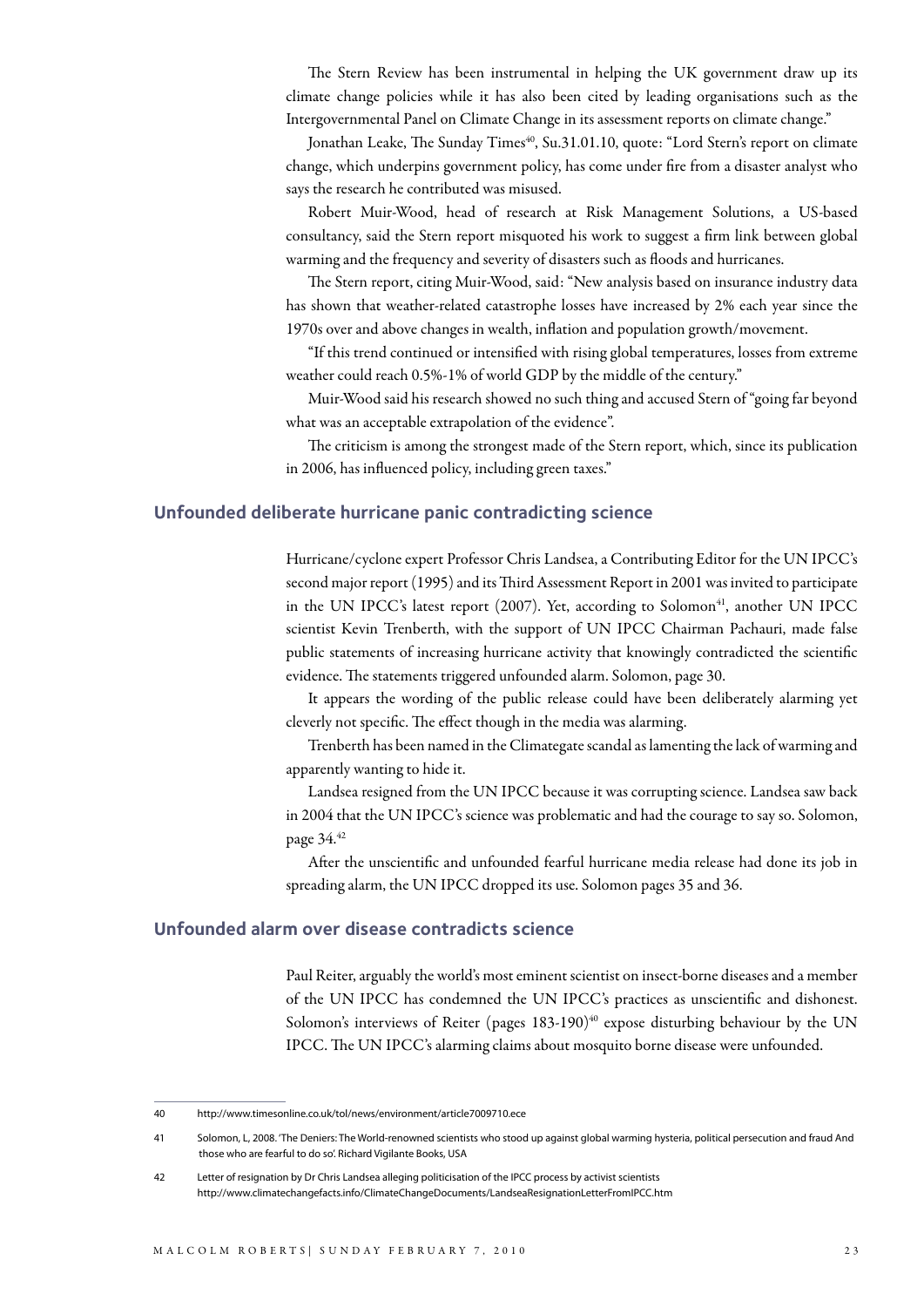The Stern Review has been instrumental in helping the UK government draw up its climate change policies while it has also been cited by leading organisations such as the Intergovernmental Panel on Climate Change in its assessment reports on climate change."

Jonathan Leake, The Sunday Times<sup>40</sup>, Su.31.01.10, quote: "Lord Stern's report on climate change, which underpins government policy, has come under fire from a disaster analyst who says the research he contributed was misused.

Robert Muir-Wood, head of research at Risk Management Solutions, a US-based consultancy, said the Stern report misquoted his work to suggest a firm link between global warming and the frequency and severity of disasters such as floods and hurricanes.

The Stern report, citing Muir-Wood, said: "New analysis based on insurance industry data has shown that weather-related catastrophe losses have increased by 2% each year since the 1970s over and above changes in wealth, inflation and population growth/movement.

"If this trend continued or intensified with rising global temperatures, losses from extreme weather could reach 0.5%-1% of world GDP by the middle of the century."

Muir-Wood said his research showed no such thing and accused Stern of "going far beyond what was an acceptable extrapolation of the evidence".

The criticism is among the strongest made of the Stern report, which, since its publication in 2006, has influenced policy, including green taxes."

#### **Unfounded deliberate hurricane panic contradicting science**

Hurricane/cyclone expert Professor Chris Landsea, a Contributing Editor for the UN IPCC's second major report (1995) and its Third Assessment Report in 2001 was invited to participate in the UN IPCC's latest report  $(2007)$ . Yet, according to Solomon<sup>41</sup>, another UN IPCC scientist Kevin Trenberth, with the support of UN IPCC Chairman Pachauri, made false public statements of increasing hurricane activity that knowingly contradicted the scientific evidence. The statements triggered unfounded alarm. Solomon, page 30.

It appears the wording of the public release could have been deliberately alarming yet cleverly not specific. The effect though in the media was alarming.

Trenberth has been named in the Climategate scandal as lamenting the lack of warming and apparently wanting to hide it.

Landsea resigned from the UN IPCC because it was corrupting science. Landsea saw back in 2004 that the UN IPCC's science was problematic and had the courage to say so. Solomon, page 34.42

After the unscientific and unfounded fearful hurricane media release had done its job in spreading alarm, the UN IPCC dropped its use. Solomon pages 35 and 36.

#### **Unfounded alarm over disease contradicts science**

Paul Reiter, arguably the world's most eminent scientist on insect-borne diseases and a member of the UN IPCC has condemned the UN IPCC's practices as unscientific and dishonest. Solomon's interviews of Reiter (pages  $183-190)^{40}$  expose disturbing behaviour by the UN IPCC. The UN IPCC's alarming claims about mosquito borne disease were unfounded.

<sup>40</sup> http://www.timesonline.co.uk/tol/news/environment/article7009710.ece

<sup>41</sup> Solomon, L, 2008. 'The Deniers: The World-renowned scientists who stood up against global warming hysteria, political persecution and fraud And those who are fearful to do so'. Richard Vigilante Books, USA

<sup>42</sup> Letter of resignation by Dr Chris Landsea alleging politicisation of the IPCC process by activist scientists http://www.climatechangefacts.info/ClimateChangeDocuments/LandseaResignationLetterFromIPCC.htm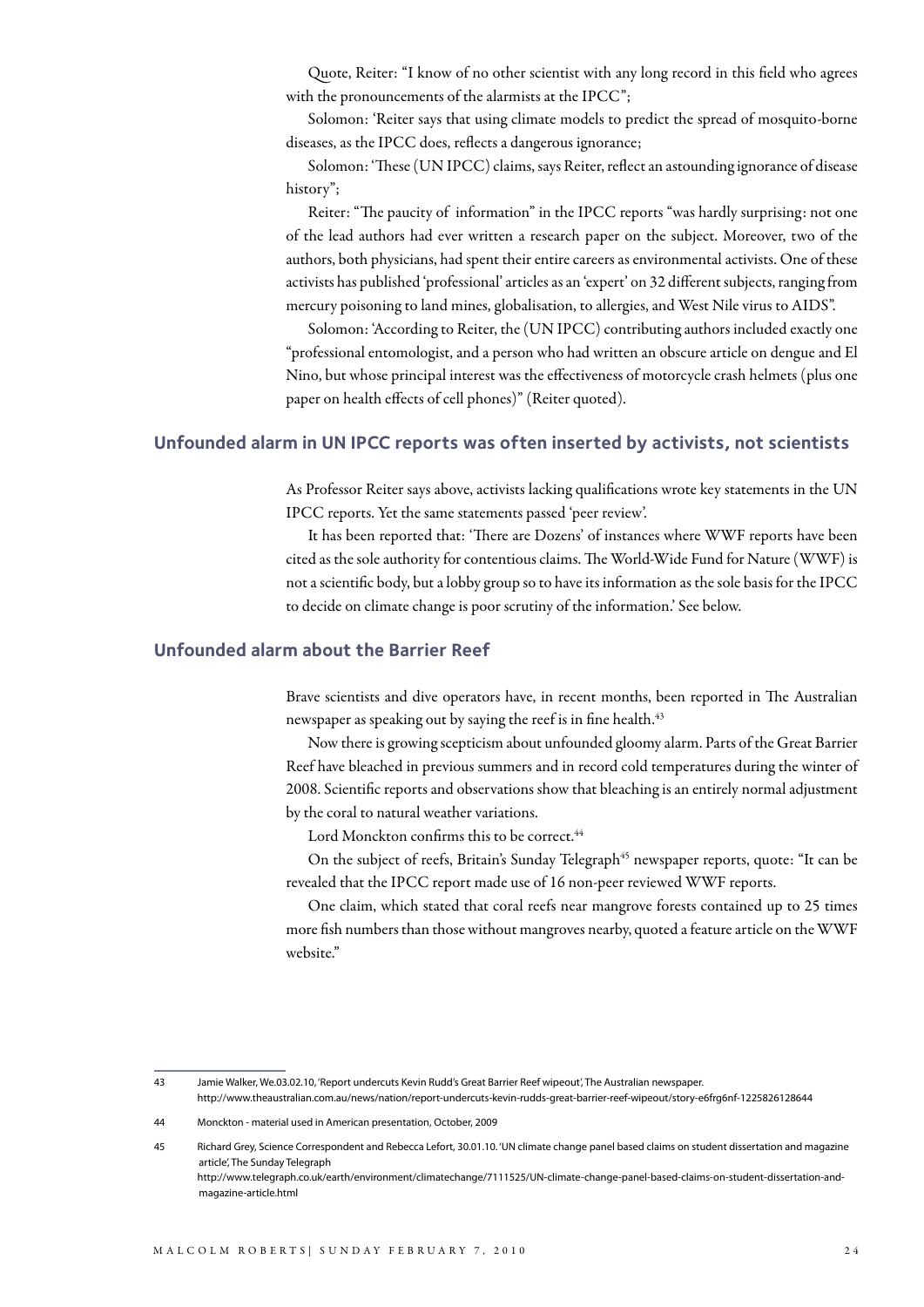Quote, Reiter: "I know of no other scientist with any long record in this field who agrees with the pronouncements of the alarmists at the IPCC";

Solomon: 'Reiter says that using climate models to predict the spread of mosquito-borne diseases, as the IPCC does, reflects a dangerous ignorance;

Solomon: 'These (UN IPCC) claims, says Reiter, reflect an astounding ignorance of disease history";

Reiter: "The paucity of information" in the IPCC reports "was hardly surprising: not one of the lead authors had ever written a research paper on the subject. Moreover, two of the authors, both physicians, had spent their entire careers as environmental activists. One of these activists has published 'professional' articles as an 'expert' on 32 different subjects, ranging from mercury poisoning to land mines, globalisation, to allergies, and West Nile virus to AIDS".

Solomon: 'According to Reiter, the (UN IPCC) contributing authors included exactly one "professional entomologist, and a person who had written an obscure article on dengue and El Nino, but whose principal interest was the effectiveness of motorcycle crash helmets (plus one paper on health effects of cell phones)" (Reiter quoted).

#### **Unfounded alarm in un ipcc reports was often inserted by activists, not scientists**

As Professor Reiter says above, activists lacking qualifications wrote key statements in the UN IPCC reports. Yet the same statements passed 'peer review'.

It has been reported that: 'There are Dozens' of instances where WWF reports have been cited as the sole authority for contentious claims. The World-Wide Fund for Nature (WWF) is not a scientific body, but a lobby group so to have its information as the sole basis for the IPCC to decide on climate change is poor scrutiny of the information.' See below.

#### **Unfounded alarm about the Barrier Reef**

Brave scientists and dive operators have, in recent months, been reported in The Australian newspaper as speaking out by saying the reef is in fine health.<sup>43</sup>

Now there is growing scepticism about unfounded gloomy alarm. Parts of the Great Barrier Reef have bleached in previous summers and in record cold temperatures during the winter of 2008. Scientific reports and observations show that bleaching is an entirely normal adjustment by the coral to natural weather variations.

Lord Monckton confirms this to be correct.<sup>44</sup>

On the subject of reefs, Britain's Sunday Telegraph<sup>45</sup> newspaper reports, quote: "It can be revealed that the IPCC report made use of 16 non-peer reviewed WWF reports.

One claim, which stated that coral reefs near mangrove forests contained up to 25 times more fish numbers than those without mangroves nearby, quoted a feature article on the WWF website."

<sup>43</sup> Jamie Walker, We.03.02.10, 'Report undercuts Kevin Rudd's Great Barrier Reef wipeout', The Australian newspaper. http://www.theaustralian.com.au/news/nation/report-undercuts-kevin-rudds-great-barrier-reef-wipeout/story-e6frg6nf-1225826128644

<sup>44</sup> Monckton - material used in American presentation, October, 2009

<sup>45</sup> Richard Grey, Science Correspondent and Rebecca Lefort, 30.01.10. 'UN climate change panel based claims on student dissertation and magazine article', The Sunday Telegraph

http://www.telegraph.co.uk/earth/environment/climatechange/7111525/UN-climate-change-panel-based-claims-on-student-dissertation-andmagazine-article.html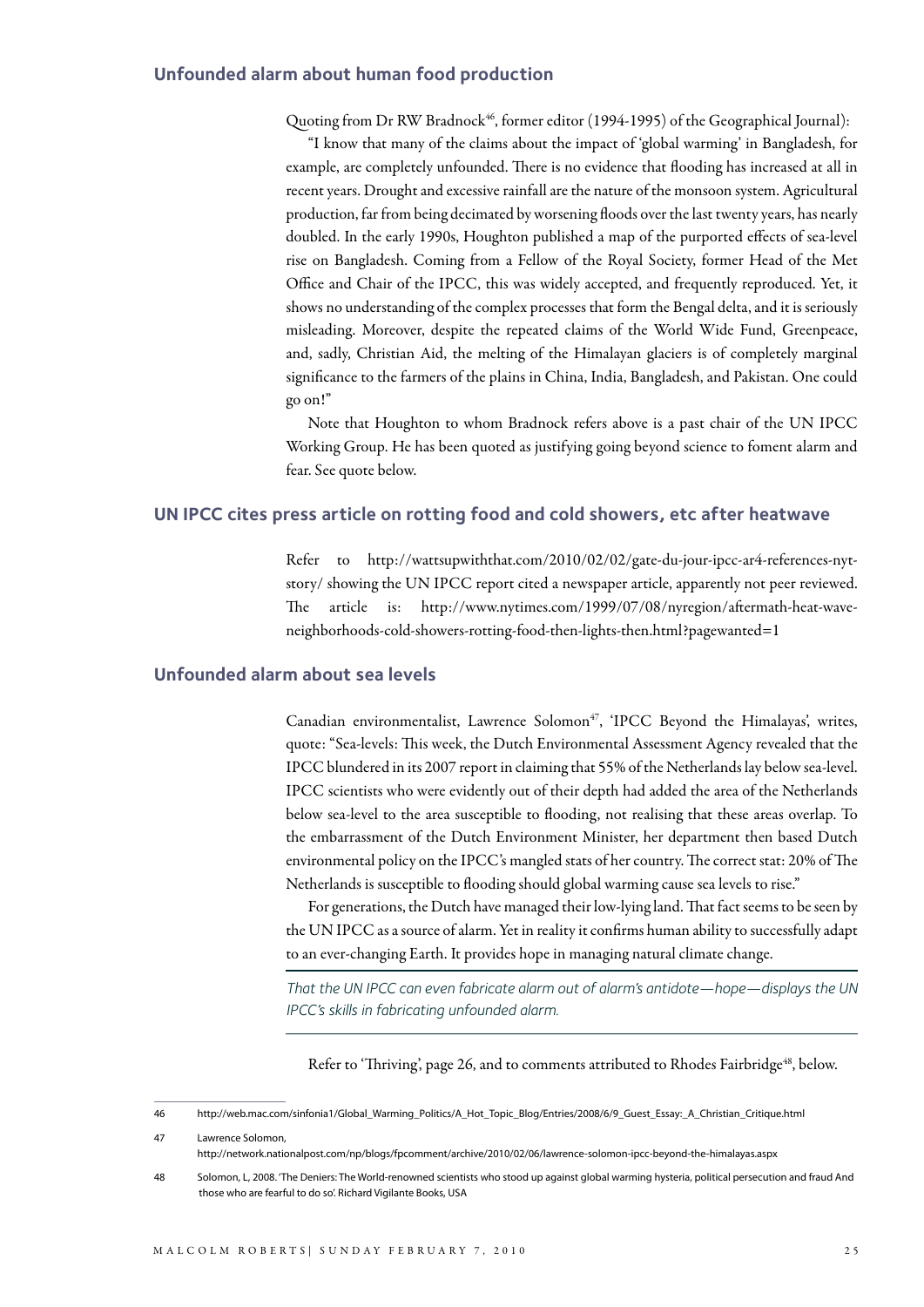#### **Unfounded alarm about human food production**

Quoting from Dr RW Bradnock<sup>46</sup>, former editor (1994-1995) of the Geographical Journal):

"I know that many of the claims about the impact of 'global warming' in Bangladesh, for example, are completely unfounded. There is no evidence that flooding has increased at all in recent years. Drought and excessive rainfall are the nature of the monsoon system. Agricultural production, far from being decimated by worsening floods over the last twenty years, has nearly doubled. In the early 1990s, Houghton published a map of the purported effects of sea-level rise on Bangladesh. Coming from a Fellow of the Royal Society, former Head of the Met Office and Chair of the IPCC, this was widely accepted, and frequently reproduced. Yet, it shows no understanding of the complex processes that form the Bengal delta, and it is seriously misleading. Moreover, despite the repeated claims of the World Wide Fund, Greenpeace, and, sadly, Christian Aid, the melting of the Himalayan glaciers is of completely marginal significance to the farmers of the plains in China, India, Bangladesh, and Pakistan. One could go on!"

Note that Houghton to whom Bradnock refers above is a past chair of the UN IPCC Working Group. He has been quoted as justifying going beyond science to foment alarm and fear. See quote below.

#### **UN IPCC cites press article on rotting food and cold showers, etc after heatwave**

Refer to http://wattsupwiththat.com/2010/02/02/gate-du-jour-ipcc-ar4-references-nytstory/ showing the UN IPCC report cited a newspaper article, apparently not peer reviewed. The article is: http://www.nytimes.com/1999/07/08/nyregion/aftermath-heat-waveneighborhoods-cold-showers-rotting-food-then-lights-then.html?pagewanted=1

#### **Unfounded alarm about sea levels**

Canadian environmentalist, Lawrence Solomon<sup>47</sup>, 'IPCC Beyond the Himalayas', writes, quote: "Sea-levels: This week, the Dutch Environmental Assessment Agency revealed that the IPCC blundered in its 2007 report in claiming that 55% of the Netherlands lay below sea-level. IPCC scientists who were evidently out of their depth had added the area of the Netherlands below sea-level to the area susceptible to flooding, not realising that these areas overlap. To the embarrassment of the Dutch Environment Minister, her department then based Dutch environmental policy on the IPCC's mangled stats of her country. The correct stat: 20% of The Netherlands is susceptible to flooding should global warming cause sea levels to rise."

For generations, the Dutch have managed their low-lying land. That fact seems to be seen by the UN IPCC as a source of alarm. Yet in reality it confirms human ability to successfully adapt to an ever-changing Earth. It provides hope in managing natural climate change.

*That the UN IPCC can even fabricate alarm out of alarm's antidote—hope—displays the UN IPCC's skills in fabricating unfounded alarm.*

Refer to 'Thriving', page 26, and to comments attributed to Rhodes Fairbridge<sup>48</sup>, below.

47 Lawrence Solomon,

<sup>46</sup> http://web.mac.com/sinfonia1/Global\_Warming\_Politics/A\_Hot\_Topic\_Blog/Entries/2008/6/9\_Guest\_Essay:\_A\_Christian\_Critique.html

http://network.nationalpost.com/np/blogs/fpcomment/archive/2010/02/06/lawrence-solomon-ipcc-beyond-the-himalayas.aspx

<sup>48</sup> Solomon, L, 2008. 'The Deniers: The World-renowned scientists who stood up against global warming hysteria, political persecution and fraud And those who are fearful to do so'. Richard Vigilante Books, USA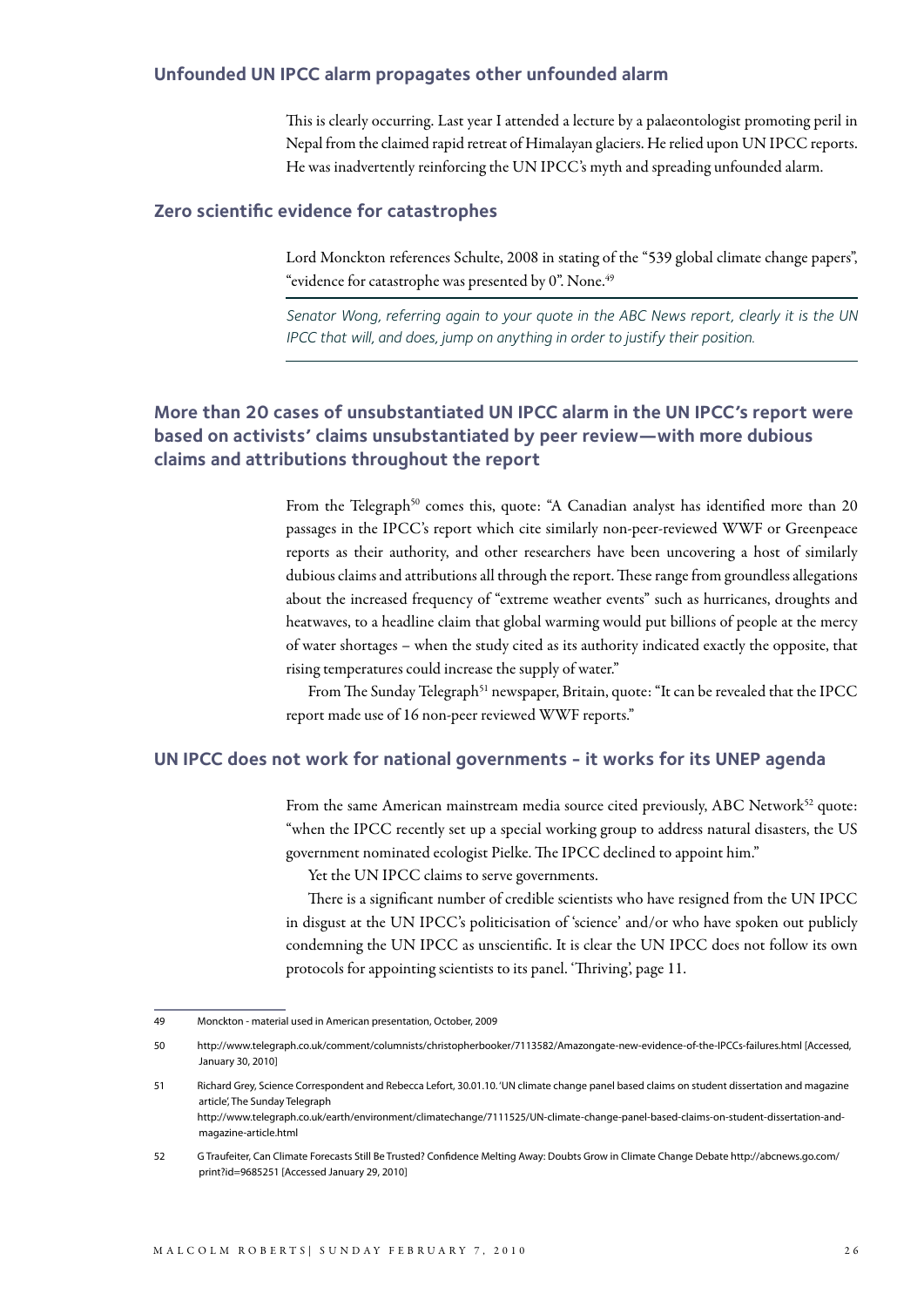#### **Unfounded un ipcc alarm propagates other unfounded alarm**

This is clearly occurring. Last year I attended a lecture by a palaeontologist promoting peril in Nepal from the claimed rapid retreat of Himalayan glaciers. He relied upon UN IPCC reports. He was inadvertently reinforcing the UN IPCC's myth and spreading unfounded alarm.

#### **Zero scientific evidence for catastrophes**

Lord Monckton references Schulte, 2008 in stating of the "539 global climate change papers", "evidence for catastrophe was presented by 0". None.<sup>49</sup>

*Senator Wong, referring again to your quote in the ABC News report, clearly it is the UN IPCC that will, and does, jump on anything in order to justify their position.*

#### **More than 20 cases of unsubstantiated un ipcc alarm in the un ipcc's report were based on activists' claims unsubstantiated by peer review—with more dubious claims and attributions throughout the report**

From the Telegraph<sup>50</sup> comes this, quote: "A Canadian analyst has identified more than 20 passages in the IPCC's report which cite similarly non-peer-reviewed WWF or Greenpeace reports as their authority, and other researchers have been uncovering a host of similarly dubious claims and attributions all through the report. These range from groundless allegations about the increased frequency of "extreme weather events" such as hurricanes, droughts and heatwaves, to a headline claim that global warming would put billions of people at the mercy of water shortages – when the study cited as its authority indicated exactly the opposite, that rising temperatures could increase the supply of water."

From The Sunday Telegraph<sup>51</sup> newspaper, Britain, quote: "It can be revealed that the IPCC report made use of 16 non-peer reviewed WWF reports."

#### **UN IPCC does not work for national governments - it works for its UNEP agenda**

From the same American mainstream media source cited previously, ABC Network<sup>52</sup> quote: "when the IPCC recently set up a special working group to address natural disasters, the US government nominated ecologist Pielke. The IPCC declined to appoint him."

Yet the UN IPCC claims to serve governments.

There is a significant number of credible scientists who have resigned from the UN IPCC in disgust at the UN IPCC's politicisation of 'science' and/or who have spoken out publicly condemning the UN IPCC as unscientific. It is clear the UN IPCC does not follow its own protocols for appointing scientists to its panel. 'Thriving', page 11.

<sup>49</sup> Monckton - material used in American presentation, October, 2009

<sup>50</sup> http://www.telegraph.co.uk/comment/columnists/christopherbooker/7113582/Amazongate-new-evidence-of-the-IPCCs-failures.html [Accessed, January 30, 2010]

<sup>51</sup> Richard Grey, Science Correspondent and Rebecca Lefort, 30.01.10. 'UN climate change panel based claims on student dissertation and magazine article', The Sunday Telegraph http://www.telegraph.co.uk/earth/environment/climatechange/7111525/UN-climate-change-panel-based-claims-on-student-dissertation-andmagazine-article.html

<sup>52</sup> G Traufeiter, Can Climate Forecasts Still Be Trusted? Confidence Melting Away: Doubts Grow in Climate Change Debate http://abcnews.go.com/ print?id=9685251 [Accessed January 29, 2010]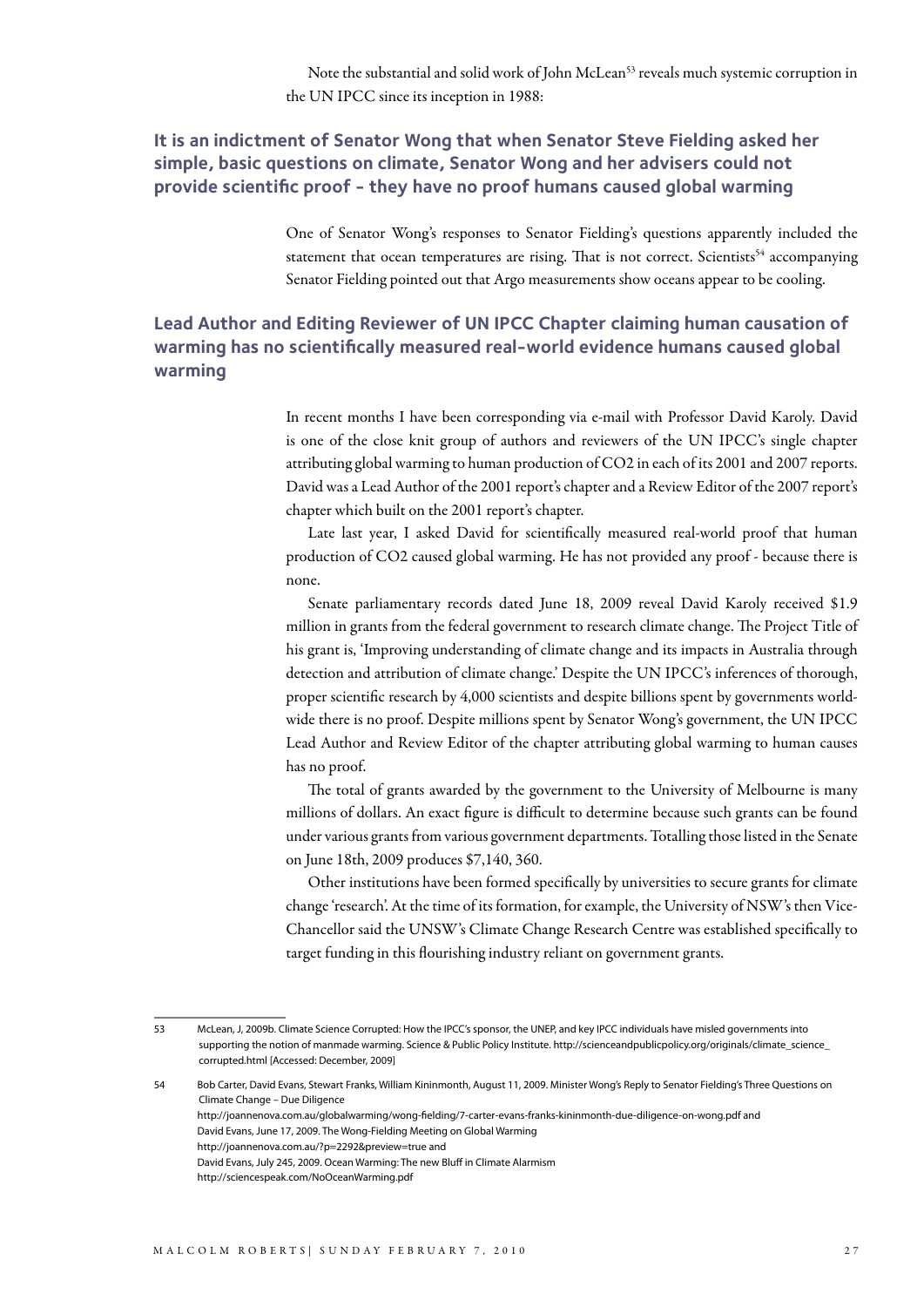Note the substantial and solid work of John McLean<sup>53</sup> reveals much systemic corruption in the UN IPCC since its inception in 1988:

#### **It is an indictment of Senator Wong that when Senator Steve Fielding asked her simple, basic questions on climate, Senator Wong and her advisers could not provide scientific proof - they have no proof humans caused global warming**

One of Senator Wong's responses to Senator Fielding's questions apparently included the statement that ocean temperatures are rising. That is not correct. Scientists<sup>54</sup> accompanying Senator Fielding pointed out that Argo measurements show oceans appear to be cooling.

#### **Lead Author and Editing Reviewer of UN IPCC Chapter claiming human causation of warming has no scientifically measured real-world evidence humans caused global warming**

In recent months I have been corresponding via e-mail with Professor David Karoly. David is one of the close knit group of authors and reviewers of the UN IPCC's single chapter attributing global warming to human production of CO2 in each of its 2001 and 2007 reports. David was a Lead Author of the 2001 report's chapter and a Review Editor of the 2007 report's chapter which built on the 2001 report's chapter.

Late last year, I asked David for scientifically measured real-world proof that human production of CO2 caused global warming. He has not provided any proof - because there is none.

Senate parliamentary records dated June 18, 2009 reveal David Karoly received \$1.9 million in grants from the federal government to research climate change. The Project Title of his grant is, 'Improving understanding of climate change and its impacts in Australia through detection and attribution of climate change.' Despite the UN IPCC's inferences of thorough, proper scientific research by 4,000 scientists and despite billions spent by governments worldwide there is no proof. Despite millions spent by Senator Wong's government, the UN IPCC Lead Author and Review Editor of the chapter attributing global warming to human causes has no proof.

The total of grants awarded by the government to the University of Melbourne is many millions of dollars. An exact figure is difficult to determine because such grants can be found under various grants from various government departments. Totalling those listed in the Senate on June 18th, 2009 produces \$7,140, 360.

Other institutions have been formed specifically by universities to secure grants for climate change 'research'. At the time of its formation, for example, the University of NSW's then Vice-Chancellor said the UNSW's Climate Change Research Centre was established specifically to target funding in this flourishing industry reliant on government grants.

54 Bob Carter, David Evans, Stewart Franks, William Kininmonth, August 11, 2009. Minister Wong's Reply to Senator Fielding's Three Questions on Climate Change – Due Diligence http://joannenova.com.au/globalwarming/wong-fielding/7-carter-evans-franks-kininmonth-due-diligence-on-wong.pdf and David Evans, June 17, 2009. The Wong-Fielding Meeting on Global Warming http://joannenova.com.au/?p=2292&preview=true and

<sup>53</sup> McLean, J, 2009b. Climate Science Corrupted: How the IPCC's sponsor, the UNEP, and key IPCC individuals have misled governments into supporting the notion of manmade warming. Science & Public Policy Institute. http://scienceandpublicpolicy.org/originals/climate\_science\_ corrupted.html [Accessed: December, 2009]

David Evans, July 245, 2009. Ocean Warming: The new Bluff in Climate Alarmism http://sciencespeak.com/NoOceanWarming.pdf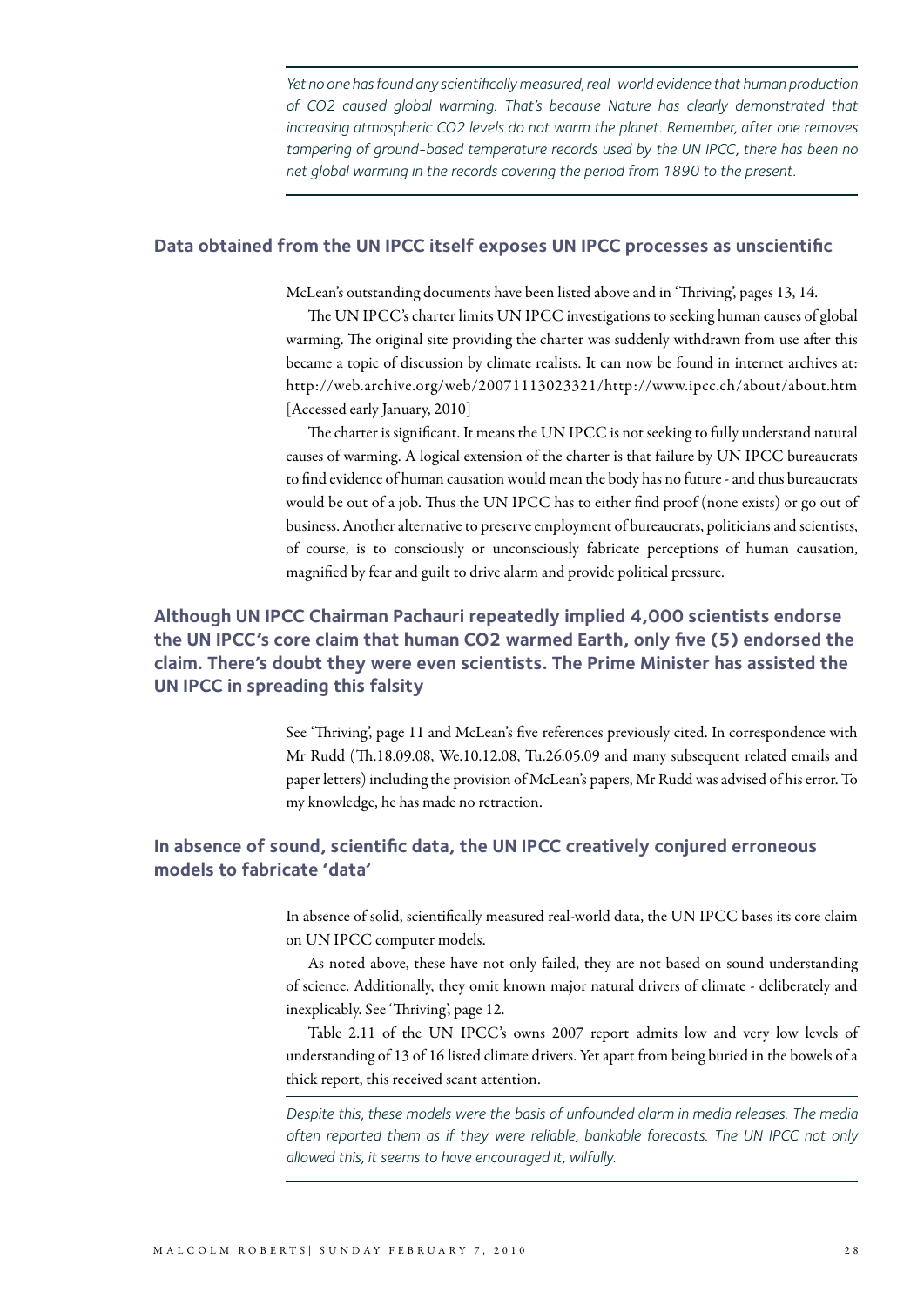*Yet no one has found any scientifically measured, real-world evidence that human production of CO2 caused global warming. That's because Nature has clearly demonstrated that increasing atmospheric CO2 levels do not warm the planet. Remember, after one removes tampering of ground-based temperature records used by the UN IPCC, there has been no net global warming in the records covering the period from 1890 to the present.*

#### **Data obtained from the un ipcc itself exposes un ipcc processes as unscientific**

McLean's outstanding documents have been listed above and in 'Thriving', pages 13, 14.

The UN IPCC's charter limits UN IPCC investigations to seeking human causes of global warming. The original site providing the charter was suddenly withdrawn from use after this became a topic of discussion by climate realists. It can now be found in internet archives at: http://web.archive.org/web/20071113023321/http://www.ipcc.ch/about/about.htm [Accessed early January, 2010]

The charter is significant. It means the UN IPCC is not seeking to fully understand natural causes of warming. A logical extension of the charter is that failure by UN IPCC bureaucrats to find evidence of human causation would mean the body has no future - and thus bureaucrats would be out of a job. Thus the UN IPCC has to either find proof (none exists) or go out of business. Another alternative to preserve employment of bureaucrats, politicians and scientists, of course, is to consciously or unconsciously fabricate perceptions of human causation, magnified by fear and guilt to drive alarm and provide political pressure.

#### **Although UN IPCC Chairman Pachauri repeatedly implied 4,000 scientists endorse the UN IPCC's core claim that human CO2 warmed Earth, only five (5) endorsed the claim. There's doubt they were even scientists. The Prime Minister has assisted the UN IPCC in spreading this falsity**

See 'Thriving', page 11 and McLean's five references previously cited. In correspondence with Mr Rudd (Th.18.09.08, We.10.12.08, Tu.26.05.09 and many subsequent related emails and paper letters) including the provision of McLean's papers, Mr Rudd was advised of his error. To my knowledge, he has made no retraction.

#### In absence of sound, scientific data, the UN IPCC creatively conjured erroneous **models to fabricate 'data'**

In absence of solid, scientifically measured real-world data, the UN IPCC bases its core claim on UN IPCC computer models.

As noted above, these have not only failed, they are not based on sound understanding of science. Additionally, they omit known major natural drivers of climate - deliberately and inexplicably. See 'Thriving', page 12.

Table 2.11 of the UN IPCC's owns 2007 report admits low and very low levels of understanding of 13 of 16 listed climate drivers. Yet apart from being buried in the bowels of a thick report, this received scant attention.

*Despite this, these models were the basis of unfounded alarm in media releases. The media often reported them as if they were reliable, bankable forecasts. The UN IPCC not only allowed this, it seems to have encouraged it, wilfully.*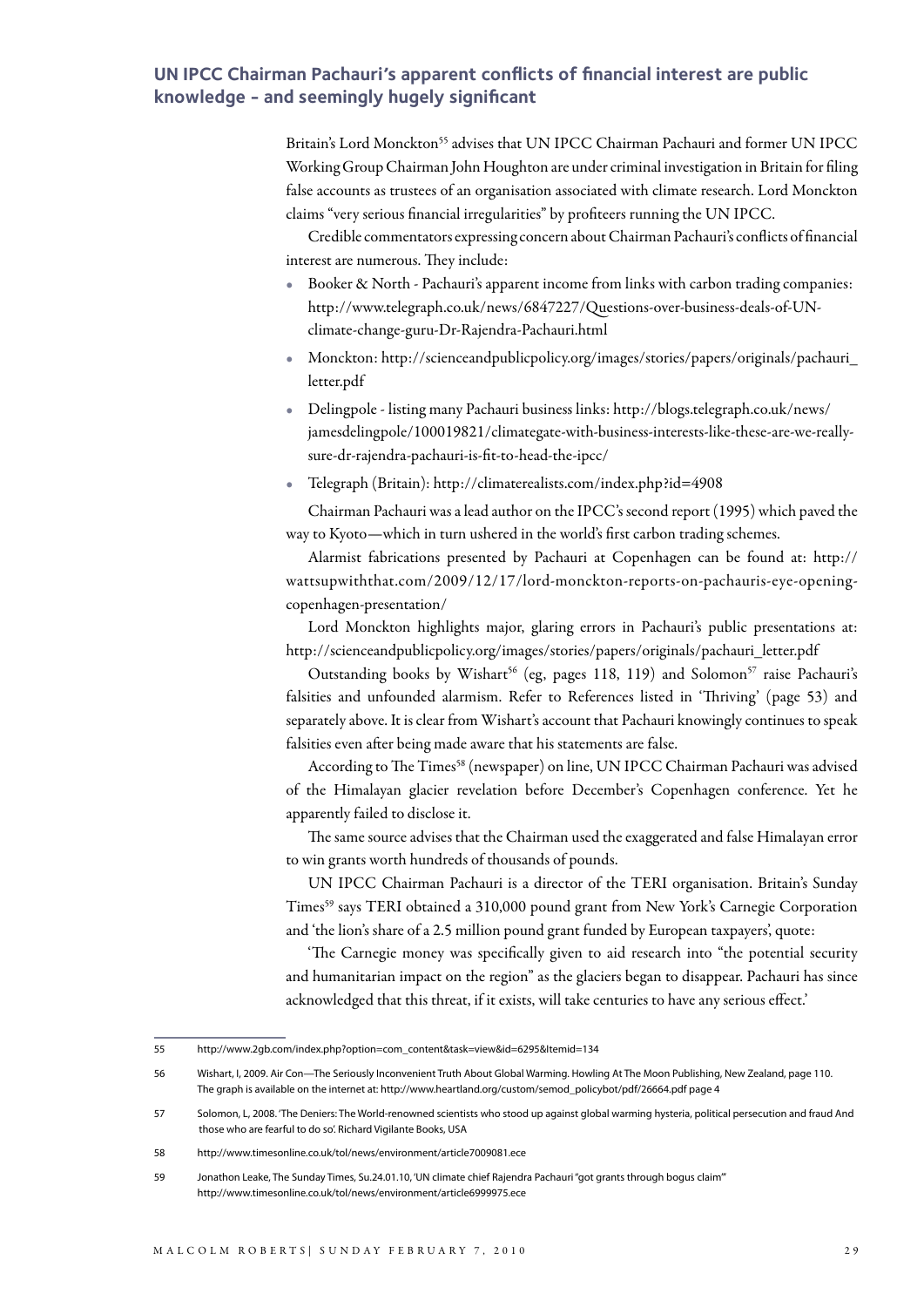#### **UN IPCC Chairman Pachauri's apparent conflicts of financial interest are public knowledge - and seemingly hugely significant**

Britain's Lord Monckton<sup>55</sup> advises that UN IPCC Chairman Pachauri and former UN IPCC Working Group Chairman John Houghton are under criminal investigation in Britain for filing false accounts as trustees of an organisation associated with climate research. Lord Monckton claims "very serious financial irregularities" by profiteers running the UN IPCC.

Credible commentators expressing concern about Chairman Pachauri's conflicts of financial interest are numerous. They include:

- Booker & North Pachauri's apparent income from links with carbon trading companies: http://www.telegraph.co.uk/news/6847227/Questions-over-business-deals-of-UNclimate-change-guru-Dr-Rajendra-Pachauri.html
- Monckton: http://scienceandpublicpolicy.org/images/stories/papers/originals/pachauri\_ letter.pdf
- Delingpole listing many Pachauri business links: http://blogs.telegraph.co.uk/news/ jamesdelingpole/100019821/climategate-with-business-interests-like-these-are-we-reallysure-dr-rajendra-pachauri-is-fit-to-head-the-ipcc/
- Telegraph (Britain): http://climaterealists.com/index.php?id=4908

Chairman Pachauri was a lead author on the IPCC's second report (1995) which paved the way to Kyoto—which in turn ushered in the world's first carbon trading schemes.

Alarmist fabrications presented by Pachauri at Copenhagen can be found at: http:// wattsupwiththat.com/2009/12/17/lord-monckton-reports-on-pachauris-eye-openingcopenhagen-presentation/

Lord Monckton highlights major, glaring errors in Pachauri's public presentations at: http://scienceandpublicpolicy.org/images/stories/papers/originals/pachauri\_letter.pdf

Outstanding books by Wishart<sup>56</sup> (eg, pages 118, 119) and Solomon<sup>57</sup> raise Pachauri's falsities and unfounded alarmism. Refer to References listed in 'Thriving' (page 53) and separately above. It is clear from Wishart's account that Pachauri knowingly continues to speak falsities even after being made aware that his statements are false.

According to The Times<sup>58</sup> (newspaper) on line, UN IPCC Chairman Pachauri was advised of the Himalayan glacier revelation before December's Copenhagen conference. Yet he apparently failed to disclose it.

The same source advises that the Chairman used the exaggerated and false Himalayan error to win grants worth hundreds of thousands of pounds.

UN IPCC Chairman Pachauri is a director of the TERI organisation. Britain's Sunday Times<sup>59</sup> says TERI obtained a 310,000 pound grant from New York's Carnegie Corporation and 'the lion's share of a 2.5 million pound grant funded by European taxpayers', quote:

'The Carnegie money was specifically given to aid research into "the potential security and humanitarian impact on the region" as the glaciers began to disappear. Pachauri has since acknowledged that this threat, if it exists, will take centuries to have any serious effect.'

<sup>55</sup> http://www.2gb.com/index.php?option=com\_content&task=view&id=6295&Itemid=134

<sup>56</sup> Wishart, I, 2009. Air Con—The Seriously Inconvenient Truth About Global Warming. Howling At The Moon Publishing, New Zealand, page 110. The graph is available on the internet at: http://www.heartland.org/custom/semod\_policybot/pdf/26664.pdf page 4

<sup>57</sup> Solomon, L, 2008. 'The Deniers: The World-renowned scientists who stood up against global warming hysteria, political persecution and fraud And those who are fearful to do so'. Richard Vigilante Books, USA

<sup>58</sup> http://www.timesonline.co.uk/tol/news/environment/article7009081.ece

<sup>59</sup> Jonathon Leake, The Sunday Times, Su.24.01.10, 'UN climate chief Rajendra Pachauri "got grants through bogus claim"' http://www.timesonline.co.uk/tol/news/environment/article6999975.ece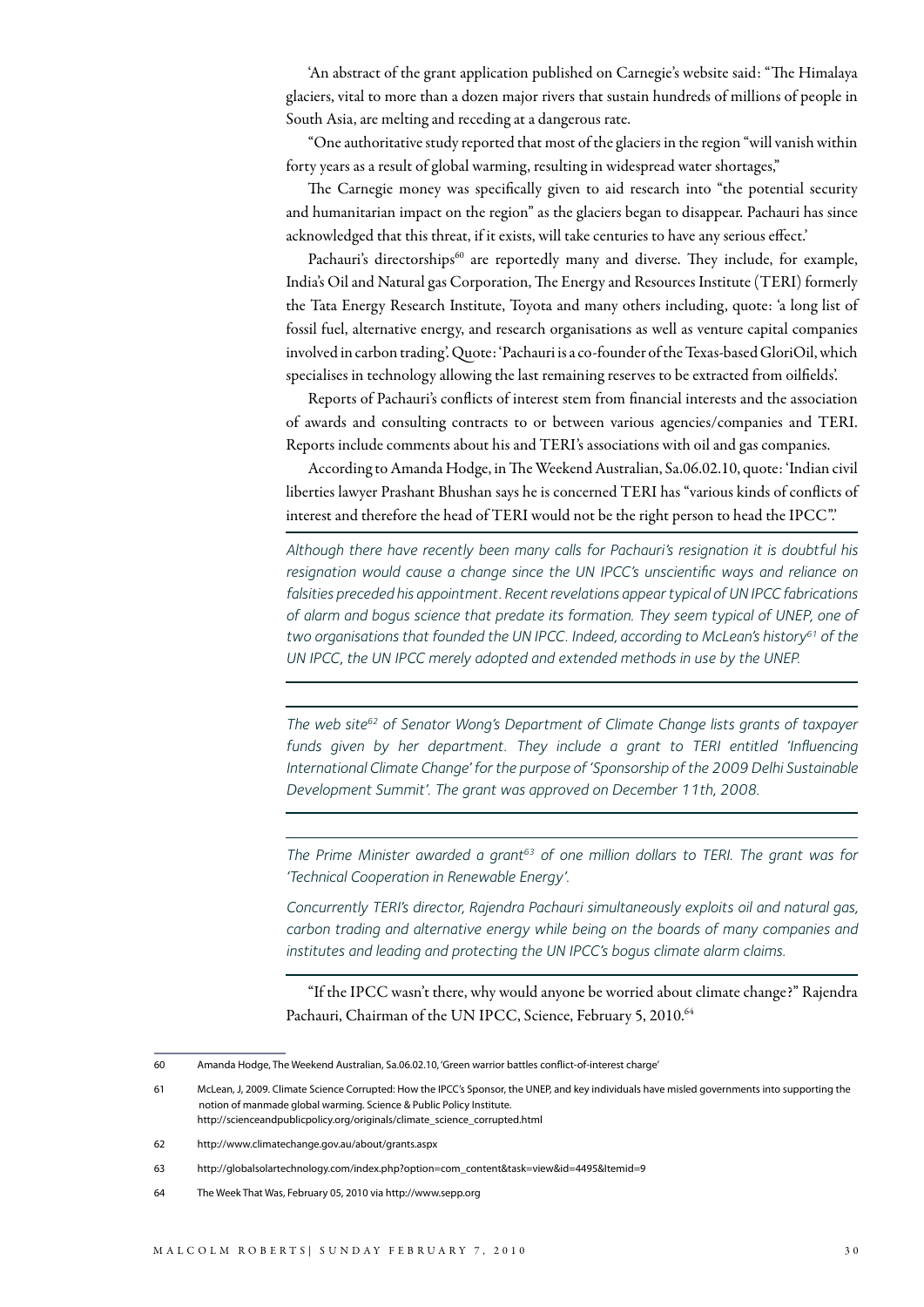'An abstract of the grant application published on Carnegie's website said: "The Himalaya glaciers, vital to more than a dozen major rivers that sustain hundreds of millions of people in South Asia, are melting and receding at a dangerous rate.

"One authoritative study reported that most of the glaciers in the region "will vanish within forty years as a result of global warming, resulting in widespread water shortages,"

The Carnegie money was specifically given to aid research into "the potential security and humanitarian impact on the region" as the glaciers began to disappear. Pachauri has since acknowledged that this threat, if it exists, will take centuries to have any serious effect.'

Pachauri's directorships<sup>60</sup> are reportedly many and diverse. They include, for example, India's Oil and Natural gas Corporation, The Energy and Resources Institute (TERI) formerly the Tata Energy Research Institute, Toyota and many others including, quote: 'a long list of fossil fuel, alternative energy, and research organisations as well as venture capital companies involved in carbon trading'. Quote: 'Pachauri is a co-founder of the Texas-based GloriOil, which specialises in technology allowing the last remaining reserves to be extracted from oilfields'.

Reports of Pachauri's conflicts of interest stem from financial interests and the association of awards and consulting contracts to or between various agencies/companies and TERI. Reports include comments about his and TERI's associations with oil and gas companies.

According to Amanda Hodge, in The Weekend Australian, Sa.06.02.10, quote: 'Indian civil liberties lawyer Prashant Bhushan says he is concerned TERI has "various kinds of conflicts of interest and therefore the head of TERI would not be the right person to head the IPCC".'

*Although there have recently been many calls for Pachauri's resignation it is doubtful his*  resignation would cause a change since the UN IPCC's unscientific ways and reliance on *falsities preceded his appointment. Recent revelations appear typical of UN IPCC fabrications of alarm and bogus science that predate its formation. They seem typical of UNEP, one of two organisations that founded the UN IPCC. Indeed, according to McLean's history61 of the UN IPCC, the UN IPCC merely adopted and extended methods in use by the UNEP.*

*The web site62 of Senator Wong's Department of Climate Change lists grants of taxpayer*  funds given by her department. They include a grant to TERI entitled 'Influencing *International Climate Change' for the purpose of 'Sponsorship of the 2009 Delhi Sustainable Development Summit'. The grant was approved on December 11th, 2008.*

The Prime Minister awarded a grant<sup>63</sup> of one million dollars to TERI. The grant was for *'Technical Cooperation in Renewable Energy'.* 

*Concurrently TERI's director, Rajendra Pachauri simultaneously exploits oil and natural gas, carbon trading and alternative energy while being on the boards of many companies and institutes and leading and protecting the UN IPCC's bogus climate alarm claims.*

"If the IPCC wasn't there, why would anyone be worried about climate change?" Rajendra Pachauri, Chairman of the UN IPCC, Science, February 5, 2010.<sup>64</sup>

<sup>60</sup> Amanda Hodge, The Weekend Australian, Sa.06.02.10, 'Green warrior battles conflict-of-interest charge'

<sup>61</sup> McLean, J, 2009. Climate Science Corrupted: How the IPCC's Sponsor, the UNEP, and key individuals have misled governments into supporting the notion of manmade global warming. Science & Public Policy Institute. http://scienceandpublicpolicy.org/originals/climate\_science\_corrupted.html

<sup>62</sup> http://www.climatechange.gov.au/about/grants.aspx

<sup>63</sup> http://globalsolartechnology.com/index.php?option=com\_content&task=view&id=4495&Itemid=9

<sup>64</sup> The Week That Was, February 05, 2010 via http://www.sepp.org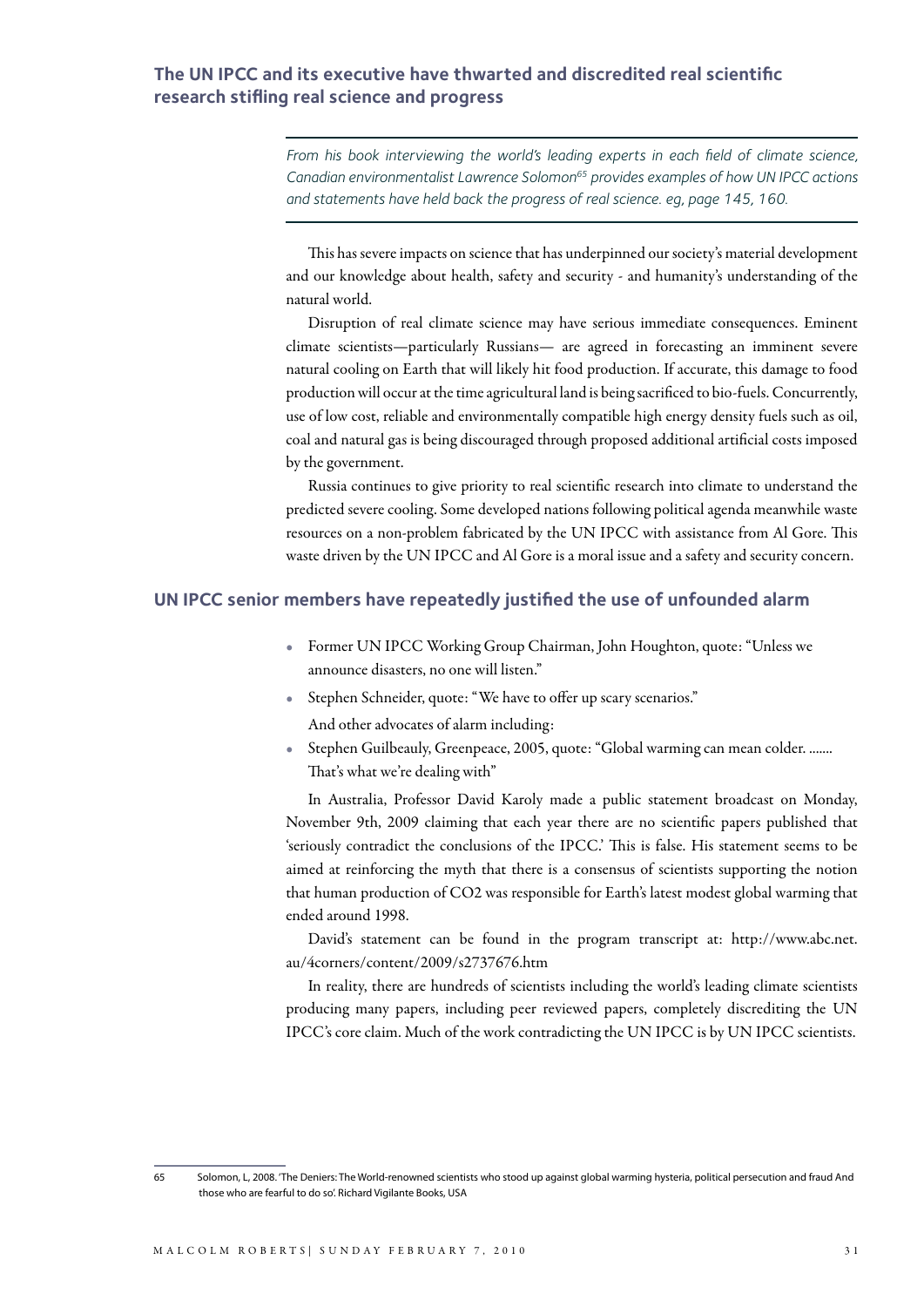#### **The UN IPCC and its executive have thwarted and discredited real scientific research stifling real science and progress**

*From his book interviewing the world's leading experts in each field of climate science,*  Canadian environmentalist Lawrence Solomon<sup>65</sup> provides examples of how UN IPCC actions *and statements have held back the progress of real science. eg, page 145, 160.*

This has severe impacts on science that has underpinned our society's material development and our knowledge about health, safety and security - and humanity's understanding of the natural world.

Disruption of real climate science may have serious immediate consequences. Eminent climate scientists—particularly Russians— are agreed in forecasting an imminent severe natural cooling on Earth that will likely hit food production. If accurate, this damage to food production will occur at the time agricultural land is being sacrificed to bio-fuels. Concurrently, use of low cost, reliable and environmentally compatible high energy density fuels such as oil, coal and natural gas is being discouraged through proposed additional artificial costs imposed by the government.

Russia continues to give priority to real scientific research into climate to understand the predicted severe cooling. Some developed nations following political agenda meanwhile waste resources on a non-problem fabricated by the UN IPCC with assistance from Al Gore. This waste driven by the UN IPCC and Al Gore is a moral issue and a safety and security concern.

#### **UN IPCC senior members have repeatedly justified the use of unfounded alarm**

- Former UN IPCC Working Group Chairman, John Houghton, quote: "Unless we announce disasters, no one will listen."
- Stephen Schneider, quote: "We have to offer up scary scenarios."

And other advocates of alarm including:

• Stephen Guilbeauly, Greenpeace, 2005, quote: "Global warming can mean colder. ....... That's what we're dealing with"

In Australia, Professor David Karoly made a public statement broadcast on Monday, November 9th, 2009 claiming that each year there are no scientific papers published that 'seriously contradict the conclusions of the IPCC.' This is false. His statement seems to be aimed at reinforcing the myth that there is a consensus of scientists supporting the notion that human production of CO2 was responsible for Earth's latest modest global warming that ended around 1998.

David's statement can be found in the program transcript at: http://www.abc.net. au/4corners/content/2009/s2737676.htm

In reality, there are hundreds of scientists including the world's leading climate scientists producing many papers, including peer reviewed papers, completely discrediting the UN IPCC's core claim. Much of the work contradicting the UN IPCC is by UN IPCC scientists.

<sup>65</sup> Solomon, L, 2008. 'The Deniers: The World-renowned scientists who stood up against global warming hysteria, political persecution and fraud And those who are fearful to do so'. Richard Vigilante Books, USA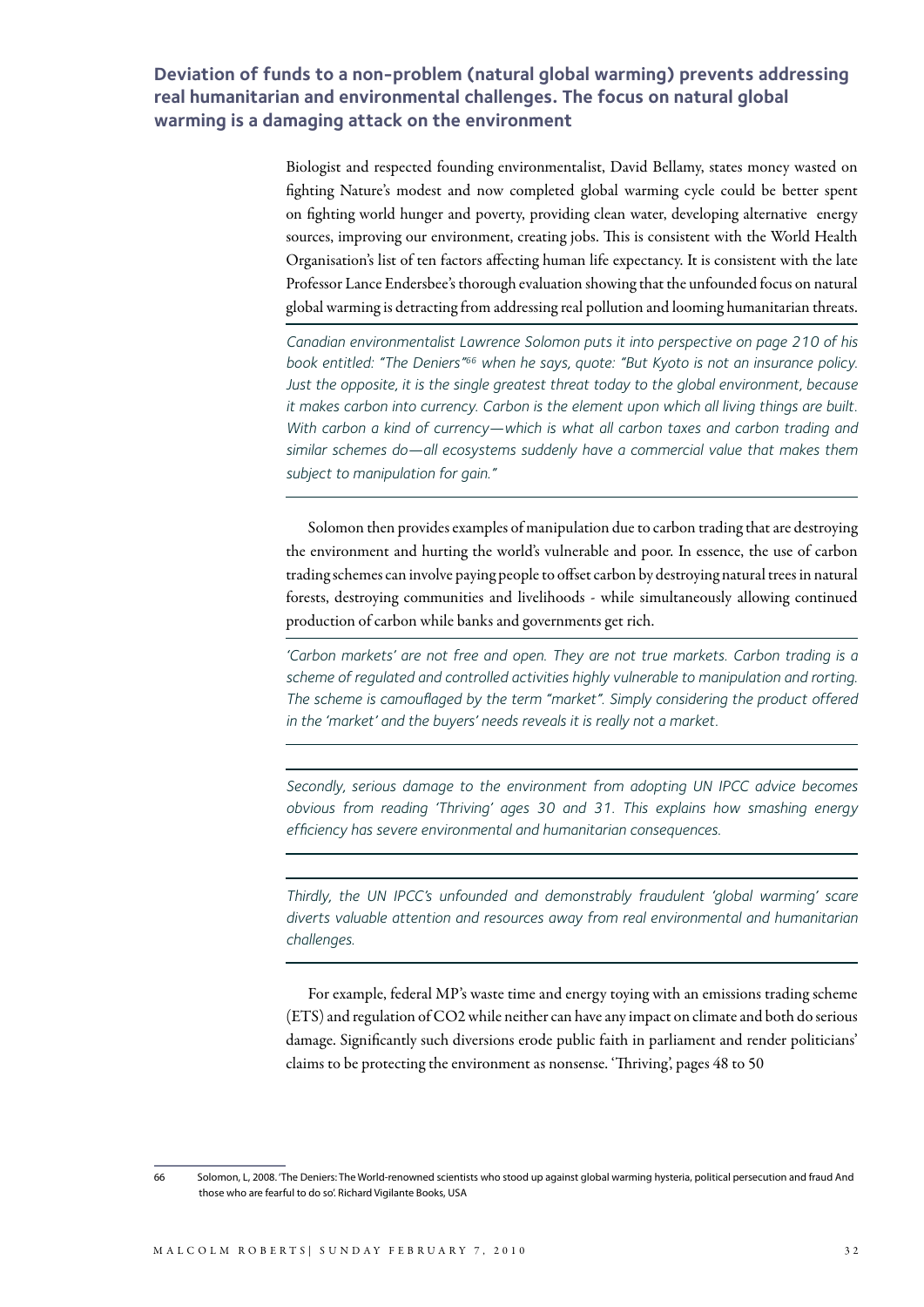#### **Deviation of funds to a non-problem (natural global warming) prevents addressing real humanitarian and environmental challenges. The focus on natural global warming is a damaging attack on the environment**

Biologist and respected founding environmentalist, David Bellamy, states money wasted on fighting Nature's modest and now completed global warming cycle could be better spent on fighting world hunger and poverty, providing clean water, developing alternative energy sources, improving our environment, creating jobs. This is consistent with the World Health Organisation's list of ten factors affecting human life expectancy. It is consistent with the late Professor Lance Endersbee's thorough evaluation showing that the unfounded focus on natural global warming is detracting from addressing real pollution and looming humanitarian threats.

*Canadian environmentalist Lawrence Solomon puts it into perspective on page 210 of his book entitled: "The Deniers"66 when he says, quote: "But Kyoto is not an insurance policy. Just the opposite, it is the single greatest threat today to the global environment, because it makes carbon into currency. Carbon is the element upon which all living things are built. With carbon a kind of currency—which is what all carbon taxes and carbon trading and similar schemes do—all ecosystems suddenly have a commercial value that makes them subject to manipulation for gain."*

Solomon then provides examples of manipulation due to carbon trading that are destroying the environment and hurting the world's vulnerable and poor. In essence, the use of carbon trading schemes can involve paying people to offset carbon by destroying natural trees in natural forests, destroying communities and livelihoods - while simultaneously allowing continued production of carbon while banks and governments get rich.

*'Carbon markets' are not free and open. They are not true markets. Carbon trading is a scheme of regulated and controlled activities highly vulnerable to manipulation and rorting. The scheme is camouflaged by the term "market". Simply considering the product offered in the 'market' and the buyers' needs reveals it is really not a market.*

Secondly, serious damage to the environment from adopting UN IPCC advice becomes *obvious from reading 'Thriving' ages 30 and 31. This explains how smashing energy efficiency has severe environmental and humanitarian consequences.*

*Thirdly, the UN IPCC's unfounded and demonstrably fraudulent 'global warming' scare diverts valuable attention and resources away from real environmental and humanitarian challenges.*

For example, federal MP's waste time and energy toying with an emissions trading scheme (ETS) and regulation of CO2 while neither can have any impact on climate and both do serious damage. Significantly such diversions erode public faith in parliament and render politicians' claims to be protecting the environment as nonsense. 'Thriving', pages 48 to 50

<sup>66</sup> Solomon, L, 2008. 'The Deniers: The World-renowned scientists who stood up against global warming hysteria, political persecution and fraud And those who are fearful to do so'. Richard Vigilante Books, USA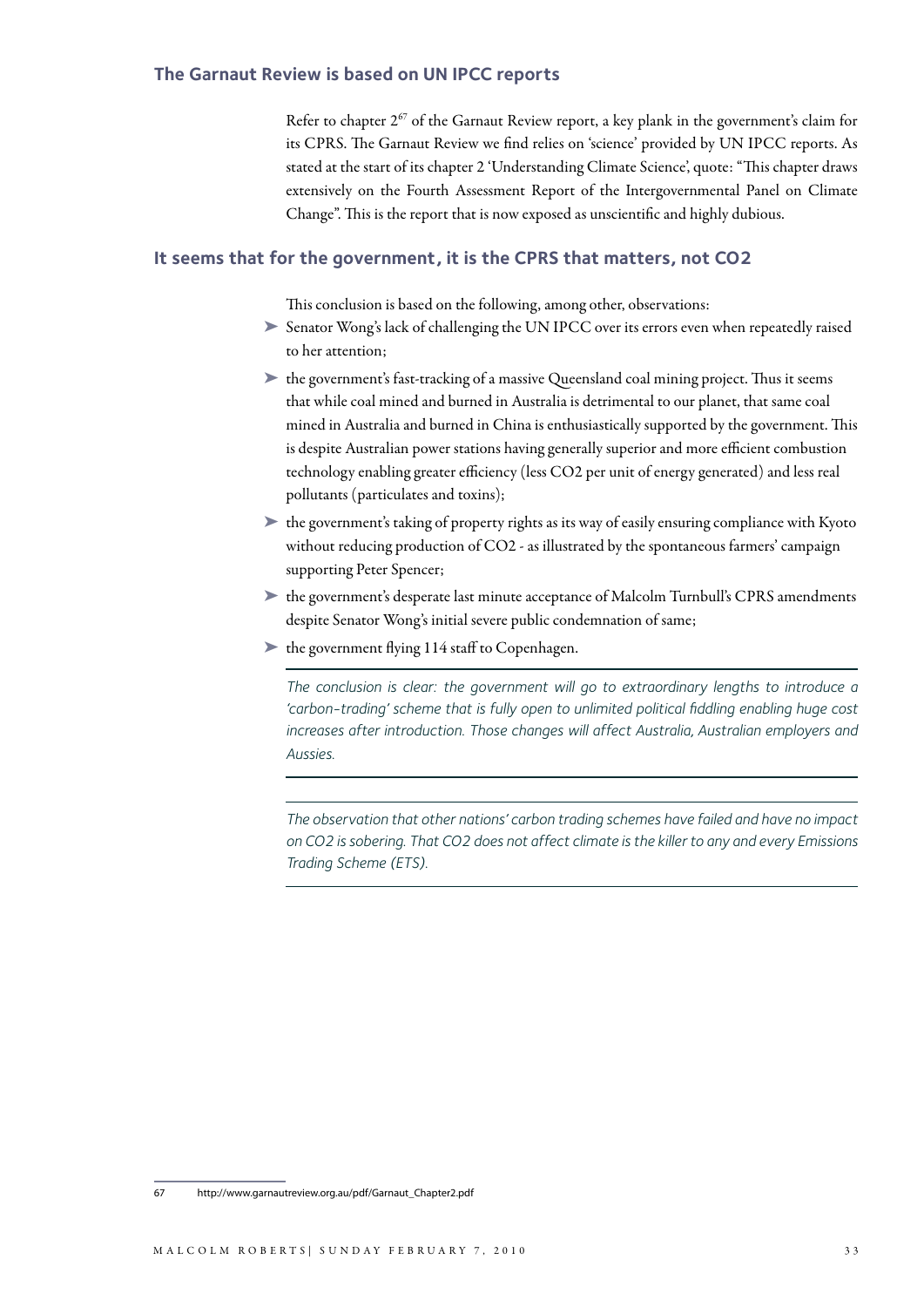#### **The Garnaut Review is based on un ipcc reports**

Refer to chapter  $2^{67}$  of the Garnaut Review report, a key plank in the government's claim for its CPRS. The Garnaut Review we find relies on 'science' provided by UN IPCC reports. As stated at the start of its chapter 2 'Understanding Climate Science', quote: "This chapter draws extensively on the Fourth Assessment Report of the Intergovernmental Panel on Climate Change". This is the report that is now exposed as unscientific and highly dubious.

#### **It seems that for the government, it is the CPRS that matters, not CO2**

This conclusion is based on the following, among other, observations:

- ➤ Senator Wong's lack of challenging the UN IPCC over its errors even when repeatedly raised to her attention;
- ➤ the government's fast-tracking of a massive Queensland coal mining project. Thus it seems that while coal mined and burned in Australia is detrimental to our planet, that same coal mined in Australia and burned in China is enthusiastically supported by the government. This is despite Australian power stations having generally superior and more efficient combustion technology enabling greater efficiency (less CO2 per unit of energy generated) and less real pollutants (particulates and toxins);
- $\triangleright$  the government's taking of property rights as its way of easily ensuring compliance with Kyoto without reducing production of CO2 - as illustrated by the spontaneous farmers' campaign supporting Peter Spencer;
- ➤ the government's desperate last minute acceptance of Malcolm Turnbull's CPRS amendments despite Senator Wong's initial severe public condemnation of same;
- ► the government flying 114 staff to Copenhagen.

*The conclusion is clear: the government will go to extraordinary lengths to introduce a 'carbon-trading' scheme that is fully open to unlimited political fiddling enabling huge cost*  increases after introduction. Those changes will affect Australia, Australian employers and *Aussies.*

*The observation that other nations' carbon trading schemes have failed and have no impact on CO2 is sobering. That CO2 does not affect climate is the killer to any and every Emissions Trading Scheme (ETS).*

<sup>67</sup> http://www.garnautreview.org.au/pdf/Garnaut\_Chapter2.pdf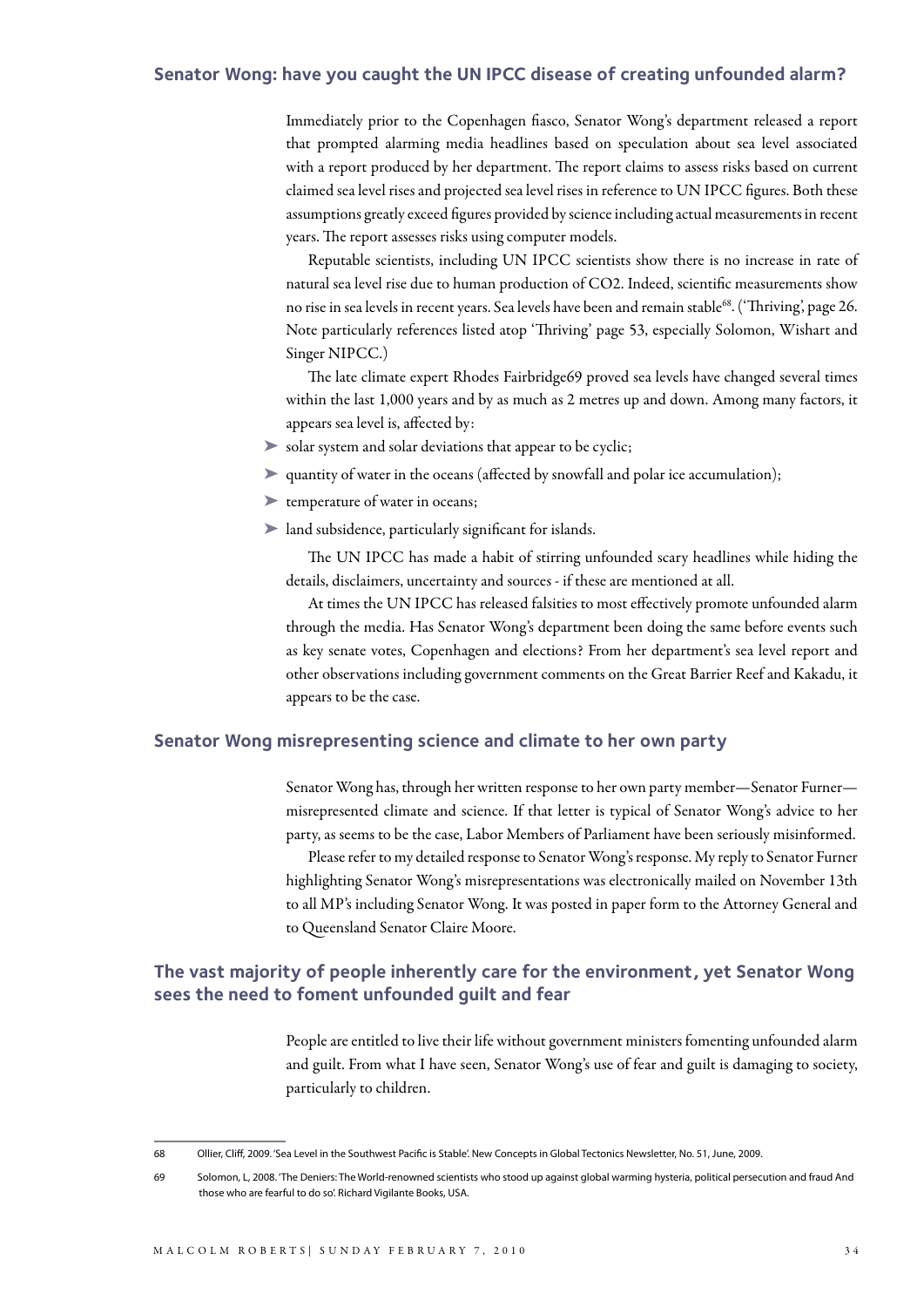#### **Senator Wong: have you caught the un ipcc disease of creating unfounded alarm?**

Immediately prior to the Copenhagen fiasco, Senator Wong's department released a report that prompted alarming media headlines based on speculation about sea level associated with a report produced by her department. The report claims to assess risks based on current claimed sea level rises and projected sea level rises in reference to UN IPCC figures. Both these assumptions greatly exceed figures provided by science including actual measurements in recent years. The report assesses risks using computer models.

Reputable scientists, including UN IPCC scientists show there is no increase in rate of natural sea level rise due to human production of CO2. Indeed, scientific measurements show no rise in sea levels in recent years. Sea levels have been and remain stable68. ('Thriving', page 26. Note particularly references listed atop 'Thriving' page 53, especially Solomon, Wishart and Singer NIPCC.)

The late climate expert Rhodes Fairbridge69 proved sea levels have changed several times within the last 1,000 years and by as much as 2 metres up and down. Among many factors, it appears sea level is, affected by:

- ➤ solar system and solar deviations that appear to be cyclic;
- ➤ quantity of water in the oceans (affected by snowfall and polar ice accumulation);
- ➤ temperature of water in oceans;
- ➤ land subsidence, particularly significant for islands.

The UN IPCC has made a habit of stirring unfounded scary headlines while hiding the details, disclaimers, uncertainty and sources - if these are mentioned at all.

At times the UN IPCC has released falsities to most effectively promote unfounded alarm through the media. Has Senator Wong's department been doing the same before events such as key senate votes, Copenhagen and elections? From her department's sea level report and other observations including government comments on the Great Barrier Reef and Kakadu, it appears to be the case.

#### **Senator Wong misrepresenting science and climate to her own party**

Senator Wong has, through her written response to her own party member—Senator Furner misrepresented climate and science. If that letter is typical of Senator Wong's advice to her party, as seems to be the case, Labor Members of Parliament have been seriously misinformed.

Please refer to my detailed response to Senator Wong's response. My reply to Senator Furner highlighting Senator Wong's misrepresentations was electronically mailed on November 13th to all MP's including Senator Wong. It was posted in paper form to the Attorney General and to Queensland Senator Claire Moore.

#### **The vast majority of people inherently care for the environment, yet Senator Wong sees the need to foment unfounded guilt and fear**

People are entitled to live their life without government ministers fomenting unfounded alarm and guilt. From what I have seen, Senator Wong's use of fear and guilt is damaging to society, particularly to children.

<sup>68</sup> Ollier, Cliff, 2009. 'Sea Level in the Southwest Pacific is Stable'. New Concepts in Global Tectonics Newsletter, No. 51, June, 2009.

<sup>69</sup> Solomon, L, 2008. 'The Deniers: The World-renowned scientists who stood up against global warming hysteria, political persecution and fraud And those who are fearful to do so'. Richard Vigilante Books, USA.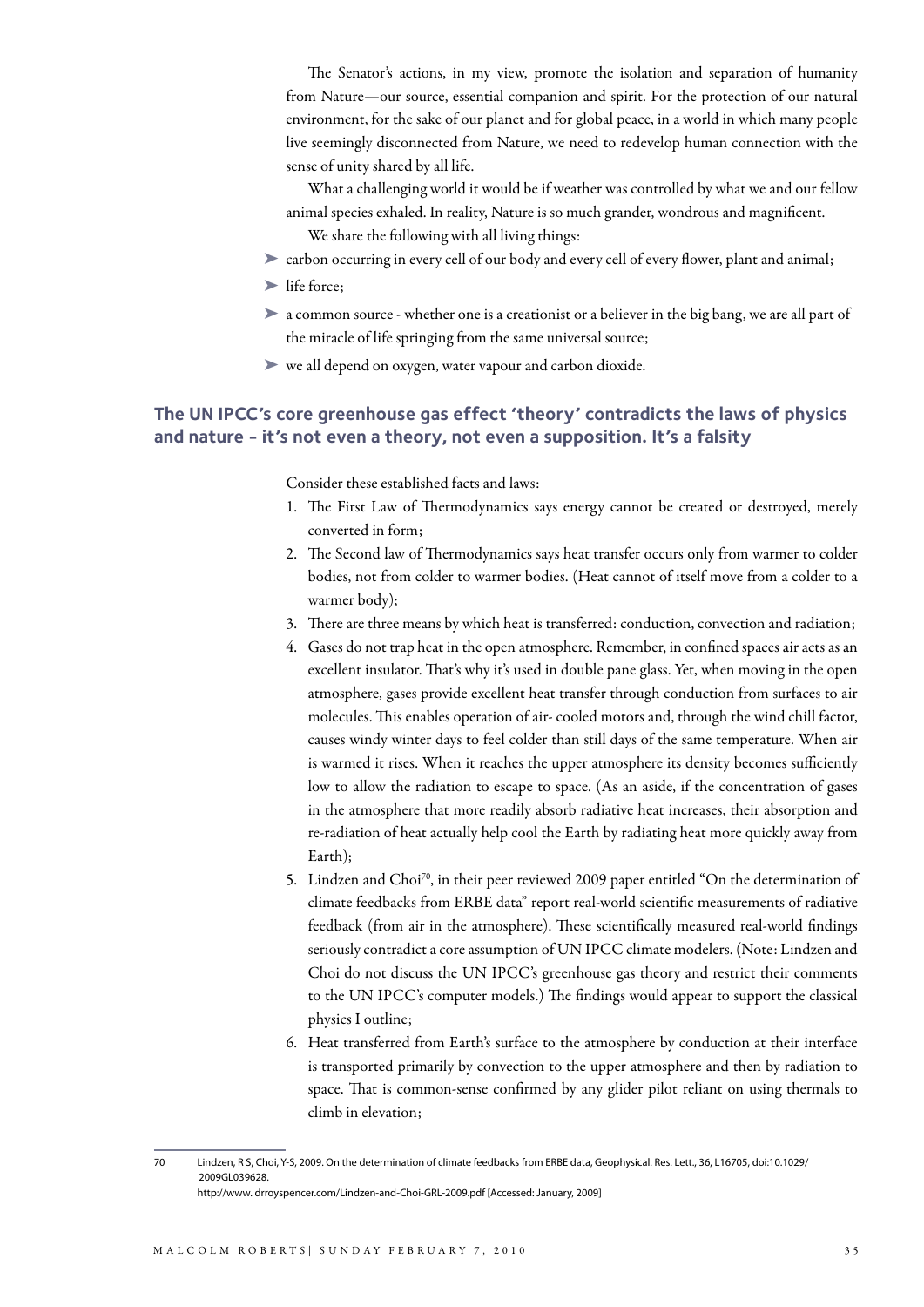The Senator's actions, in my view, promote the isolation and separation of humanity from Nature—our source, essential companion and spirit. For the protection of our natural environment, for the sake of our planet and for global peace, in a world in which many people live seemingly disconnected from Nature, we need to redevelop human connection with the sense of unity shared by all life.

What a challenging world it would be if weather was controlled by what we and our fellow animal species exhaled. In reality, Nature is so much grander, wondrous and magnificent.

- We share the following with all living things:
- ➤ carbon occurring in every cell of our body and every cell of every flower, plant and animal;
- ➤ life force;
- ➤ a common source whether one is a creationist or a believer in the big bang, we are all part of the miracle of life springing from the same universal source;
- ➤ we all depend on oxygen, water vapour and carbon dioxide.

#### **The UN IPCC's core greenhouse gas effect 'theory' contradicts the laws of physics and nature - it's not even a theory, not even a supposition. It's a falsity**

Consider these established facts and laws:

- 1. The First Law of Thermodynamics says energy cannot be created or destroyed, merely converted in form;
- 2. The Second law of Thermodynamics says heat transfer occurs only from warmer to colder bodies, not from colder to warmer bodies. (Heat cannot of itself move from a colder to a warmer body);
- 3. There are three means by which heat is transferred: conduction, convection and radiation;
- 4. Gases do not trap heat in the open atmosphere. Remember, in confined spaces air acts as an excellent insulator. That's why it's used in double pane glass. Yet, when moving in the open atmosphere, gases provide excellent heat transfer through conduction from surfaces to air molecules. This enables operation of air- cooled motors and, through the wind chill factor, causes windy winter days to feel colder than still days of the same temperature. When air is warmed it rises. When it reaches the upper atmosphere its density becomes sufficiently low to allow the radiation to escape to space. (As an aside, if the concentration of gases in the atmosphere that more readily absorb radiative heat increases, their absorption and re-radiation of heat actually help cool the Earth by radiating heat more quickly away from Earth);
- 5. Lindzen and Choi<sup>70</sup>, in their peer reviewed 2009 paper entitled "On the determination of climate feedbacks from ERBE data" report real-world scientific measurements of radiative feedback (from air in the atmosphere). These scientifically measured real-world findings seriously contradict a core assumption of UN IPCC climate modelers. (Note: Lindzen and Choi do not discuss the UN IPCC's greenhouse gas theory and restrict their comments to the UN IPCC's computer models.) The findings would appear to support the classical physics I outline;
- 6. Heat transferred from Earth's surface to the atmosphere by conduction at their interface is transported primarily by convection to the upper atmosphere and then by radiation to space. That is common-sense confirmed by any glider pilot reliant on using thermals to climb in elevation;

<sup>70</sup> Lindzen, R S, Choi, Y-S, 2009. On the determination of climate feedbacks from ERBE data, Geophysical. Res. Lett., 36, L16705, doi:10.1029/ 2009GL039628.

http://www. drroyspencer.com/Lindzen-and-Choi-GRL-2009.pdf [Accessed: January, 2009]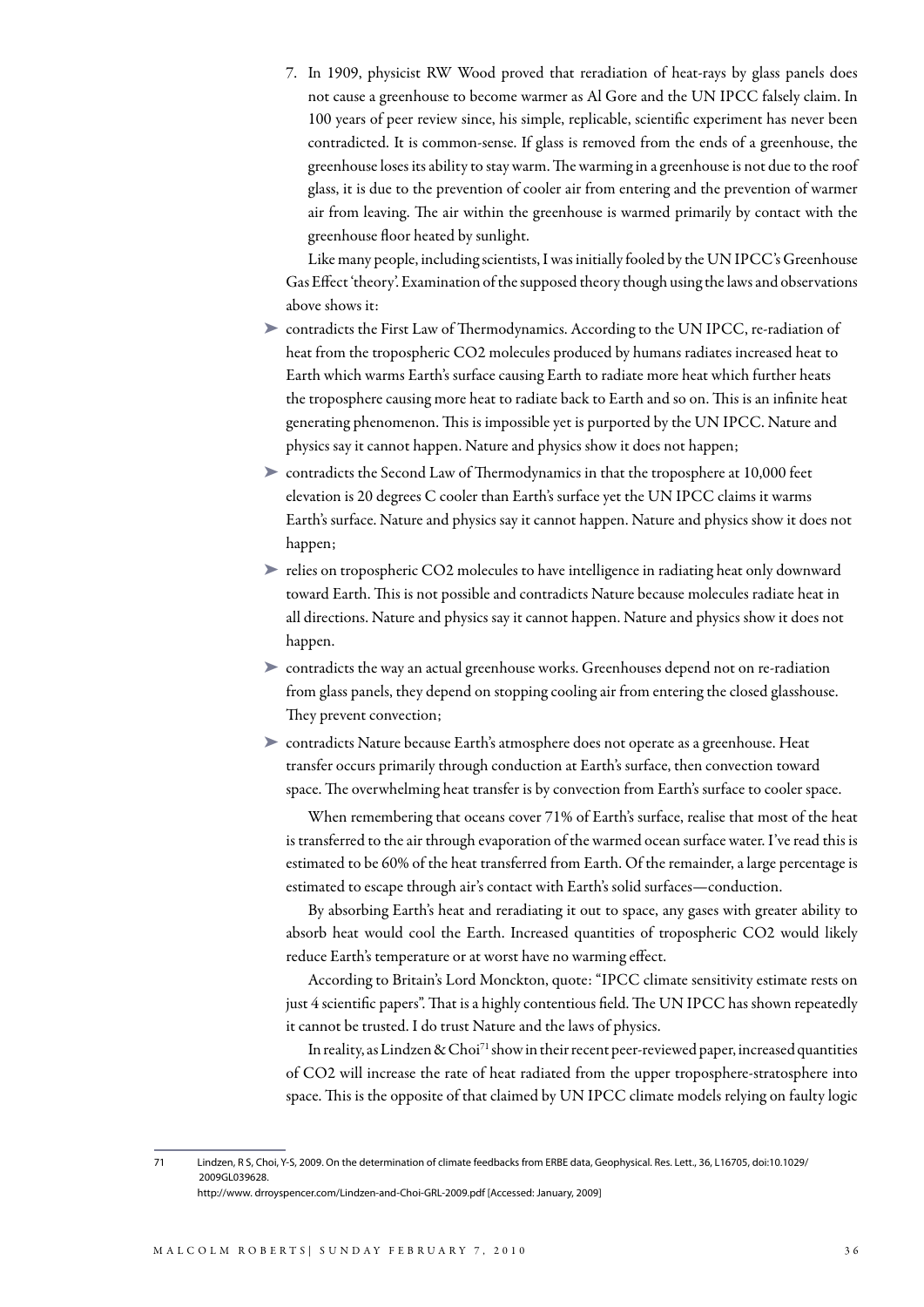7. In 1909, physicist RW Wood proved that reradiation of heat-rays by glass panels does not cause a greenhouse to become warmer as Al Gore and the UN IPCC falsely claim. In 100 years of peer review since, his simple, replicable, scientific experiment has never been contradicted. It is common-sense. If glass is removed from the ends of a greenhouse, the greenhouse loses its ability to stay warm. The warming in a greenhouse is not due to the roof glass, it is due to the prevention of cooler air from entering and the prevention of warmer air from leaving. The air within the greenhouse is warmed primarily by contact with the greenhouse floor heated by sunlight.

Like many people, including scientists, I was initially fooled by the UN IPCC's Greenhouse Gas Effect 'theory'. Examination of the supposed theory though using the laws and observations above shows it:

- ➤ contradicts the First Law of Thermodynamics. According to the UN IPCC, re-radiation of heat from the tropospheric CO2 molecules produced by humans radiates increased heat to Earth which warms Earth's surface causing Earth to radiate more heat which further heats the troposphere causing more heat to radiate back to Earth and so on. This is an infinite heat generating phenomenon. This is impossible yet is purported by the UN IPCC. Nature and physics say it cannot happen. Nature and physics show it does not happen;
- ➤ contradicts the Second Law of Thermodynamics in that the troposphere at 10,000 feet elevation is 20 degrees C cooler than Earth's surface yet the UN IPCC claims it warms Earth's surface. Nature and physics say it cannot happen. Nature and physics show it does not happen;
- ➤ relies on tropospheric CO2 molecules to have intelligence in radiating heat only downward toward Earth. This is not possible and contradicts Nature because molecules radiate heat in all directions. Nature and physics say it cannot happen. Nature and physics show it does not happen.
- ➤ contradicts the way an actual greenhouse works. Greenhouses depend not on re-radiation from glass panels, they depend on stopping cooling air from entering the closed glasshouse. They prevent convection;
- ➤ contradicts Nature because Earth's atmosphere does not operate as a greenhouse. Heat transfer occurs primarily through conduction at Earth's surface, then convection toward space. The overwhelming heat transfer is by convection from Earth's surface to cooler space.

When remembering that oceans cover 71% of Earth's surface, realise that most of the heat is transferred to the air through evaporation of the warmed ocean surface water. I've read this is estimated to be 60% of the heat transferred from Earth. Of the remainder, a large percentage is estimated to escape through air's contact with Earth's solid surfaces—conduction.

By absorbing Earth's heat and reradiating it out to space, any gases with greater ability to absorb heat would cool the Earth. Increased quantities of tropospheric CO2 would likely reduce Earth's temperature or at worst have no warming effect.

According to Britain's Lord Monckton, quote: "IPCC climate sensitivity estimate rests on just 4 scientific papers". That is a highly contentious field. The UN IPCC has shown repeatedly it cannot be trusted. I do trust Nature and the laws of physics.

In reality, as Lindzen & Choi<sup>71</sup> show in their recent peer-reviewed paper, increased quantities of CO2 will increase the rate of heat radiated from the upper troposphere-stratosphere into space. This is the opposite of that claimed by UN IPCC climate models relying on faulty logic

<sup>71</sup> Lindzen, R S, Choi, Y-S, 2009. On the determination of climate feedbacks from ERBE data, Geophysical. Res. Lett., 36, L16705, doi:10.1029/ 2009GL039628.

http://www. drroyspencer.com/Lindzen-and-Choi-GRL-2009.pdf [Accessed: January, 2009]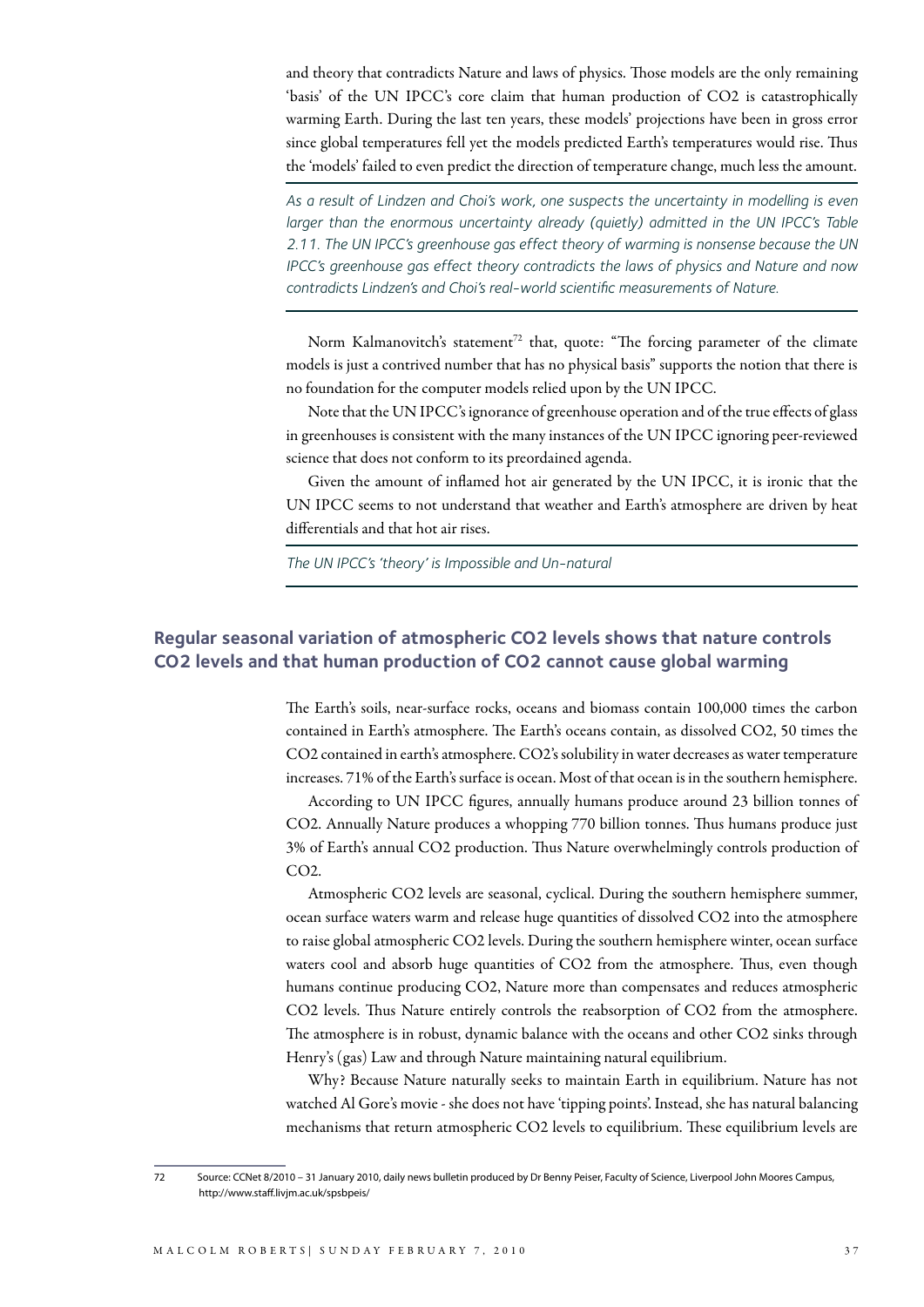and theory that contradicts Nature and laws of physics. Those models are the only remaining 'basis' of the UN IPCC's core claim that human production of CO2 is catastrophically warming Earth. During the last ten years, these models' projections have been in gross error since global temperatures fell yet the models predicted Earth's temperatures would rise. Thus the 'models' failed to even predict the direction of temperature change, much less the amount.

*As a result of Lindzen and Choi's work, one suspects the uncertainty in modelling is even*  larger than the enormous uncertainty already (quietly) admitted in the UN IPCC's Table *2.11. The UN IPCC's greenhouse gas effect theory of warming is nonsense because the UN IPCC's greenhouse gas effect theory contradicts the laws of physics and Nature and now contradicts Lindzen's and Choi's real-world scientific measurements of Nature.*

Norm Kalmanovitch's statement<sup>72</sup> that, quote: "The forcing parameter of the climate models is just a contrived number that has no physical basis" supports the notion that there is no foundation for the computer models relied upon by the UN IPCC.

Note that the UN IPCC's ignorance of greenhouse operation and of the true effects of glass in greenhouses is consistent with the many instances of the UN IPCC ignoring peer-reviewed science that does not conform to its preordained agenda.

Given the amount of inflamed hot air generated by the UN IPCC, it is ironic that the UN IPCC seems to not understand that weather and Earth's atmosphere are driven by heat differentials and that hot air rises.

*The UN IPCC's 'theory' is Impossible and Un-natural*

#### **Regular seasonal variation of atmospheric co2 levels shows that nature controls co2 levels and that human production of co2 cannot cause global warming**

The Earth's soils, near-surface rocks, oceans and biomass contain 100,000 times the carbon contained in Earth's atmosphere. The Earth's oceans contain, as dissolved CO2, 50 times the CO2 contained in earth's atmosphere. CO2's solubility in water decreases as water temperature increases. 71% of the Earth's surface is ocean. Most of that ocean is in the southern hemisphere.

According to UN IPCC figures, annually humans produce around 23 billion tonnes of CO2. Annually Nature produces a whopping 770 billion tonnes. Thus humans produce just 3% of Earth's annual CO2 production. Thus Nature overwhelmingly controls production of CO2.

Atmospheric CO2 levels are seasonal, cyclical. During the southern hemisphere summer, ocean surface waters warm and release huge quantities of dissolved CO2 into the atmosphere to raise global atmospheric CO2 levels. During the southern hemisphere winter, ocean surface waters cool and absorb huge quantities of CO2 from the atmosphere. Thus, even though humans continue producing CO2, Nature more than compensates and reduces atmospheric CO2 levels. Thus Nature entirely controls the reabsorption of CO2 from the atmosphere. The atmosphere is in robust, dynamic balance with the oceans and other CO2 sinks through Henry's (gas) Law and through Nature maintaining natural equilibrium.

Why? Because Nature naturally seeks to maintain Earth in equilibrium. Nature has not watched Al Gore's movie - she does not have 'tipping points'. Instead, she has natural balancing mechanisms that return atmospheric CO2 levels to equilibrium. These equilibrium levels are

<sup>72</sup> Source: CCNet 8/2010 – 31 January 2010, daily news bulletin produced by Dr Benny Peiser, Faculty of Science, Liverpool John Moores Campus, http://www.staff.livjm.ac.uk/spsbpeis/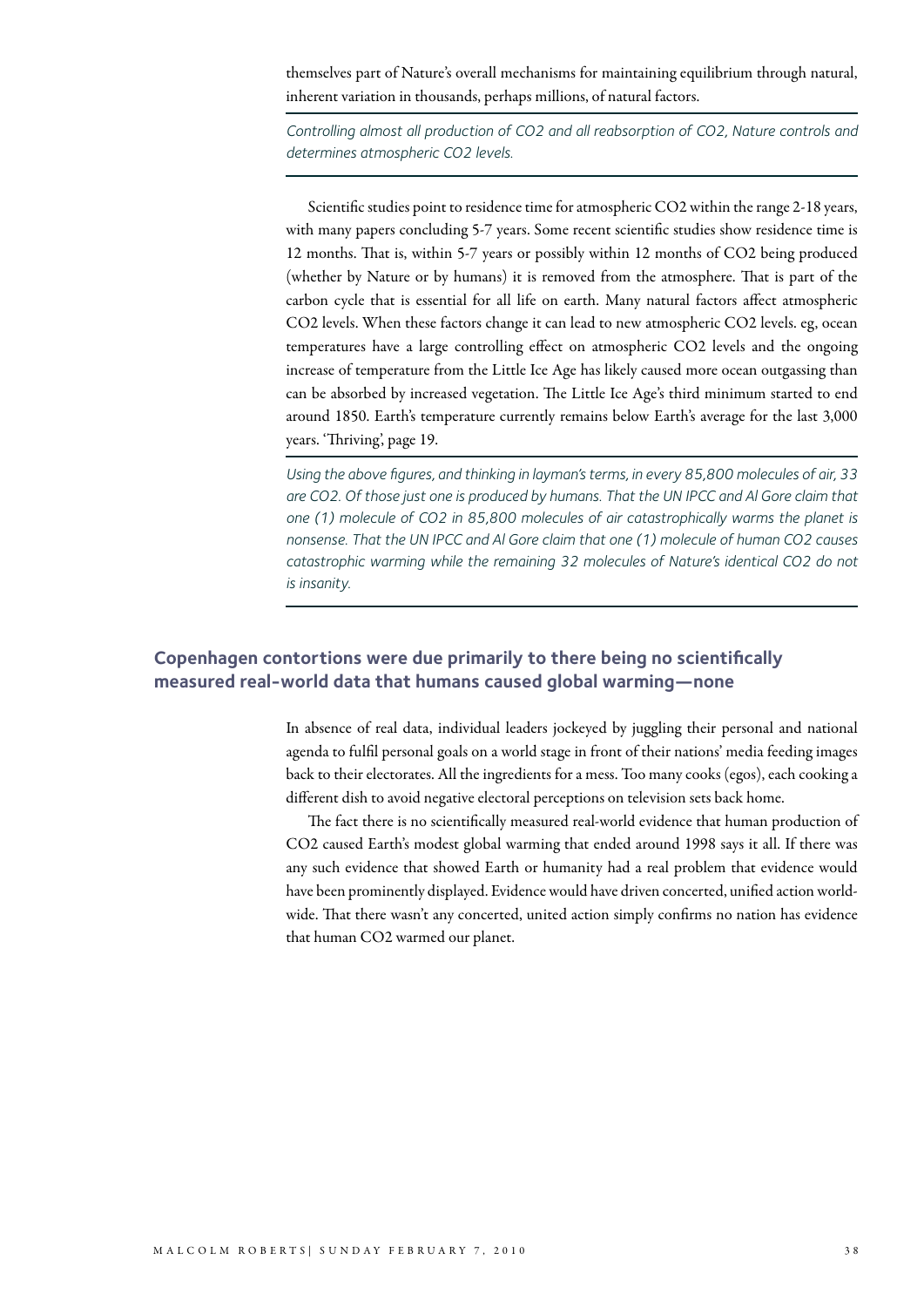themselves part of Nature's overall mechanisms for maintaining equilibrium through natural, inherent variation in thousands, perhaps millions, of natural factors.

*Controlling almost all production of CO2 and all reabsorption of CO2, Nature controls and determines atmospheric CO2 levels.*

Scientific studies point to residence time for atmospheric CO2 within the range 2-18 years, with many papers concluding 5-7 years. Some recent scientific studies show residence time is 12 months. That is, within 5-7 years or possibly within 12 months of CO2 being produced (whether by Nature or by humans) it is removed from the atmosphere. That is part of the carbon cycle that is essential for all life on earth. Many natural factors affect atmospheric CO2 levels. When these factors change it can lead to new atmospheric CO2 levels. eg, ocean temperatures have a large controlling effect on atmospheric CO2 levels and the ongoing increase of temperature from the Little Ice Age has likely caused more ocean outgassing than can be absorbed by increased vegetation. The Little Ice Age's third minimum started to end around 1850. Earth's temperature currently remains below Earth's average for the last 3,000 years. 'Thriving', page 19.

*Using the above figures, and thinking in layman's terms, in every 85,800 molecules of air, 33*  are CO2. Of those just one is produced by humans. That the UN IPCC and AI Gore claim that *one (1) molecule of CO2 in 85,800 molecules of air catastrophically warms the planet is nonsense. That the UN IPCC and Al Gore claim that one (1) molecule of human CO2 causes catastrophic warming while the remaining 32 molecules of Nature's identical CO2 do not is insanity.*

#### **Copenhagen contortions were due primarily to there being no scientifically measured real-world data that humans caused global warming—none**

In absence of real data, individual leaders jockeyed by juggling their personal and national agenda to fulfil personal goals on a world stage in front of their nations' media feeding images back to their electorates. All the ingredients for a mess. Too many cooks (egos), each cooking a different dish to avoid negative electoral perceptions on television sets back home.

The fact there is no scientifically measured real-world evidence that human production of CO2 caused Earth's modest global warming that ended around 1998 says it all. If there was any such evidence that showed Earth or humanity had a real problem that evidence would have been prominently displayed. Evidence would have driven concerted, unified action worldwide. That there wasn't any concerted, united action simply confirms no nation has evidence that human CO2 warmed our planet.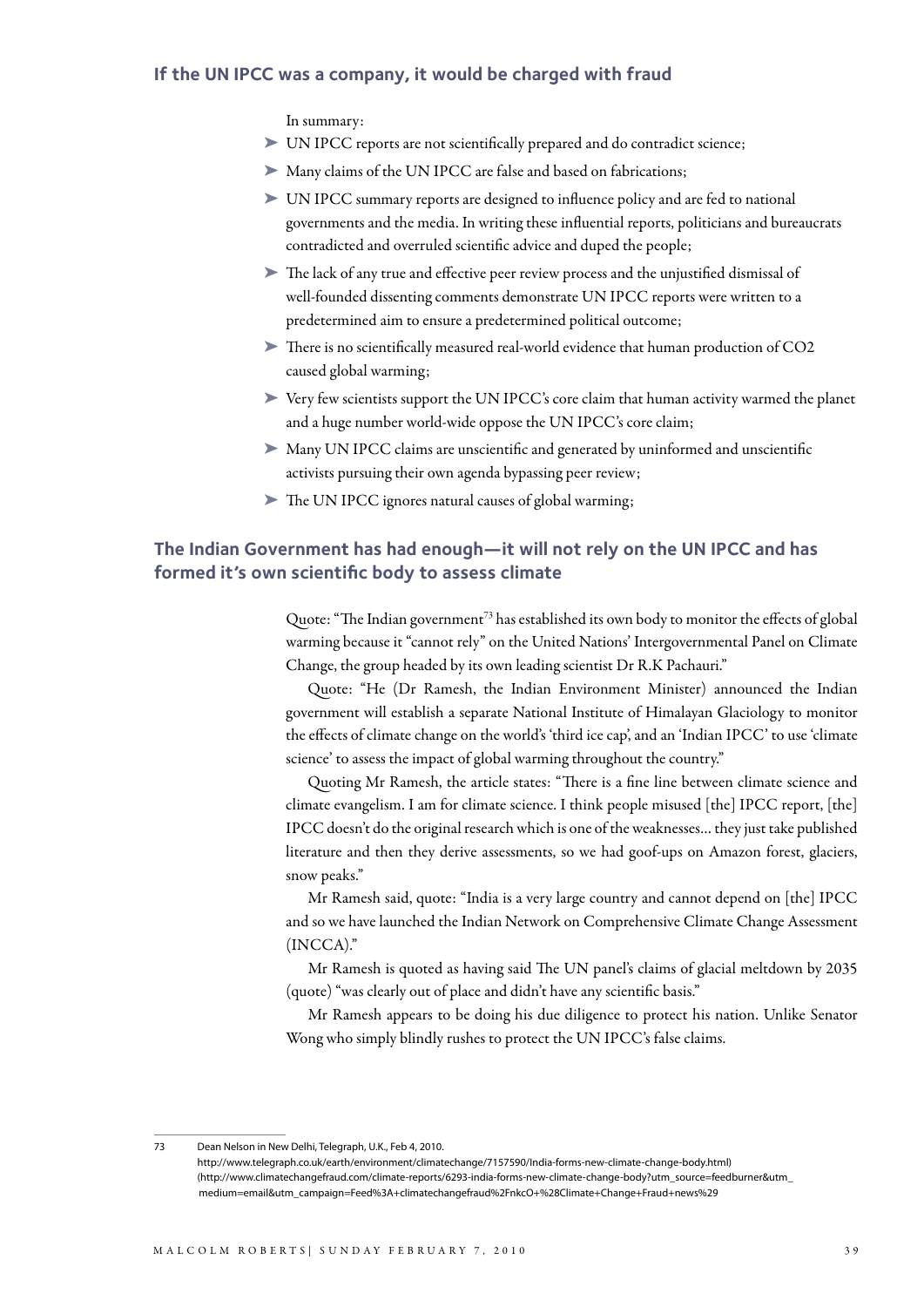#### **If the UN IPCC was a company, it would be charged with fraud**

In summary:

- ➤ UN IPCC reports are not scientifically prepared and do contradict science;
- ➤ Many claims of the UN IPCC are false and based on fabrications;
- ➤ UN IPCC summary reports are designed to influence policy and are fed to national governments and the media. In writing these influential reports, politicians and bureaucrats contradicted and overruled scientific advice and duped the people;
- ➤ The lack of any true and effective peer review process and the unjustified dismissal of well-founded dissenting comments demonstrate UN IPCC reports were written to a predetermined aim to ensure a predetermined political outcome;
- ➤ There is no scientifically measured real-world evidence that human production of CO2 caused global warming;
- ➤ Very few scientists support the UN IPCC's core claim that human activity warmed the planet and a huge number world-wide oppose the UN IPCC's core claim;
- ➤ Many UN IPCC claims are unscientific and generated by uninformed and unscientific activists pursuing their own agenda bypassing peer review;
- ➤ The UN IPCC ignores natural causes of global warming;

#### **The Indian Government has had enough—it will not rely on the un ipcc and has formed it's own scientific body to assess climate**

Quote: "The Indian government<sup>73</sup> has established its own body to monitor the effects of global warming because it "cannot rely" on the United Nations' Intergovernmental Panel on Climate Change, the group headed by its own leading scientist Dr R.K Pachauri."

Quote: "He (Dr Ramesh, the Indian Environment Minister) announced the Indian government will establish a separate National Institute of Himalayan Glaciology to monitor the effects of climate change on the world's 'third ice cap', and an 'Indian IPCC' to use 'climate science' to assess the impact of global warming throughout the country."

Quoting Mr Ramesh, the article states: "There is a fine line between climate science and climate evangelism. I am for climate science. I think people misused [the] IPCC report, [the] IPCC doesn't do the original research which is one of the weaknesses… they just take published literature and then they derive assessments, so we had goof-ups on Amazon forest, glaciers, snow peaks."

Mr Ramesh said, quote: "India is a very large country and cannot depend on [the] IPCC and so we have launched the Indian Network on Comprehensive Climate Change Assessment (INCCA)."

Mr Ramesh is quoted as having said The UN panel's claims of glacial meltdown by 2035 (quote) "was clearly out of place and didn't have any scientific basis."

Mr Ramesh appears to be doing his due diligence to protect his nation. Unlike Senator Wong who simply blindly rushes to protect the UN IPCC's false claims.

73 Dean Nelson in New Delhi, Telegraph, U.K., Feb 4, 2010.

http://www.telegraph.co.uk/earth/environment/climatechange/7157590/India-forms-new-climate-change-body.html) (http://www.climatechangefraud.com/climate-reports/6293-india-forms-new-climate-change-body?utm\_source=feedburner&utm\_ medium=email&utm\_campaign=Feed%3A+climatechangefraud%2FnkcO+%28Climate+Change+Fraud+news%29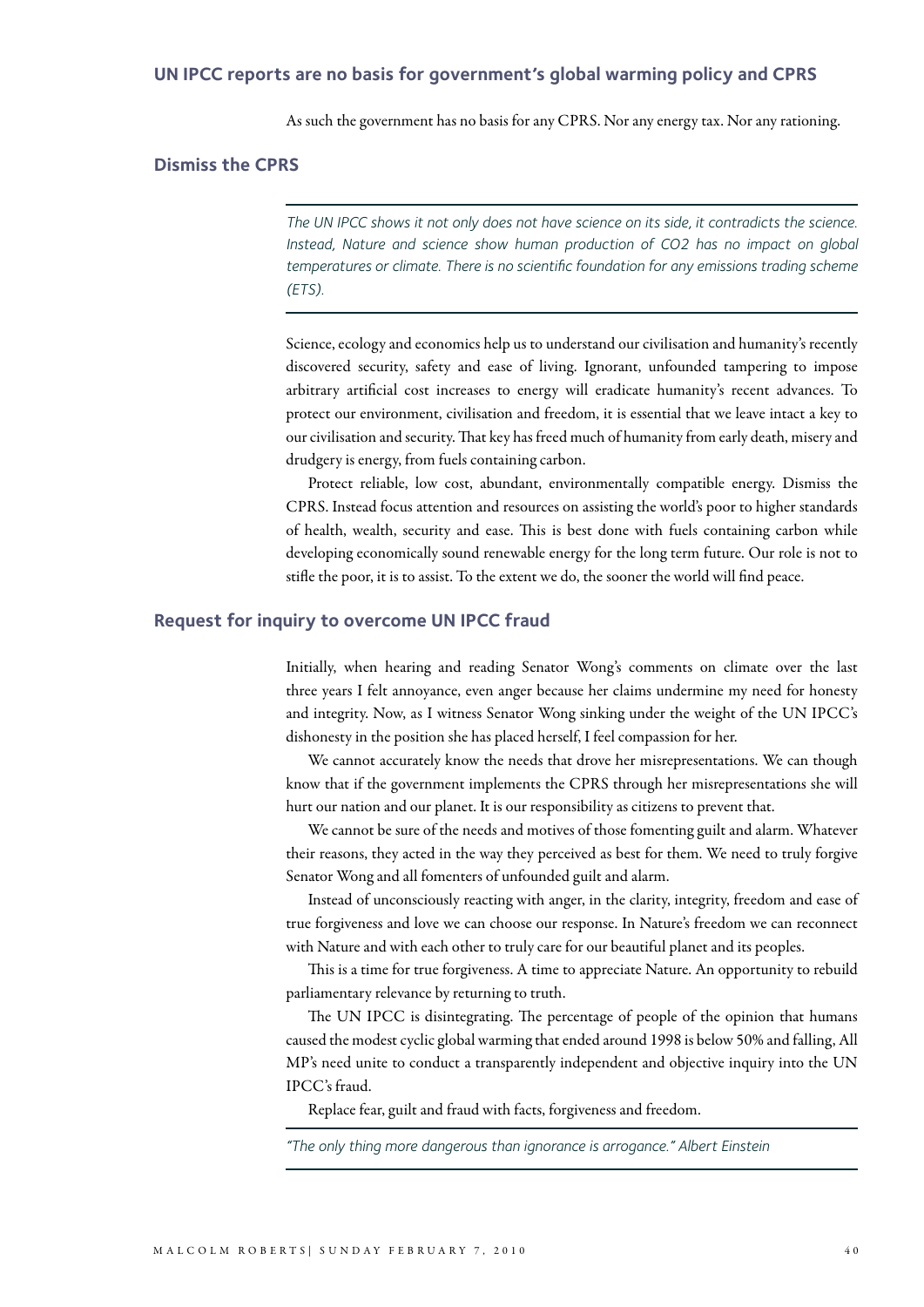#### **UN IPCC reports are no basis for government's global warming policy and CPRS**

As such the government has no basis for any CPRS. Nor any energy tax. Nor any rationing.

#### **Dismiss the CPRS**

*The UN IPCC shows it not only does not have science on its side, it contradicts the science.*  Instead, Nature and science show human production of CO2 has no impact on global *temperatures or climate. There is no scientific foundation for any emissions trading scheme (ETS).*

Science, ecology and economics help us to understand our civilisation and humanity's recently discovered security, safety and ease of living. Ignorant, unfounded tampering to impose arbitrary artificial cost increases to energy will eradicate humanity's recent advances. To protect our environment, civilisation and freedom, it is essential that we leave intact a key to our civilisation and security. That key has freed much of humanity from early death, misery and drudgery is energy, from fuels containing carbon.

Protect reliable, low cost, abundant, environmentally compatible energy. Dismiss the CPRS. Instead focus attention and resources on assisting the world's poor to higher standards of health, wealth, security and ease. This is best done with fuels containing carbon while developing economically sound renewable energy for the long term future. Our role is not to stifle the poor, it is to assist. To the extent we do, the sooner the world will find peace.

#### **Request for inquiry to overcome UN IPCC fraud**

Initially, when hearing and reading Senator Wong's comments on climate over the last three years I felt annoyance, even anger because her claims undermine my need for honesty and integrity. Now, as I witness Senator Wong sinking under the weight of the UN IPCC's dishonesty in the position she has placed herself, I feel compassion for her.

We cannot accurately know the needs that drove her misrepresentations. We can though know that if the government implements the CPRS through her misrepresentations she will hurt our nation and our planet. It is our responsibility as citizens to prevent that.

We cannot be sure of the needs and motives of those fomenting guilt and alarm. Whatever their reasons, they acted in the way they perceived as best for them. We need to truly forgive Senator Wong and all fomenters of unfounded guilt and alarm.

Instead of unconsciously reacting with anger, in the clarity, integrity, freedom and ease of true forgiveness and love we can choose our response. In Nature's freedom we can reconnect with Nature and with each other to truly care for our beautiful planet and its peoples.

This is a time for true forgiveness. A time to appreciate Nature. An opportunity to rebuild parliamentary relevance by returning to truth.

The UN IPCC is disintegrating. The percentage of people of the opinion that humans caused the modest cyclic global warming that ended around 1998 is below 50% and falling, All MP's need unite to conduct a transparently independent and objective inquiry into the UN IPCC's fraud.

Replace fear, guilt and fraud with facts, forgiveness and freedom.

*"The only thing more dangerous than ignorance is arrogance." Albert Einstein*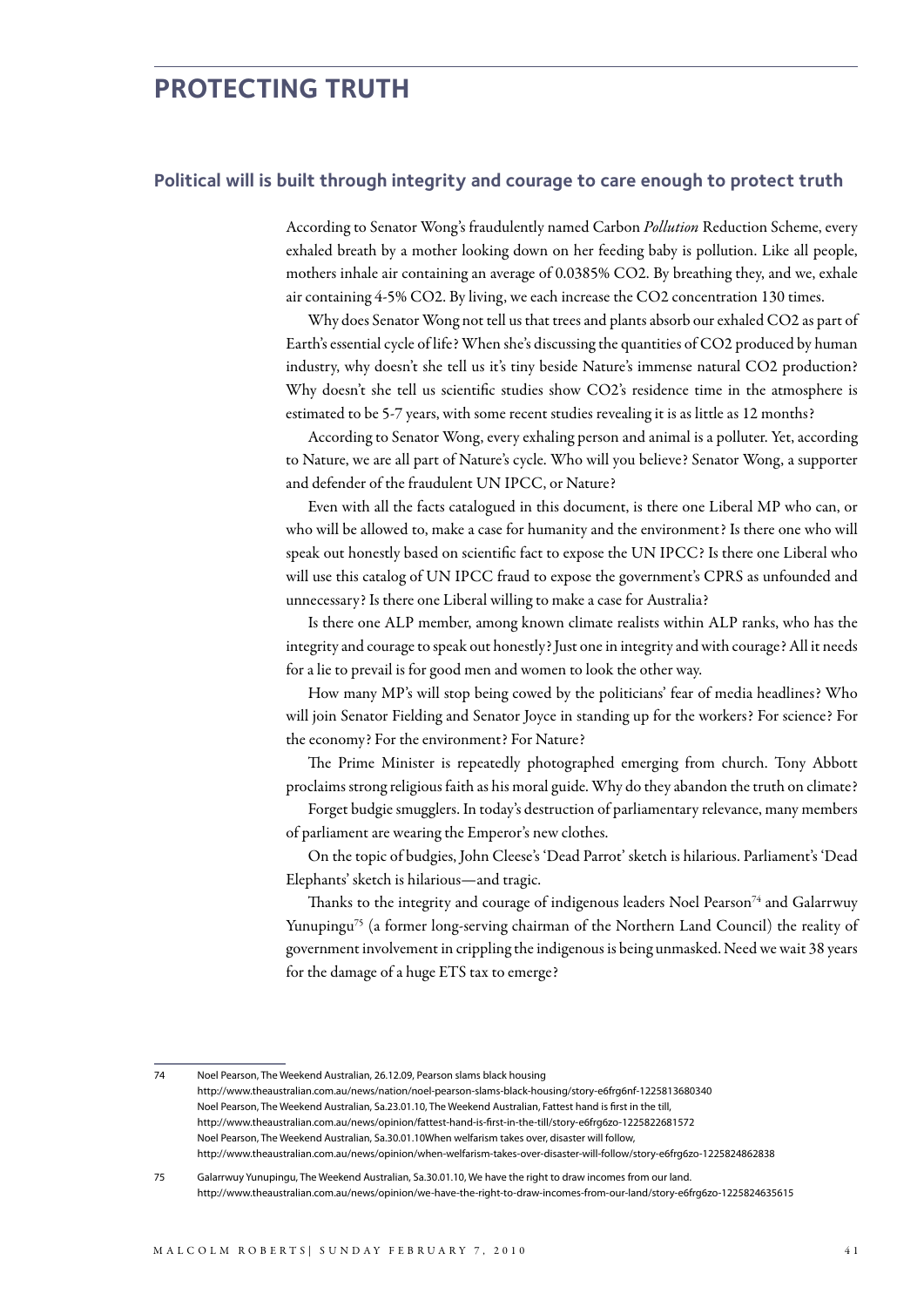#### **Protecting truth**

#### **Political will is built through integrity and courage to care enough to protect truth**

According to Senator Wong's fraudulently named Carbon *Pollution* Reduction Scheme, every exhaled breath by a mother looking down on her feeding baby is pollution. Like all people, mothers inhale air containing an average of 0.0385% CO2. By breathing they, and we, exhale air containing 4-5% CO2. By living, we each increase the CO2 concentration 130 times.

Why does Senator Wong not tell us that trees and plants absorb our exhaled CO2 as part of Earth's essential cycle of life? When she's discussing the quantities of CO2 produced by human industry, why doesn't she tell us it's tiny beside Nature's immense natural CO2 production? Why doesn't she tell us scientific studies show CO2's residence time in the atmosphere is estimated to be 5-7 years, with some recent studies revealing it is as little as 12 months?

According to Senator Wong, every exhaling person and animal is a polluter. Yet, according to Nature, we are all part of Nature's cycle. Who will you believe? Senator Wong, a supporter and defender of the fraudulent UN IPCC, or Nature?

Even with all the facts catalogued in this document, is there one Liberal MP who can, or who will be allowed to, make a case for humanity and the environment? Is there one who will speak out honestly based on scientific fact to expose the UN IPCC? Is there one Liberal who will use this catalog of UN IPCC fraud to expose the government's CPRS as unfounded and unnecessary? Is there one Liberal willing to make a case for Australia?

Is there one ALP member, among known climate realists within ALP ranks, who has the integrity and courage to speak out honestly? Just one in integrity and with courage? All it needs for a lie to prevail is for good men and women to look the other way.

How many MP's will stop being cowed by the politicians' fear of media headlines? Who will join Senator Fielding and Senator Joyce in standing up for the workers? For science? For the economy? For the environment? For Nature?

The Prime Minister is repeatedly photographed emerging from church. Tony Abbott proclaims strong religious faith as his moral guide. Why do they abandon the truth on climate?

Forget budgie smugglers. In today's destruction of parliamentary relevance, many members of parliament are wearing the Emperor's new clothes.

On the topic of budgies, John Cleese's 'Dead Parrot' sketch is hilarious. Parliament's 'Dead Elephants' sketch is hilarious—and tragic.

Thanks to the integrity and courage of indigenous leaders Noel Pearson<sup>74</sup> and Galarrwuy Yunupingu<sup>75</sup> (a former long-serving chairman of the Northern Land Council) the reality of government involvement in crippling the indigenous is being unmasked. Need we wait 38 years for the damage of a huge ETS tax to emerge?

<sup>74</sup> Noel Pearson, The Weekend Australian, 26.12.09, Pearson slams black housing http://www.theaustralian.com.au/news/nation/noel-pearson-slams-black-housing/story-e6frg6nf-1225813680340 Noel Pearson, The Weekend Australian, Sa.23.01.10, The Weekend Australian, Fattest hand is first in the till, http://www.theaustralian.com.au/news/opinion/fattest-hand-is-first-in-the-till/story-e6frg6zo-1225822681572 Noel Pearson, The Weekend Australian, Sa.30.01.10When welfarism takes over, disaster will follow, http://www.theaustralian.com.au/news/opinion/when-welfarism-takes-over-disaster-will-follow/story-e6frg6zo-1225824862838

<sup>75</sup> Galarrwuy Yunupingu, The Weekend Australian, Sa.30.01.10, We have the right to draw incomes from our land. http://www.theaustralian.com.au/news/opinion/we-have-the-right-to-draw-incomes-from-our-land/story-e6frg6zo-1225824635615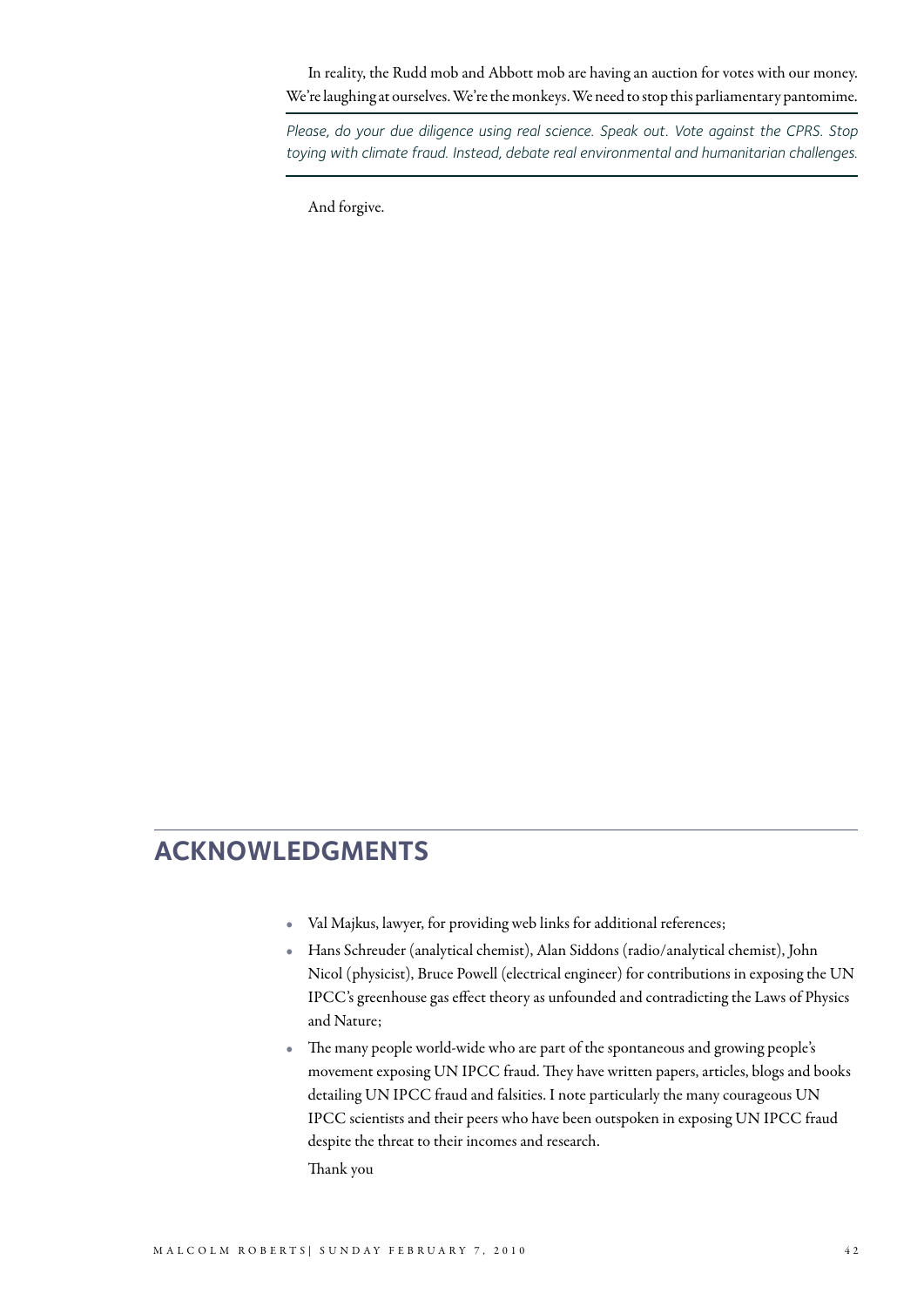In reality, the Rudd mob and Abbott mob are having an auction for votes with our money. We're laughing at ourselves. We're the monkeys. We need to stop this parliamentary pantomime.

*Please, do your due diligence using real science. Speak out. Vote against the CPRS. Stop toying with climate fraud. Instead, debate real environmental and humanitarian challenges.*

And forgive.

### **Acknowledgments**

- Val Majkus, lawyer, for providing web links for additional references;
- Hans Schreuder (analytical chemist), Alan Siddons (radio/analytical chemist), John Nicol (physicist), Bruce Powell (electrical engineer) for contributions in exposing the UN IPCC's greenhouse gas effect theory as unfounded and contradicting the Laws of Physics and Nature;
- The many people world-wide who are part of the spontaneous and growing people's movement exposing UN IPCC fraud. They have written papers, articles, blogs and books detailing UN IPCC fraud and falsities. I note particularly the many courageous UN IPCC scientists and their peers who have been outspoken in exposing UN IPCC fraud despite the threat to their incomes and research. Thank you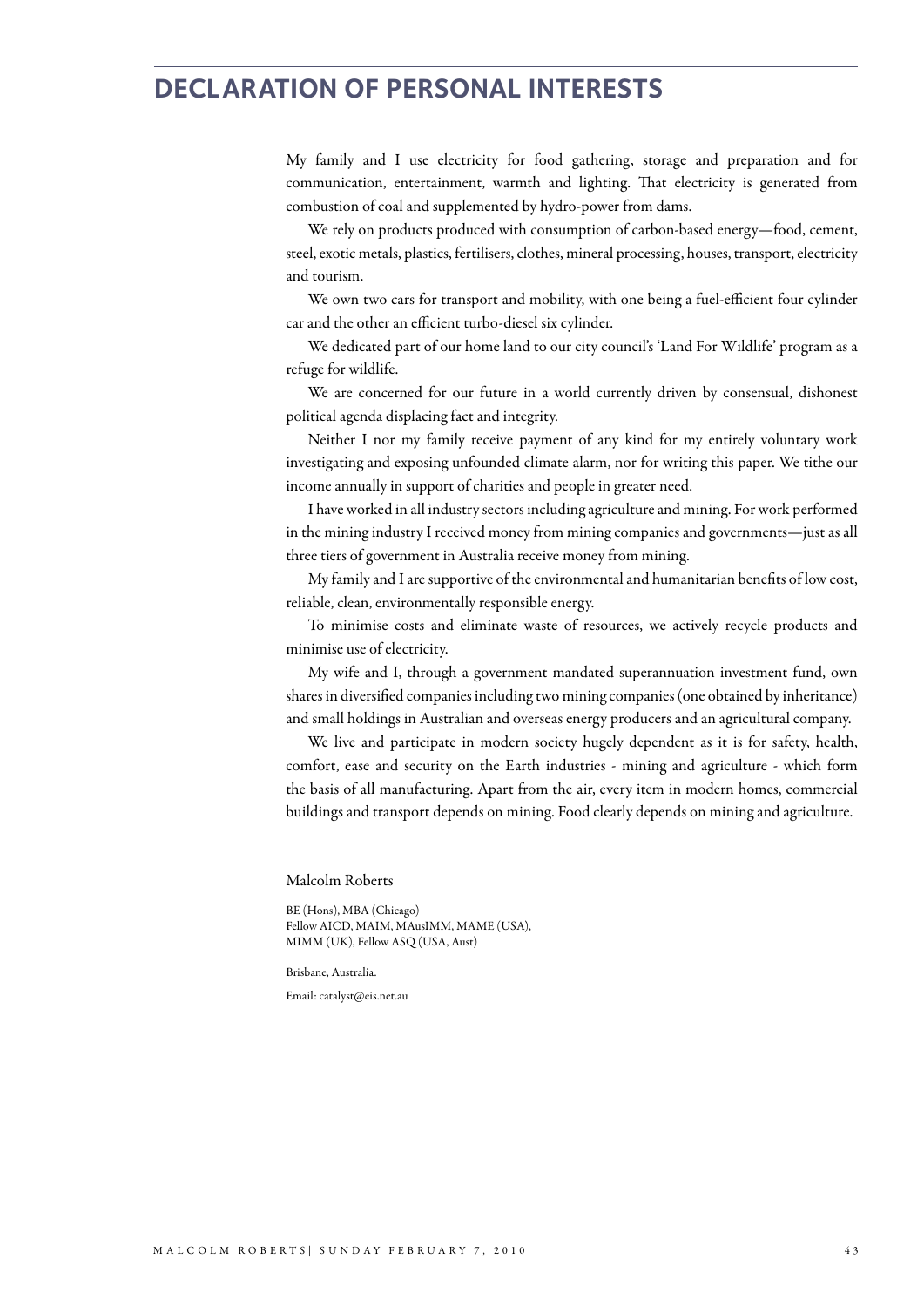#### **Declaration of Personal Interests**

My family and I use electricity for food gathering, storage and preparation and for communication, entertainment, warmth and lighting. That electricity is generated from combustion of coal and supplemented by hydro-power from dams.

We rely on products produced with consumption of carbon-based energy—food, cement, steel, exotic metals, plastics, fertilisers, clothes, mineral processing, houses, transport, electricity and tourism.

We own two cars for transport and mobility, with one being a fuel-efficient four cylinder car and the other an efficient turbo-diesel six cylinder.

We dedicated part of our home land to our city council's 'Land For Wildlife' program as a refuge for wildlife.

We are concerned for our future in a world currently driven by consensual, dishonest political agenda displacing fact and integrity.

Neither I nor my family receive payment of any kind for my entirely voluntary work investigating and exposing unfounded climate alarm, nor for writing this paper. We tithe our income annually in support of charities and people in greater need.

I have worked in all industry sectors including agriculture and mining. For work performed in the mining industry I received money from mining companies and governments—just as all three tiers of government in Australia receive money from mining.

My family and I are supportive of the environmental and humanitarian benefits of low cost, reliable, clean, environmentally responsible energy.

To minimise costs and eliminate waste of resources, we actively recycle products and minimise use of electricity.

My wife and I, through a government mandated superannuation investment fund, own shares in diversified companies including two mining companies (one obtained by inheritance) and small holdings in Australian and overseas energy producers and an agricultural company.

We live and participate in modern society hugely dependent as it is for safety, health, comfort, ease and security on the Earth industries - mining and agriculture - which form the basis of all manufacturing. Apart from the air, every item in modern homes, commercial buildings and transport depends on mining. Food clearly depends on mining and agriculture.

#### Malcolm Roberts

BE (Hons), MBA (Chicago) Fellow AICD, MAIM, MAusIMM, MAME (USA), MIMM (UK), Fellow ASQ (USA, Aust)

Brisbane, Australia.

Email: catalyst@eis.net.au